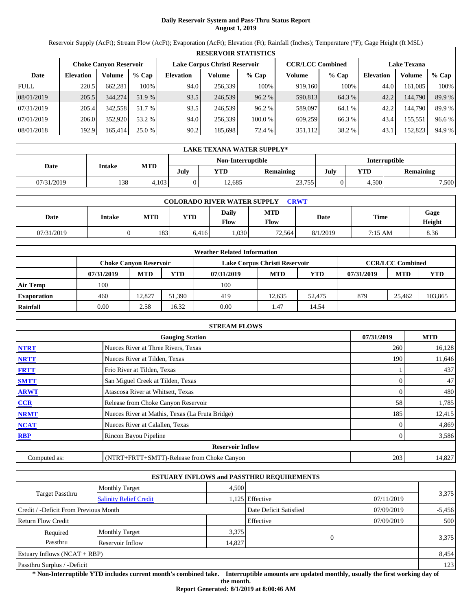# **Daily Reservoir System and Pass-Thru Status Report August 1, 2019**

Reservoir Supply (AcFt); Stream Flow (AcFt); Evaporation (AcFt); Elevation (Ft); Rainfall (Inches); Temperature (°F); Gage Height (ft MSL)

|             | <b>RESERVOIR STATISTICS</b> |                               |         |                               |         |         |                         |         |                    |         |        |  |
|-------------|-----------------------------|-------------------------------|---------|-------------------------------|---------|---------|-------------------------|---------|--------------------|---------|--------|--|
|             |                             | <b>Choke Canyon Reservoir</b> |         | Lake Corpus Christi Reservoir |         |         | <b>CCR/LCC Combined</b> |         | <b>Lake Texana</b> |         |        |  |
| Date        | <b>Elevation</b>            | Volume                        | $%$ Cap | <b>Elevation</b>              | Volume  | $%$ Cap | Volume                  | $%$ Cap | <b>Elevation</b>   | Volume  | % Cap  |  |
| <b>FULL</b> | 220.5                       | 662.281                       | 100%    | 94.0                          | 256,339 | 100%    | 919,160                 | 100%    | 44.0               | 161.085 | 100%   |  |
| 08/01/2019  | 205.5                       | 344,274                       | 51.9 %  | 93.5                          | 246,539 | 96.2%   | 590,813                 | 64.3 %  | 42.2               | 144,790 | 89.9%  |  |
| 07/31/2019  | 205.4                       | 342,558                       | 51.7 %  | 93.5                          | 246,539 | 96.2%   | 589,097                 | 64.1 %  | 42.2               | 144.790 | 89.9 % |  |
| 07/01/2019  | 206.0                       | 352,920                       | 53.2 %  | 94.0                          | 256,339 | 100.0 % | 609,259                 | 66.3 %  | 43.4               | 155,551 | 96.6%  |  |
| 08/01/2018  | 192.9                       | 165,414                       | 25.0 %  | 90.2                          | 185,698 | 72.4 %  | 351,112                 | 38.2 %  | 43.1               | 152,823 | 94.9 % |  |

|                                           | LAKE TEXANA WATER SUPPLY* |       |      |            |                                 |  |       |                  |  |  |  |
|-------------------------------------------|---------------------------|-------|------|------------|---------------------------------|--|-------|------------------|--|--|--|
| Non-Interruptible<br><b>Interruptible</b> |                           |       |      |            |                                 |  |       |                  |  |  |  |
| Date                                      | Intake                    | MTD   | July | <b>YTD</b> | YTD<br>July<br><b>Remaining</b> |  |       | <b>Remaining</b> |  |  |  |
| 07/31/2019                                | 138                       | 4.103 |      | 12,685     | 23,755                          |  | 4.500 | 7,500            |  |  |  |

| <b>COLORADO RIVER WATER SUPPLY</b><br>CRWT |        |     |       |               |                           |          |             |                |  |  |
|--------------------------------------------|--------|-----|-------|---------------|---------------------------|----------|-------------|----------------|--|--|
| Date                                       | Intake | MTD | YTD   | Daily<br>Flow | <b>MTD</b><br><b>Flow</b> | Date     | <b>Time</b> | Gage<br>Height |  |  |
| 07/31/2019                                 |        | 183 | 6.416 | ,030          | 72,564                    | 8/1/2019 | 7:15 AM     | 8.36           |  |  |

|                    |            |                        |        | <b>Weather Related Information</b> |                               |        |            |                         |         |
|--------------------|------------|------------------------|--------|------------------------------------|-------------------------------|--------|------------|-------------------------|---------|
|                    |            | Choke Canvon Reservoir |        |                                    | Lake Corpus Christi Reservoir |        |            | <b>CCR/LCC Combined</b> |         |
|                    | 07/31/2019 | <b>MTD</b>             | YTD    | 07/31/2019                         | <b>MTD</b>                    | YTD    | 07/31/2019 | <b>MTD</b>              | YTD     |
| Air Temp           | 100        |                        |        | 100                                |                               |        |            |                         |         |
| <b>Evaporation</b> | 460        | 12.827                 | 51,390 | 419                                | 12.635                        | 52,475 | 879        | 25.462                  | 103,865 |
| Rainfall           | 0.00       | 2.58                   | 16.32  | 0.00                               | 1.47                          | 14.54  |            |                         |         |

|              | <b>STREAM FLOWS</b>                             |            |            |
|--------------|-------------------------------------------------|------------|------------|
|              | <b>Gauging Station</b>                          | 07/31/2019 | <b>MTD</b> |
| <b>NTRT</b>  | Nueces River at Three Rivers, Texas             | 260        | 16,128     |
| <b>NRTT</b>  | Nueces River at Tilden, Texas                   | 190        | 11,646     |
| <b>FRTT</b>  | Frio River at Tilden, Texas                     |            | 437        |
| <b>SMTT</b>  | San Miguel Creek at Tilden, Texas               |            | 47         |
| <b>ARWT</b>  | Atascosa River at Whitsett, Texas               |            | 480        |
| CCR          | Release from Choke Canyon Reservoir             | 58         | 1,785      |
| <b>NRMT</b>  | Nueces River at Mathis, Texas (La Fruta Bridge) | 185        | 12,415     |
| <b>NCAT</b>  | Nueces River at Calallen, Texas                 |            | 4,869      |
| <b>RBP</b>   | Rincon Bayou Pipeline                           |            | 3,586      |
|              | <b>Reservoir Inflow</b>                         |            |            |
| Computed as: | (NTRT+FRTT+SMTT)-Release from Choke Canyon      | 203        | 14,827     |

|                                                  |                       |       | <b>ESTUARY INFLOWS and PASSTHRU REQUIREMENTS</b> |            |          |
|--------------------------------------------------|-----------------------|-------|--------------------------------------------------|------------|----------|
|                                                  | <b>Monthly Target</b> | 4,500 |                                                  |            |          |
| Target Passthru<br><b>Salinity Relief Credit</b> |                       |       | 1,125 Effective                                  | 07/11/2019 | 3,375    |
| Credit / -Deficit From Previous Month            |                       |       | Date Deficit Satisfied                           | 07/09/2019 | $-5,456$ |
| <b>Return Flow Credit</b>                        |                       |       | Effective                                        | 07/09/2019 | 500      |
| Required                                         | <b>Monthly Target</b> | 3,375 |                                                  |            |          |
| Passthru<br>Reservoir Inflow<br>14,827           |                       |       |                                                  |            | 3,375    |
| Estuary Inflows $(NCAT + RBP)$                   |                       |       |                                                  |            | 8,454    |
| Passthru Surplus / -Deficit                      |                       |       |                                                  |            | 123      |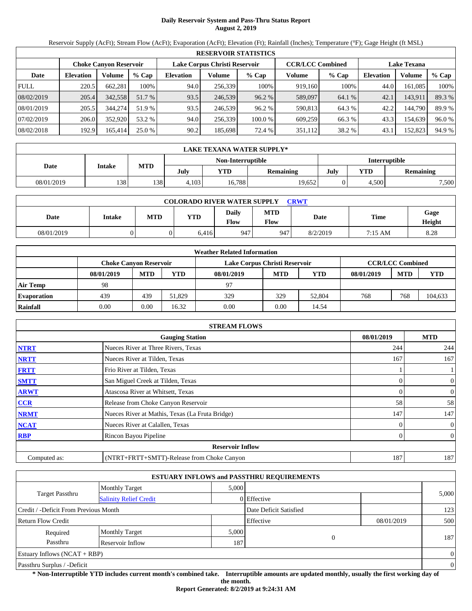# **Daily Reservoir System and Pass-Thru Status Report August 2, 2019**

Reservoir Supply (AcFt); Stream Flow (AcFt); Evaporation (AcFt); Elevation (Ft); Rainfall (Inches); Temperature (°F); Gage Height (ft MSL)

|             | <b>RESERVOIR STATISTICS</b> |                               |         |                               |         |         |                         |         |                    |         |        |  |
|-------------|-----------------------------|-------------------------------|---------|-------------------------------|---------|---------|-------------------------|---------|--------------------|---------|--------|--|
|             |                             | <b>Choke Canyon Reservoir</b> |         | Lake Corpus Christi Reservoir |         |         | <b>CCR/LCC Combined</b> |         | <b>Lake Texana</b> |         |        |  |
| Date        | <b>Elevation</b>            | Volume                        | $%$ Cap | <b>Elevation</b>              | Volume  | $%$ Cap | Volume                  | $%$ Cap | <b>Elevation</b>   | Volume  | % Cap  |  |
| <b>FULL</b> | 220.5                       | 662,281                       | 100%    | 94.0                          | 256,339 | 100%    | 919.160                 | 100%    | 44.0               | 161,085 | 100%   |  |
| 08/02/2019  | 205.4                       | 342.558                       | 51.7 %  | 93.5                          | 246,539 | 96.2 %  | 589,097                 | 64.1 %  | 42.1               | 143.911 | 89.3 % |  |
| 08/01/2019  | 205.5                       | 344,274                       | 51.9 %  | 93.5                          | 246,539 | 96.2%   | 590.813                 | 64.3 %  | 42.2               | 144.790 | 89.9%  |  |
| 07/02/2019  | 206.0                       | 352,920                       | 53.2 %  | 94.0                          | 256.339 | 100.0 % | 609,259                 | 66.3 %  | 43.3               | 154,639 | 96.0 % |  |
| 08/02/2018  | 192.9                       | 165,414                       | 25.0%   | 90.2                          | 185.698 | 72.4 %  | 351,112                 | 38.2 %  | 43.1               | 152,823 | 94.9 % |  |

|                                    | LAKE TEXANA WATER SUPPLY* |            |       |        |           |      |       |                  |  |  |  |
|------------------------------------|---------------------------|------------|-------|--------|-----------|------|-------|------------------|--|--|--|
| Non-Interruptible<br>Interruptible |                           |            |       |        |           |      |       |                  |  |  |  |
| Date                               | Intake                    | <b>MTD</b> | July  | YTD    | Remaining | July | YTD   | <b>Remaining</b> |  |  |  |
| 08/01/2019                         | 138                       | 138        | 4,103 | 16,788 | 19,652    |      | 4,500 | 7,500            |  |  |  |

| <b>COLORADO RIVER WATER SUPPLY</b><br><b>CRWT</b> |               |            |            |               |                           |          |         |                |  |  |  |
|---------------------------------------------------|---------------|------------|------------|---------------|---------------------------|----------|---------|----------------|--|--|--|
| Date                                              | <b>Intake</b> | <b>MTD</b> | <b>YTD</b> | Daily<br>Flow | <b>MTD</b><br><b>Flow</b> | Date     | Time    | Gage<br>Height |  |  |  |
| 08/01/2019                                        |               |            | 6,416      | 947           | 947                       | 8/2/2019 | 7:15 AM | 8.28           |  |  |  |

|                    |                        |            |        | <b>Weather Related Information</b> |            |        |            |                         |         |
|--------------------|------------------------|------------|--------|------------------------------------|------------|--------|------------|-------------------------|---------|
|                    | Choke Canvon Reservoir |            |        | Lake Corpus Christi Reservoir      |            |        |            | <b>CCR/LCC Combined</b> |         |
|                    | 08/01/2019             | <b>MTD</b> | YTD    | 08/01/2019                         | <b>MTD</b> | YTD    | 08/01/2019 | <b>MTD</b>              | YTD     |
| Air Temp           | 98                     |            |        | 97                                 |            |        |            |                         |         |
| <b>Evaporation</b> | 439                    | 439        | 51.829 | 329                                | 329        | 52,804 | 768        | 768                     | 104,633 |
| Rainfall           | 0.00                   | 0.00       | 16.32  | 0.00                               | 0.00       | 14.54  |            |                         |         |

|              | <b>STREAM FLOWS</b>                             |            |                  |
|--------------|-------------------------------------------------|------------|------------------|
|              | <b>Gauging Station</b>                          | 08/01/2019 | <b>MTD</b>       |
| <b>NTRT</b>  | Nueces River at Three Rivers, Texas             | 244        | 244              |
| <b>NRTT</b>  | Nueces River at Tilden, Texas                   | 167        | 167              |
| <b>FRTT</b>  | Frio River at Tilden, Texas                     |            |                  |
| <b>SMTT</b>  | San Miguel Creek at Tilden, Texas               |            | $\boldsymbol{0}$ |
| <b>ARWT</b>  | Atascosa River at Whitsett, Texas               | 0          | $\boldsymbol{0}$ |
| CCR          | Release from Choke Canyon Reservoir             | 58         | 58               |
| <b>NRMT</b>  | Nueces River at Mathis, Texas (La Fruta Bridge) | 147        | 147              |
| <b>NCAT</b>  | Nueces River at Calallen, Texas                 |            | $\boldsymbol{0}$ |
| <b>RBP</b>   | Rincon Bayou Pipeline                           |            | $\overline{0}$   |
|              | <b>Reservoir Inflow</b>                         |            |                  |
| Computed as: | (NTRT+FRTT+SMTT)-Release from Choke Canyon      | 187        | 187              |

|                                       |                               |       | <b>ESTUARY INFLOWS and PASSTHRU REQUIREMENTS</b> |            |                |
|---------------------------------------|-------------------------------|-------|--------------------------------------------------|------------|----------------|
|                                       | <b>Monthly Target</b>         | 5.000 |                                                  |            |                |
| <b>Target Passthru</b>                | <b>Salinity Relief Credit</b> |       | 0 Effective                                      |            | 5,000          |
| Credit / -Deficit From Previous Month |                               |       | Date Deficit Satisfied                           |            | 123            |
| <b>Return Flow Credit</b>             |                               |       | Effective                                        | 08/01/2019 | 500            |
| Required                              | <b>Monthly Target</b>         | 5,000 |                                                  |            |                |
| Passthru                              | Reservoir Inflow              | 187   | 0                                                |            | 187            |
| Estuary Inflows $(NCAT + RBP)$        |                               |       |                                                  |            | $\overline{0}$ |
| Passthru Surplus / -Deficit           |                               |       |                                                  |            | $\mathbf{0}$   |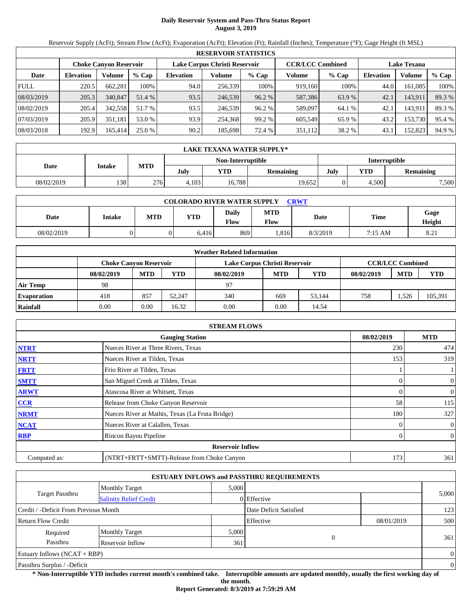# **Daily Reservoir System and Pass-Thru Status Report August 3, 2019**

Reservoir Supply (AcFt); Stream Flow (AcFt); Evaporation (AcFt); Elevation (Ft); Rainfall (Inches); Temperature (°F); Gage Height (ft MSL)

|             | <b>RESERVOIR STATISTICS</b> |                               |         |                  |                               |         |                         |         |                  |                    |        |  |
|-------------|-----------------------------|-------------------------------|---------|------------------|-------------------------------|---------|-------------------------|---------|------------------|--------------------|--------|--|
|             |                             | <b>Choke Canyon Reservoir</b> |         |                  | Lake Corpus Christi Reservoir |         | <b>CCR/LCC Combined</b> |         |                  | <b>Lake Texana</b> |        |  |
| Date        | <b>Elevation</b>            | Volume                        | $%$ Cap | <b>Elevation</b> | Volume                        | $%$ Cap | Volume                  | $%$ Cap | <b>Elevation</b> | Volume             | % Cap  |  |
| <b>FULL</b> | 220.5                       | 662,281                       | 100%    | 94.0             | 256,339                       | 100%    | 919,160                 | 100%    | 44.0             | 161.085            | 100%   |  |
| 08/03/2019  | 205.3                       | 340,847                       | 51.4 %  | 93.5             | 246.539                       | 96.2%   | 587,386                 | 63.9 %  | 42.1             | 143,911            | 89.3 % |  |
| 08/02/2019  | 205.4                       | 342,558                       | 51.7 %  | 93.5             | 246.539                       | 96.2%   | 589,097                 | 64.1 %  | 42.1             | 143,911            | 89.3%  |  |
| 07/03/2019  | 205.9                       | 351,181                       | 53.0 %  | 93.9             | 254,368                       | 99.2 %  | 605.549                 | 65.9%   | 43.2             | 153,730            | 95.4 % |  |
| 08/03/2018  | 192.9                       | 165,414                       | 25.0 %  | 90.2             | 185.698                       | 72.4 %  | 351,112                 | 38.2 %  | 43.1             | 152,823            | 94.9 % |  |

|            | <b>LAKE TEXANA WATER SUPPLY*</b> |            |                                    |            |           |      |                         |       |  |  |  |
|------------|----------------------------------|------------|------------------------------------|------------|-----------|------|-------------------------|-------|--|--|--|
|            |                                  |            | Non-Interruptible<br>Interruptible |            |           |      |                         |       |  |  |  |
| Date       | Intake                           | <b>MTD</b> | July                               | <b>YTD</b> | Remaining | July | YTD<br><b>Remaining</b> |       |  |  |  |
| 08/02/2019 | 138                              | 276        | 4,103                              | 16,788     | 19,652    |      | 4,500                   | 7,500 |  |  |  |

| <b>COLORADO RIVER WATER SUPPLY</b><br><b>CRWT</b> |               |     |       |                      |                    |          |         |                |  |  |  |
|---------------------------------------------------|---------------|-----|-------|----------------------|--------------------|----------|---------|----------------|--|--|--|
| Date                                              | <b>Intake</b> | MTD | YTD   | <b>Daily</b><br>Flow | MTD<br><b>Flow</b> | Date     | Time    | Gage<br>Height |  |  |  |
| 08/02/2019                                        |               |     | 6,416 | 869                  | .816               | 8/3/2019 | 7:15 AM | 8.21           |  |  |  |

|                    |                        |            |        | <b>Weather Related Information</b> |            |        |            |                         |         |
|--------------------|------------------------|------------|--------|------------------------------------|------------|--------|------------|-------------------------|---------|
|                    | Choke Canvon Reservoir |            |        | Lake Corpus Christi Reservoir      |            |        |            | <b>CCR/LCC Combined</b> |         |
|                    | 08/02/2019             | <b>MTD</b> | YTD    | 08/02/2019                         | <b>MTD</b> | YTD    | 08/02/2019 | <b>MTD</b>              | YTD     |
| Air Temp           | 98                     |            |        | 97                                 |            |        |            |                         |         |
| <b>Evaporation</b> | 418                    | 857        | 52.247 | 340                                | 669        | 53.144 | 758        | .526                    | 105,391 |
| Rainfall           | 0.00                   | 0.00       | 16.32  | 0.00                               | 0.00       | 14.54  |            |                         |         |

|              | <b>STREAM FLOWS</b>                             |            |                  |
|--------------|-------------------------------------------------|------------|------------------|
|              | <b>Gauging Station</b>                          | 08/02/2019 | <b>MTD</b>       |
| <b>NTRT</b>  | Nueces River at Three Rivers, Texas             | 230        | 474              |
| <b>NRTT</b>  | Nueces River at Tilden, Texas                   | 153        | 319              |
| <b>FRTT</b>  | Frio River at Tilden, Texas                     |            |                  |
| <b>SMTT</b>  | San Miguel Creek at Tilden, Texas               |            | 0                |
| <b>ARWT</b>  | Atascosa River at Whitsett, Texas               | 0          | $\boldsymbol{0}$ |
| CCR          | Release from Choke Canyon Reservoir             | 58         | 115              |
| <b>NRMT</b>  | Nueces River at Mathis, Texas (La Fruta Bridge) | 180        | 327              |
| <b>NCAT</b>  | Nueces River at Calallen, Texas                 |            | $\boldsymbol{0}$ |
| <b>RBP</b>   | Rincon Bayou Pipeline                           |            | $\overline{0}$   |
|              | <b>Reservoir Inflow</b>                         |            |                  |
| Computed as: | (NTRT+FRTT+SMTT)-Release from Choke Canyon      | 173        | 361              |

|                                       |                               |       | <b>ESTUARY INFLOWS and PASSTHRU REQUIREMENTS</b> |            |                |
|---------------------------------------|-------------------------------|-------|--------------------------------------------------|------------|----------------|
|                                       | <b>Monthly Target</b>         | 5.000 |                                                  |            |                |
| <b>Target Passthru</b>                | <b>Salinity Relief Credit</b> |       | 0 Effective                                      |            | 5,000          |
| Credit / -Deficit From Previous Month |                               |       | Date Deficit Satisfied                           |            | 123            |
| <b>Return Flow Credit</b>             |                               |       | Effective                                        | 08/01/2019 | 500            |
| Required                              | <b>Monthly Target</b>         | 5,000 |                                                  |            |                |
| Passthru                              | Reservoir Inflow              | 361   | $\Omega$                                         |            | 361            |
| Estuary Inflows $(NCAT + RBP)$        |                               |       |                                                  |            | $\Omega$       |
| Passthru Surplus / -Deficit           |                               |       |                                                  |            | $\overline{0}$ |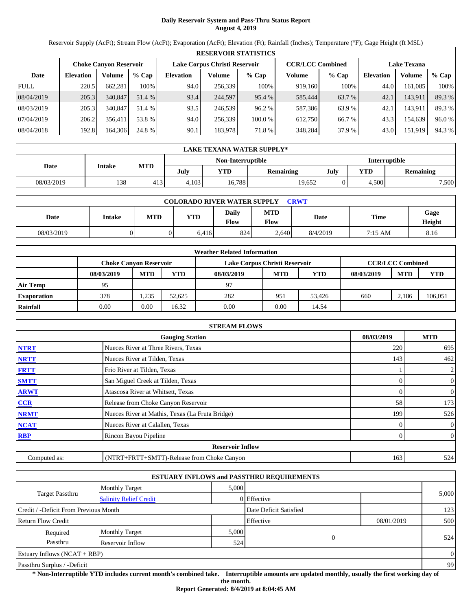# **Daily Reservoir System and Pass-Thru Status Report August 4, 2019**

Reservoir Supply (AcFt); Stream Flow (AcFt); Evaporation (AcFt); Elevation (Ft); Rainfall (Inches); Temperature (°F); Gage Height (ft MSL)

|             | <b>RESERVOIR STATISTICS</b> |                               |         |                  |                                                                                |         |         |         |                  |         |        |  |
|-------------|-----------------------------|-------------------------------|---------|------------------|--------------------------------------------------------------------------------|---------|---------|---------|------------------|---------|--------|--|
|             |                             | <b>Choke Canyon Reservoir</b> |         |                  | Lake Corpus Christi Reservoir<br><b>CCR/LCC Combined</b><br><b>Lake Texana</b> |         |         |         |                  |         |        |  |
| Date        | <b>Elevation</b>            | Volume                        | $%$ Cap | <b>Elevation</b> | Volume                                                                         | $%$ Cap | Volume  | $%$ Cap | <b>Elevation</b> | Volume  | % Cap  |  |
| <b>FULL</b> | 220.5                       | 662.281                       | 100%    | 94.0             | 256,339                                                                        | 100%    | 919,160 | 100%    | 44.0             | 161.085 | 100%   |  |
| 08/04/2019  | 205.3                       | 340,847                       | 51.4 %  | 93.4             | 244,597                                                                        | 95.4 %  | 585,444 | 63.7 %  | 42.1             | 143.911 | 89.3 % |  |
| 08/03/2019  | 205.3                       | 340,847                       | 51.4 %  | 93.5             | 246.539                                                                        | 96.2%   | 587,386 | 63.9%   | 42.1             | 143,911 | 89.3%  |  |
| 07/04/2019  | 206.2                       | 356.411                       | 53.8 %  | 94.0             | 256.339                                                                        | 100.0%  | 612.750 | 66.7 %  | 43.3             | 154.639 | 96.0%  |  |
| 08/04/2018  | 192.8                       | 164.306                       | 24.8 %  | 90.1             | 183.978                                                                        | 71.8%   | 348,284 | 37.9 %  | 43.0             | 151,919 | 94.3 % |  |

|            | <b>LAKE TEXANA WATER SUPPLY*</b> |                                    |       |        |                  |      |                         |       |  |  |  |
|------------|----------------------------------|------------------------------------|-------|--------|------------------|------|-------------------------|-------|--|--|--|
|            |                                  | Non-Interruptible<br>Interruptible |       |        |                  |      |                         |       |  |  |  |
| Date       | Intake                           | <b>MTD</b>                         | July  | YTD    | <b>Remaining</b> | July | YTD<br><b>Remaining</b> |       |  |  |  |
| 08/03/2019 | 138                              | 413                                | 4,103 | 16,788 | 19,652           |      | 4,500                   | 7,500 |  |  |  |

| <b>COLORADO RIVER WATER SUPPLY</b><br><b>CRWT</b> |               |     |       |                      |                    |          |         |                |  |  |  |
|---------------------------------------------------|---------------|-----|-------|----------------------|--------------------|----------|---------|----------------|--|--|--|
| Date                                              | <b>Intake</b> | MTD | YTD   | <b>Daily</b><br>Flow | MTD<br><b>Flow</b> | Date     | Time    | Gage<br>Height |  |  |  |
| 08/03/2019                                        |               |     | 6,416 | 824                  | 2,640              | 8/4/2019 | 7:15 AM | 8.16           |  |  |  |

|                    |            |                               |        | <b>Weather Related Information</b> |            |            |            |                         |            |
|--------------------|------------|-------------------------------|--------|------------------------------------|------------|------------|------------|-------------------------|------------|
|                    |            | <b>Choke Canvon Reservoir</b> |        | Lake Corpus Christi Reservoir      |            |            |            | <b>CCR/LCC Combined</b> |            |
|                    | 08/03/2019 | <b>MTD</b>                    | YTD    | 08/03/2019                         | <b>MTD</b> | <b>YTD</b> | 08/03/2019 | <b>MTD</b>              | <b>YTD</b> |
| <b>Air Temp</b>    | 95         |                               |        | 97                                 |            |            |            |                         |            |
| <b>Evaporation</b> | 378        | .235                          | 52.625 | 282                                | 951        | 53.426     | 660        | 2.186                   | 106,051    |
| Rainfall           | 0.00       | 0.00                          | 16.32  | 0.00                               | 0.00       | 14.54      |            |                         |            |

|              | <b>STREAM FLOWS</b>                             |            |                |
|--------------|-------------------------------------------------|------------|----------------|
|              | <b>Gauging Station</b>                          | 08/03/2019 | <b>MTD</b>     |
| <b>NTRT</b>  | Nueces River at Three Rivers, Texas             | 220        | 695            |
| <b>NRTT</b>  | Nueces River at Tilden, Texas                   | 143        | 462            |
| <b>FRTT</b>  | Frio River at Tilden, Texas                     |            | $\overline{c}$ |
| <b>SMTT</b>  | San Miguel Creek at Tilden, Texas               | 0          | $\overline{0}$ |
| <b>ARWT</b>  | Atascosa River at Whitsett, Texas               | 0          | $\overline{0}$ |
| CCR          | Release from Choke Canyon Reservoir             | 58         | 173            |
| <b>NRMT</b>  | Nueces River at Mathis, Texas (La Fruta Bridge) | 199        | 526            |
| <b>NCAT</b>  | Nueces River at Calallen, Texas                 |            | $\overline{0}$ |
| <b>RBP</b>   | Rincon Bayou Pipeline                           | 0          | $\overline{0}$ |
|              | <b>Reservoir Inflow</b>                         |            |                |
| Computed as: | (NTRT+FRTT+SMTT)-Release from Choke Canyon      | 163        | 524            |

|                                       |                               |       | <b>ESTUARY INFLOWS and PASSTHRU REQUIREMENTS</b> |            |                |
|---------------------------------------|-------------------------------|-------|--------------------------------------------------|------------|----------------|
|                                       | <b>Monthly Target</b>         | 5.000 |                                                  |            |                |
| <b>Target Passthru</b>                | <b>Salinity Relief Credit</b> |       | $0$ Effective                                    |            | 5,000          |
| Credit / -Deficit From Previous Month |                               |       | Date Deficit Satisfied                           |            | 123            |
| <b>Return Flow Credit</b>             |                               |       | Effective                                        | 08/01/2019 | 500            |
| Required                              | <b>Monthly Target</b>         | 5,000 |                                                  |            |                |
| Passthru                              | Reservoir Inflow              | 524   | $\Omega$                                         |            | 524            |
| Estuary Inflows $(NCAT + RBP)$        |                               |       |                                                  |            | $\overline{0}$ |
| Passthru Surplus / -Deficit           |                               |       |                                                  |            | 99             |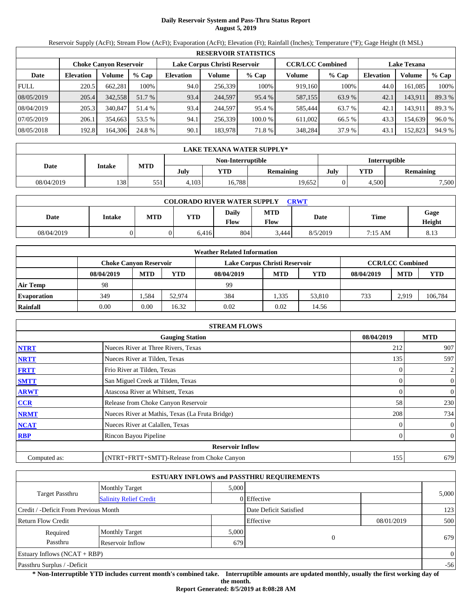# **Daily Reservoir System and Pass-Thru Status Report August 5, 2019**

Reservoir Supply (AcFt); Stream Flow (AcFt); Evaporation (AcFt); Elevation (Ft); Rainfall (Inches); Temperature (°F); Gage Height (ft MSL)

|             | <b>RESERVOIR STATISTICS</b> |                               |         |                  |                               |         |                         |         |                    |         |        |  |
|-------------|-----------------------------|-------------------------------|---------|------------------|-------------------------------|---------|-------------------------|---------|--------------------|---------|--------|--|
|             |                             | <b>Choke Canyon Reservoir</b> |         |                  | Lake Corpus Christi Reservoir |         | <b>CCR/LCC Combined</b> |         | <b>Lake Texana</b> |         |        |  |
| Date        | <b>Elevation</b>            | Volume                        | $%$ Cap | <b>Elevation</b> | Volume                        | $%$ Cap | Volume                  | $%$ Cap | <b>Elevation</b>   | Volume  | % Cap  |  |
| <b>FULL</b> | 220.5                       | 662.281                       | 100%    | 94.0             | 256,339                       | 100%    | 919,160                 | 100%    | 44.0               | 161.085 | 100%   |  |
| 08/05/2019  | 205.4                       | 342.558                       | 51.7 %  | 93.4             | 244,597                       | 95.4 %  | 587,155                 | 63.9 %  | 42.1               | 143.911 | 89.3 % |  |
| 08/04/2019  | 205.3                       | 340,847                       | 51.4 %  | 93.4             | 244,597                       | 95.4 %  | 585,444                 | 63.7 %  | 42.1               | 143,911 | 89.3%  |  |
| 07/05/2019  | 206.1                       | 354.663                       | 53.5 %  | 94.1             | 256.339                       | 100.0 % | 611.002                 | 66.5 %  | 43.3               | 154.639 | 96.0%  |  |
| 08/05/2018  | 192.8                       | 164.306                       | 24.8 %  | 90.1             | 183.978                       | 71.8%   | 348,284                 | 37.9 %  | 43.1               | 152,823 | 94.9 % |  |

|            | LAKE TEXANA WATER SUPPLY* |            |       |                   |                  |               |       |                  |  |  |  |
|------------|---------------------------|------------|-------|-------------------|------------------|---------------|-------|------------------|--|--|--|
|            |                           |            |       | Non-Interruptible |                  | Interruptible |       |                  |  |  |  |
| Date       | Intake                    | <b>MTD</b> | July  | <b>YTD</b>        | <b>Remaining</b> | July          | YTD   | <b>Remaining</b> |  |  |  |
| 08/04/2019 | 138                       | 551        | 4,103 | 16,788            | 19,652           |               | 4,500 | 7,500            |  |  |  |

| <b>COLORADO RIVER WATER SUPPLY</b><br><b>CRWT</b> |               |            |       |               |             |          |             |                |  |  |
|---------------------------------------------------|---------------|------------|-------|---------------|-------------|----------|-------------|----------------|--|--|
| Date                                              | <b>Intake</b> | <b>MTD</b> | YTD   | Dailv<br>Flow | MTD<br>Flow | Date     | <b>Time</b> | Gage<br>Height |  |  |
| 08/04/2019                                        |               |            | 6,416 | 804           | 3,444       | 8/5/2019 | 7:15 AM     | 8.13           |  |  |

|                    |                        |            |        | <b>Weather Related Information</b> |            |        |            |                         |         |
|--------------------|------------------------|------------|--------|------------------------------------|------------|--------|------------|-------------------------|---------|
|                    | Choke Canvon Reservoir |            |        | Lake Corpus Christi Reservoir      |            |        |            | <b>CCR/LCC Combined</b> |         |
|                    | 08/04/2019             | <b>MTD</b> | YTD    | 08/04/2019                         | <b>MTD</b> | YTD    | 08/04/2019 | <b>MTD</b>              | YTD     |
| Air Temp           | 98                     |            |        | 99                                 |            |        |            |                         |         |
| <b>Evaporation</b> | 349                    | .584       | 52.974 | 384                                | 1.335      | 53,810 | 733        | 2.919                   | 106,784 |
| Rainfall           | 0.00                   | 0.00       | 16.32  | 0.02                               | 0.02       | 14.56  |            |                         |         |

|              | <b>STREAM FLOWS</b>                             |            |                |
|--------------|-------------------------------------------------|------------|----------------|
|              | <b>Gauging Station</b>                          | 08/04/2019 | <b>MTD</b>     |
| <b>NTRT</b>  | Nueces River at Three Rivers, Texas             | 212        | 907            |
| <b>NRTT</b>  | Nueces River at Tilden, Texas                   | 135        | 597            |
| <b>FRTT</b>  | Frio River at Tilden, Texas                     |            | $\overline{c}$ |
| <b>SMTT</b>  | San Miguel Creek at Tilden, Texas               | 0          | $\overline{0}$ |
| <b>ARWT</b>  | Atascosa River at Whitsett, Texas               | 0          | $\overline{0}$ |
| CCR          | Release from Choke Canyon Reservoir             | 58         | 230            |
| <b>NRMT</b>  | Nueces River at Mathis, Texas (La Fruta Bridge) | 208        | 734            |
| <b>NCAT</b>  | Nueces River at Calallen, Texas                 |            | $\overline{0}$ |
| <b>RBP</b>   | Rincon Bayou Pipeline                           | 0          | $\overline{0}$ |
|              | <b>Reservoir Inflow</b>                         |            |                |
| Computed as: | (NTRT+FRTT+SMTT)-Release from Choke Canyon      | 155        | 679            |

|                                                         |                       |       | <b>ESTUARY INFLOWS and PASSTHRU REQUIREMENTS</b> |            |          |
|---------------------------------------------------------|-----------------------|-------|--------------------------------------------------|------------|----------|
|                                                         | <b>Monthly Target</b> | 5.000 |                                                  |            |          |
| <b>Target Passthru</b><br><b>Salinity Relief Credit</b> |                       |       | 0 Effective                                      |            | 5,000    |
| Credit / -Deficit From Previous Month                   |                       |       | Date Deficit Satisfied                           |            | 123      |
| <b>Return Flow Credit</b>                               |                       |       | Effective                                        | 08/01/2019 | 500      |
| Required                                                | <b>Monthly Target</b> | 5,000 |                                                  |            |          |
| Passthru                                                | Reservoir Inflow      | 679   | $\Omega$                                         |            | 679      |
| Estuary Inflows $(NCAT + RBP)$                          |                       |       |                                                  |            | $\Omega$ |
| Passthru Surplus / -Deficit                             |                       |       |                                                  |            | $-56$    |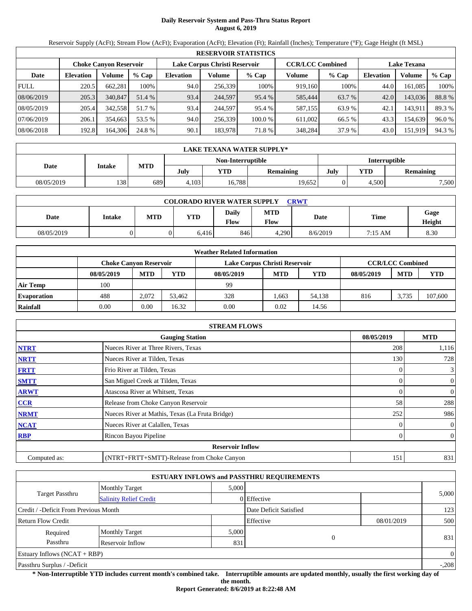# **Daily Reservoir System and Pass-Thru Status Report August 6, 2019**

Reservoir Supply (AcFt); Stream Flow (AcFt); Evaporation (AcFt); Elevation (Ft); Rainfall (Inches); Temperature (°F); Gage Height (ft MSL)

|             |                  |                               |         |                               |         | <b>RESERVOIR STATISTICS</b> |                         |         |                    |         |        |
|-------------|------------------|-------------------------------|---------|-------------------------------|---------|-----------------------------|-------------------------|---------|--------------------|---------|--------|
|             |                  | <b>Choke Canyon Reservoir</b> |         | Lake Corpus Christi Reservoir |         |                             | <b>CCR/LCC Combined</b> |         | <b>Lake Texana</b> |         |        |
| Date        | <b>Elevation</b> | Volume                        | $%$ Cap | <b>Elevation</b>              | Volume  | $%$ Cap                     | Volume                  | $%$ Cap | <b>Elevation</b>   | Volume  | % Cap  |
| <b>FULL</b> | 220.5            | 662.281                       | 100%    | 94.0                          | 256,339 | 100%                        | 919,160                 | 100%    | 44.0               | 161.085 | 100%   |
| 08/06/2019  | 205.3            | 340,847                       | 51.4 %  | 93.4                          | 244,597 | 95.4 %                      | 585,444                 | 63.7 %  | 42.0               | 143,036 | 88.8%  |
| 08/05/2019  | 205.4            | 342,558                       | 51.7 %  | 93.4                          | 244,597 | 95.4 %                      | 587,155                 | 63.9 %  | 42.1               | 143,911 | 89.3%  |
| 07/06/2019  | 206.1            | 354,663                       | 53.5 %  | 94.0                          | 256,339 | 100.0 %                     | 611.002                 | 66.5 %  | 43.3               | 154,639 | 96.0%  |
| 08/06/2018  | 192.8            | 164,306                       | 24.8 %  | 90.1                          | 183,978 | 71.8 %                      | 348,284                 | 37.9 %  | 43.0               | 151,919 | 94.3 % |

|            | LAKE TEXANA WATER SUPPLY* |            |       |                   |                  |               |       |                  |  |  |  |
|------------|---------------------------|------------|-------|-------------------|------------------|---------------|-------|------------------|--|--|--|
|            |                           | <b>MTD</b> |       | Non-Interruptible |                  | Interruptible |       |                  |  |  |  |
| Date       | Intake                    |            | July  | YTD               | <b>Remaining</b> | July          | YTD   | <b>Remaining</b> |  |  |  |
| 08/05/2019 | 138                       | 689        | 4,103 | 16,788            | 19,652           |               | 4,500 | 7,500            |  |  |  |

| <b>COLORADO RIVER WATER SUPPLY</b><br><b>CRWT</b> |               |            |       |               |             |          |             |                |  |  |
|---------------------------------------------------|---------------|------------|-------|---------------|-------------|----------|-------------|----------------|--|--|
| Date                                              | <b>Intake</b> | <b>MTD</b> | YTD   | Dailv<br>Flow | MTD<br>Flow | Date     | <b>Time</b> | Gage<br>Height |  |  |
| 08/05/2019                                        |               |            | 6,416 | 846           | 4,290       | 8/6/2019 | 7:15 AM     | 8.30           |  |  |

|                    |                        |            |        | <b>Weather Related Information</b> |            |        |            |                         |         |
|--------------------|------------------------|------------|--------|------------------------------------|------------|--------|------------|-------------------------|---------|
|                    | Choke Canvon Reservoir |            |        | Lake Corpus Christi Reservoir      |            |        |            | <b>CCR/LCC Combined</b> |         |
|                    | 08/05/2019             | <b>MTD</b> | YTD    | 08/05/2019                         | <b>MTD</b> | YTD    | 08/05/2019 | <b>MTD</b>              | YTD     |
| Air Temp           | 100                    |            |        | 99                                 |            |        |            |                         |         |
| <b>Evaporation</b> | 488                    | 2.072      | 53.462 | 328                                | .663       | 54,138 | 816        | 3.735                   | 107,600 |
| Rainfall           | 0.00                   | 0.00       | 16.32  | 0.00                               | 0.02       | 14.56  |            |                         |         |

|              | <b>STREAM FLOWS</b>                             |            |                |
|--------------|-------------------------------------------------|------------|----------------|
|              | <b>Gauging Station</b>                          | 08/05/2019 | <b>MTD</b>     |
| <b>NTRT</b>  | Nueces River at Three Rivers, Texas             | 208        | 1,116          |
| <b>NRTT</b>  | Nueces River at Tilden, Texas                   | 130        | 728            |
| <b>FRTT</b>  | Frio River at Tilden, Texas                     |            | $\mathfrak{Z}$ |
| <b>SMTT</b>  | San Miguel Creek at Tilden, Texas               | 0          | $\overline{0}$ |
| <b>ARWT</b>  | Atascosa River at Whitsett, Texas               | 0          | $\overline{0}$ |
| CCR          | Release from Choke Canyon Reservoir             | 58         | 288            |
| <b>NRMT</b>  | Nueces River at Mathis, Texas (La Fruta Bridge) | 252        | 986            |
| <b>NCAT</b>  | Nueces River at Calallen, Texas                 |            | $\overline{0}$ |
| <b>RBP</b>   | Rincon Bayou Pipeline                           | 0          | $\overline{0}$ |
|              | <b>Reservoir Inflow</b>                         |            |                |
| Computed as: | (NTRT+FRTT+SMTT)-Release from Choke Canyon      | 151        | 831            |

|                                                         |                       |       | <b>ESTUARY INFLOWS and PASSTHRU REQUIREMENTS</b> |            |                |
|---------------------------------------------------------|-----------------------|-------|--------------------------------------------------|------------|----------------|
|                                                         | <b>Monthly Target</b> | 5.000 |                                                  |            |                |
| <b>Target Passthru</b><br><b>Salinity Relief Credit</b> |                       |       | 0 Effective                                      |            | 5,000          |
| Credit / -Deficit From Previous Month                   |                       |       | Date Deficit Satisfied                           |            | 123            |
| <b>Return Flow Credit</b>                               |                       |       | Effective                                        | 08/01/2019 | 500            |
| Required                                                | <b>Monthly Target</b> | 5,000 |                                                  |            |                |
| Passthru                                                | Reservoir Inflow      | 831   | $\Omega$                                         |            | 831            |
| Estuary Inflows $(NCAT + RBP)$                          |                       |       |                                                  |            | $\overline{0}$ |
| Passthru Surplus / -Deficit                             |                       |       |                                                  |            | $-.208$        |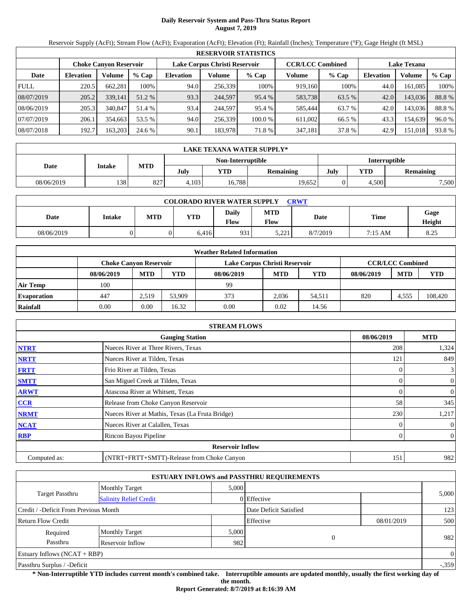# **Daily Reservoir System and Pass-Thru Status Report August 7, 2019**

Reservoir Supply (AcFt); Stream Flow (AcFt); Evaporation (AcFt); Elevation (Ft); Rainfall (Inches); Temperature (°F); Gage Height (ft MSL)

|             |                  |                               |         |                  |                               | <b>RESERVOIR STATISTICS</b> |                         |         |                    |         |       |
|-------------|------------------|-------------------------------|---------|------------------|-------------------------------|-----------------------------|-------------------------|---------|--------------------|---------|-------|
|             |                  | <b>Choke Canyon Reservoir</b> |         |                  | Lake Corpus Christi Reservoir |                             | <b>CCR/LCC Combined</b> |         | <b>Lake Texana</b> |         |       |
| Date        | <b>Elevation</b> | Volume                        | $%$ Cap | <b>Elevation</b> | Volume                        | $%$ Cap                     | Volume                  | $%$ Cap | Elevation          | Volume  | % Cap |
| <b>FULL</b> | 220.5            | 662,281                       | 100%    | 94.0             | 256,339                       | 100%                        | 919.160                 | 100%    | 44.0               | 161,085 | 100%  |
| 08/07/2019  | 205.2            | 339,141                       | 51.2 %  | 93.3             | 244,597                       | 95.4 %                      | 583,738                 | 63.5 %  | 42.0               | 143,036 | 88.8% |
| 08/06/2019  | 205.3            | 340,847                       | 51.4 %  | 93.4             | 244,597                       | 95.4 %                      | 585,444                 | 63.7 %  | 42.0               | 143,036 | 88.8% |
| 07/07/2019  | 206.1            | 354,663                       | 53.5 %  | 94.0             | 256,339                       | 100.0 %                     | 611,002                 | 66.5 %  | 43.3               | 154,639 | 96.0% |
| 08/07/2018  | 192.7            | 163,203                       | 24.6 %  | 90.1             | 183,978                       | 71.8%                       | 347,181                 | 37.8%   | 42.9               | 151,018 | 93.8% |

|            | <b>LAKE TEXANA WATER SUPPLY*</b> |            |                   |        |                  |      |               |                  |  |  |
|------------|----------------------------------|------------|-------------------|--------|------------------|------|---------------|------------------|--|--|
|            |                                  |            | Non-Interruptible |        |                  |      | Interruptible |                  |  |  |
| Date       | Intake                           | <b>MTD</b> | July              | YTD    | <b>Remaining</b> | July | YTD           | <b>Remaining</b> |  |  |
| 08/06/2019 | 138                              | 827        | 4,103             | 16,788 | 19,652           |      | 4,500         | 7,500            |  |  |

| <b>COLORADO RIVER WATER SUPPLY</b><br><b>CRWT</b> |               |            |       |               |                   |          |             |                |  |  |
|---------------------------------------------------|---------------|------------|-------|---------------|-------------------|----------|-------------|----------------|--|--|
| Date                                              | <b>Intake</b> | <b>MTD</b> | YTD   | Dailv<br>Flow | MTD<br>Flow       | Date     | <b>Time</b> | Gage<br>Height |  |  |
| 08/06/2019                                        |               |            | 6,416 | 931           | 221<br>لىك سكيە ك | 8/7/2019 | 7:15 AM     | 8.25           |  |  |

|                    |                        |            |        | <b>Weather Related Information</b> |            |        |            |                         |         |
|--------------------|------------------------|------------|--------|------------------------------------|------------|--------|------------|-------------------------|---------|
|                    | Choke Canvon Reservoir |            |        | Lake Corpus Christi Reservoir      |            |        |            | <b>CCR/LCC Combined</b> |         |
|                    | 08/06/2019             | <b>MTD</b> | YTD    | 08/06/2019                         | <b>MTD</b> | YTD    | 08/06/2019 | <b>MTD</b>              | YTD     |
| Air Temp           | 100                    |            |        | 99                                 |            |        |            |                         |         |
| <b>Evaporation</b> | 447                    | 2.519      | 53,909 | 373                                | 2.036      | 54.511 | 820        | 4.555                   | 108,420 |
| Rainfall           | 0.00                   | 0.00       | 16.32  | 0.00                               | 0.02       | 14.56  |            |                         |         |

|              | <b>STREAM FLOWS</b>                             |            |                  |
|--------------|-------------------------------------------------|------------|------------------|
|              | <b>Gauging Station</b>                          | 08/06/2019 | <b>MTD</b>       |
| <b>NTRT</b>  | Nueces River at Three Rivers, Texas             | 208        | 1,324            |
| <b>NRTT</b>  | Nueces River at Tilden, Texas                   | 121        | 849              |
| <b>FRTT</b>  | Frio River at Tilden, Texas                     |            | $\mathfrak{Z}$   |
| <b>SMTT</b>  | San Miguel Creek at Tilden, Texas               |            | $\boldsymbol{0}$ |
| <b>ARWT</b>  | Atascosa River at Whitsett, Texas               | 0          | $\boldsymbol{0}$ |
| CCR          | Release from Choke Canyon Reservoir             | 58         | 345              |
| <b>NRMT</b>  | Nueces River at Mathis, Texas (La Fruta Bridge) | 230        | 1,217            |
| <b>NCAT</b>  | Nueces River at Calallen, Texas                 |            | $\boldsymbol{0}$ |
| <b>RBP</b>   | Rincon Bayou Pipeline                           |            | $\overline{0}$   |
|              | <b>Reservoir Inflow</b>                         |            |                  |
| Computed as: | (NTRT+FRTT+SMTT)-Release from Choke Canyon      | 151        | 982              |

|                                       |                               |       | <b>ESTUARY INFLOWS and PASSTHRU REQUIREMENTS</b> |            |          |
|---------------------------------------|-------------------------------|-------|--------------------------------------------------|------------|----------|
|                                       | <b>Monthly Target</b>         | 5.000 |                                                  |            |          |
| <b>Target Passthru</b>                | <b>Salinity Relief Credit</b> |       | 0 Effective                                      |            | 5,000    |
| Credit / -Deficit From Previous Month |                               |       | Date Deficit Satisfied                           |            | 123      |
| Return Flow Credit                    |                               |       | Effective                                        | 08/01/2019 | 500      |
| Required                              | <b>Monthly Target</b>         | 5,000 |                                                  |            |          |
| Passthru                              | Reservoir Inflow              | 982   | $\theta$                                         |            | 982      |
| Estuary Inflows $(NCAT + RBP)$        |                               |       |                                                  |            | $\Omega$ |
| Passthru Surplus / -Deficit           |                               |       |                                                  |            | $-.359$  |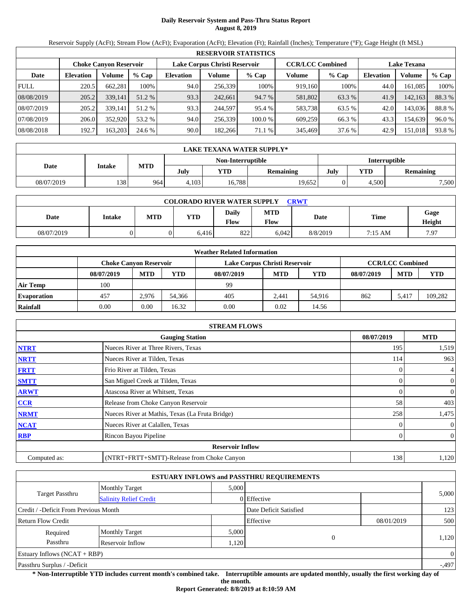# **Daily Reservoir System and Pass-Thru Status Report August 8, 2019**

Reservoir Supply (AcFt); Stream Flow (AcFt); Evaporation (AcFt); Elevation (Ft); Rainfall (Inches); Temperature (°F); Gage Height (ft MSL)

|             |                  |                               |         |                               |         | <b>RESERVOIR STATISTICS</b> |                         |         |                    |         |        |
|-------------|------------------|-------------------------------|---------|-------------------------------|---------|-----------------------------|-------------------------|---------|--------------------|---------|--------|
|             |                  | <b>Choke Canyon Reservoir</b> |         | Lake Corpus Christi Reservoir |         |                             | <b>CCR/LCC Combined</b> |         | <b>Lake Texana</b> |         |        |
| Date        | <b>Elevation</b> | Volume                        | $%$ Cap | <b>Elevation</b>              | Volume  | $%$ Cap                     | Volume                  | $%$ Cap | <b>Elevation</b>   | Volume  | % Cap  |
| <b>FULL</b> | 220.5            | 662,281                       | 100%    | 94.0                          | 256,339 | 100%                        | 919.160                 | 100%    | 44.0               | 161,085 | 100%   |
| 08/08/2019  | 205.2            | 339,141                       | 51.2 %  | 93.3                          | 242,661 | 94.7 %                      | 581,802                 | 63.3 %  | 41.9               | 142,163 | 88.3 % |
| 08/07/2019  | 205.2            | 339.141                       | 51.2 %  | 93.3                          | 244,597 | 95.4 %                      | 583,738                 | 63.5 %  | 42.0               | 143,036 | 88.8%  |
| 07/08/2019  | 206.0            | 352,920                       | 53.2 %  | 94.0                          | 256.339 | 100.0 %                     | 609,259                 | 66.3 %  | 43.3               | 154,639 | 96.0 % |
| 08/08/2018  | 192.7            | 163,203                       | 24.6 %  | 90.0                          | 182.266 | 71.1 %                      | 345,469                 | 37.6 %  | 42.9               | 151,018 | 93.8%  |

|            | LAKE TEXANA WATER SUPPLY* |            |       |                   |                  |               |       |                  |  |  |
|------------|---------------------------|------------|-------|-------------------|------------------|---------------|-------|------------------|--|--|
|            |                           |            |       | Non-Interruptible |                  | Interruptible |       |                  |  |  |
| Date       | Intake                    | <b>MTD</b> | July  | YTD               | <b>Remaining</b> | July          | YTD   | <b>Remaining</b> |  |  |
| 08/07/2019 | 138                       | 964        | 4,103 | 16,788            | 19,652           |               | 4,500 | 7,500            |  |  |

| <b>COLORADO RIVER WATER SUPPLY</b><br><b>CRWT</b> |               |            |       |               |             |          |             |                |  |  |
|---------------------------------------------------|---------------|------------|-------|---------------|-------------|----------|-------------|----------------|--|--|
| Date                                              | <b>Intake</b> | <b>MTD</b> | YTD   | Dailv<br>Flow | MTD<br>Flow | Date     | <b>Time</b> | Gage<br>Height |  |  |
| 08/07/2019                                        |               |            | 6,416 | 822           | 6.042       | 8/8/2019 | 7:15 AM     | 7.97           |  |  |

|                    |                        |            |        | <b>Weather Related Information</b> |            |            |            |                         |            |
|--------------------|------------------------|------------|--------|------------------------------------|------------|------------|------------|-------------------------|------------|
|                    | Choke Canvon Reservoir |            |        | Lake Corpus Christi Reservoir      |            |            |            | <b>CCR/LCC Combined</b> |            |
|                    | 08/07/2019             | <b>MTD</b> | YTD    | 08/07/2019                         | <b>MTD</b> | <b>YTD</b> | 08/07/2019 | <b>MTD</b>              | <b>YTD</b> |
| <b>Air Temp</b>    | 100                    |            |        | 99                                 |            |            |            |                         |            |
| <b>Evaporation</b> | 457                    | 2.976      | 54.366 | 405                                | 2.441      | 54.916     | 862        | 5.417                   | 109,282    |
| Rainfall           | 0.00                   | 0.00       | 16.32  | 0.00                               | 0.02       | 14.56      |            |                         |            |

|              | <b>STREAM FLOWS</b>                             |            |                  |
|--------------|-------------------------------------------------|------------|------------------|
|              | <b>Gauging Station</b>                          | 08/07/2019 | <b>MTD</b>       |
| <b>NTRT</b>  | Nueces River at Three Rivers, Texas             | 195        | 1,519            |
| <b>NRTT</b>  | Nueces River at Tilden, Texas                   | 114        | 963              |
| <b>FRTT</b>  | Frio River at Tilden, Texas                     |            | $\overline{4}$   |
| <b>SMTT</b>  | San Miguel Creek at Tilden, Texas               |            | $\boldsymbol{0}$ |
| <b>ARWT</b>  | Atascosa River at Whitsett, Texas               | 0          | $\boldsymbol{0}$ |
| CCR          | Release from Choke Canyon Reservoir             | 58         | 403              |
| <b>NRMT</b>  | Nueces River at Mathis, Texas (La Fruta Bridge) | 258        | 1,475            |
| <b>NCAT</b>  | Nueces River at Calallen, Texas                 |            | $\boldsymbol{0}$ |
| <b>RBP</b>   | Rincon Bayou Pipeline                           |            | $\overline{0}$   |
|              | <b>Reservoir Inflow</b>                         |            |                  |
| Computed as: | (NTRT+FRTT+SMTT)-Release from Choke Canyon      | 138        | 1,120            |

|                                       |                               |       | <b>ESTUARY INFLOWS and PASSTHRU REQUIREMENTS</b> |            |              |
|---------------------------------------|-------------------------------|-------|--------------------------------------------------|------------|--------------|
|                                       | <b>Monthly Target</b>         | 5.000 |                                                  |            |              |
| <b>Target Passthru</b>                | <b>Salinity Relief Credit</b> |       | 0 Effective                                      |            | 5,000        |
| Credit / -Deficit From Previous Month |                               |       | Date Deficit Satisfied                           |            | 123          |
| <b>Return Flow Credit</b>             |                               |       | Effective                                        | 08/01/2019 | 500          |
| Required                              | <b>Monthly Target</b>         | 5,000 |                                                  |            |              |
| Passthru                              | Reservoir Inflow              | 1,120 | 0                                                |            | 1,120        |
| Estuary Inflows $(NCAT + RBP)$        |                               |       |                                                  |            | $\mathbf{0}$ |
| Passthru Surplus / -Deficit           |                               |       |                                                  |            | $-0.497$     |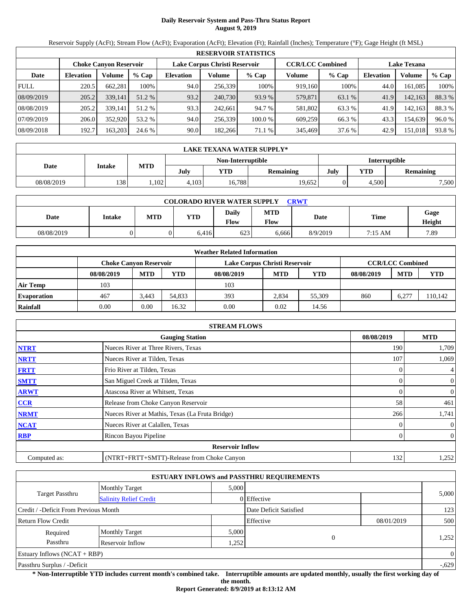# **Daily Reservoir System and Pass-Thru Status Report August 9, 2019**

Reservoir Supply (AcFt); Stream Flow (AcFt); Evaporation (AcFt); Elevation (Ft); Rainfall (Inches); Temperature (°F); Gage Height (ft MSL)

|             | <b>RESERVOIR STATISTICS</b> |                               |         |                               |         |         |                         |         |                    |         |        |  |  |
|-------------|-----------------------------|-------------------------------|---------|-------------------------------|---------|---------|-------------------------|---------|--------------------|---------|--------|--|--|
|             |                             | <b>Choke Canyon Reservoir</b> |         | Lake Corpus Christi Reservoir |         |         | <b>CCR/LCC Combined</b> |         | <b>Lake Texana</b> |         |        |  |  |
| Date        | <b>Elevation</b>            | Volume                        | $%$ Cap | <b>Elevation</b>              | Volume  | $%$ Cap | Volume                  | $%$ Cap | <b>Elevation</b>   | Volume  | % Cap  |  |  |
| <b>FULL</b> | 220.5                       | 662,281                       | 100%    | 94.0                          | 256,339 | 100%    | 919.160                 | 100%    | 44.0               | 161,085 | 100%   |  |  |
| 08/09/2019  | 205.2                       | 339,141                       | 51.2 %  | 93.2                          | 240,730 | 93.9 %  | 579,871                 | 63.1 %  | 41.9               | 142,163 | 88.3 % |  |  |
| 08/08/2019  | 205.2                       | 339.141                       | 51.2 %  | 93.3                          | 242,661 | 94.7 %  | 581,802                 | 63.3 %  | 41.9               | 142,163 | 88.3 % |  |  |
| 07/09/2019  | 206.0                       | 352,920                       | 53.2 %  | 94.0                          | 256.339 | 100.0 % | 609,259                 | 66.3 %  | 43.3               | 154,639 | 96.0 % |  |  |
| 08/09/2018  | 192.7                       | 163,203                       | 24.6 %  | 90.0                          | 182.266 | 71.1 %  | 345,469                 | 37.6 %  | 42.9               | 151,018 | 93.8%  |  |  |

|            | LAKE TEXANA WATER SUPPLY* |            |       |                   |           |                      |            |                  |  |  |  |
|------------|---------------------------|------------|-------|-------------------|-----------|----------------------|------------|------------------|--|--|--|
|            |                           |            |       | Non-Interruptible |           | <b>Interruptible</b> |            |                  |  |  |  |
| Date       | <b>Intake</b>             | <b>MTD</b> | July  | YTD               | Remaining | July                 | <b>YTD</b> | <b>Remaining</b> |  |  |  |
| 08/08/2019 | 138                       | .102       | 4.103 | 16,788            | 19.652    |                      | 4.500      | 7.500            |  |  |  |

| <b>COLORADO RIVER WATER SUPPLY</b><br>CRWT |               |            |            |                      |                    |          |                   |                |  |  |
|--------------------------------------------|---------------|------------|------------|----------------------|--------------------|----------|-------------------|----------------|--|--|
| Date                                       | <b>Intake</b> | <b>MTD</b> | <b>YTD</b> | <b>Daily</b><br>Flow | <b>MTD</b><br>Flow | Date     | Time              | Gage<br>Height |  |  |
| 08/08/2019                                 |               |            | 6,416      | 623                  | 6,666              | 8/9/2019 | $7:15 \text{ AM}$ | 7.89           |  |  |

|                    |                        |            |        | <b>Weather Related Information</b> |            |            |            |                         |            |
|--------------------|------------------------|------------|--------|------------------------------------|------------|------------|------------|-------------------------|------------|
|                    | Choke Canvon Reservoir |            |        | Lake Corpus Christi Reservoir      |            |            |            | <b>CCR/LCC Combined</b> |            |
|                    | 08/08/2019             | <b>MTD</b> | YTD    | 08/08/2019                         | <b>MTD</b> | <b>YTD</b> | 08/08/2019 | <b>MTD</b>              | <b>YTD</b> |
| <b>Air Temp</b>    | 103                    |            |        | 103                                |            |            |            |                         |            |
| <b>Evaporation</b> | 467                    | 3.443      | 54.833 | 393                                | 2.834      | 55,309     | 860        | $6,27^{-}$              | 110,142    |
| Rainfall           | 0.00                   | 0.00       | 16.32  | 0.00                               | 0.02       | 14.56      |            |                         |            |

|              | <b>STREAM FLOWS</b>                             |            |                  |
|--------------|-------------------------------------------------|------------|------------------|
|              | <b>Gauging Station</b>                          | 08/08/2019 | <b>MTD</b>       |
| <b>NTRT</b>  | Nueces River at Three Rivers, Texas             | 190        | 1,709            |
| <b>NRTT</b>  | Nueces River at Tilden, Texas                   | 107        | 1,069            |
| <b>FRTT</b>  | Frio River at Tilden, Texas                     |            | 4                |
| <b>SMTT</b>  | San Miguel Creek at Tilden, Texas               |            | $\overline{0}$   |
| <b>ARWT</b>  | Atascosa River at Whitsett, Texas               | 0          | $\boldsymbol{0}$ |
| <b>CCR</b>   | Release from Choke Canyon Reservoir             | 58         | 461              |
| <b>NRMT</b>  | Nueces River at Mathis, Texas (La Fruta Bridge) | 266        | 1,741            |
| <b>NCAT</b>  | Nueces River at Calallen, Texas                 |            | $\overline{0}$   |
| <b>RBP</b>   | Rincon Bayou Pipeline                           |            | $\overline{0}$   |
|              | <b>Reservoir Inflow</b>                         |            |                  |
| Computed as: | (NTRT+FRTT+SMTT)-Release from Choke Canyon      | 132        | 1,252            |

|                                       |                               |       | <b>ESTUARY INFLOWS and PASSTHRU REQUIREMENTS</b> |            |          |
|---------------------------------------|-------------------------------|-------|--------------------------------------------------|------------|----------|
|                                       | <b>Monthly Target</b>         | 5.000 |                                                  |            |          |
| <b>Target Passthru</b>                | <b>Salinity Relief Credit</b> |       | 0 Effective                                      |            | 5,000    |
| Credit / -Deficit From Previous Month |                               |       | Date Deficit Satisfied                           |            | 123      |
| <b>Return Flow Credit</b>             |                               |       | Effective                                        | 08/01/2019 | 500      |
| Required                              | <b>Monthly Target</b>         | 5,000 |                                                  |            |          |
| Passthru                              | Reservoir Inflow              | .252  | $\Omega$                                         |            | 1,252    |
| Estuary Inflows $(NCAT + RBP)$        |                               |       |                                                  |            | $\theta$ |
| Passthru Surplus / -Deficit           |                               |       |                                                  |            | $-.629$  |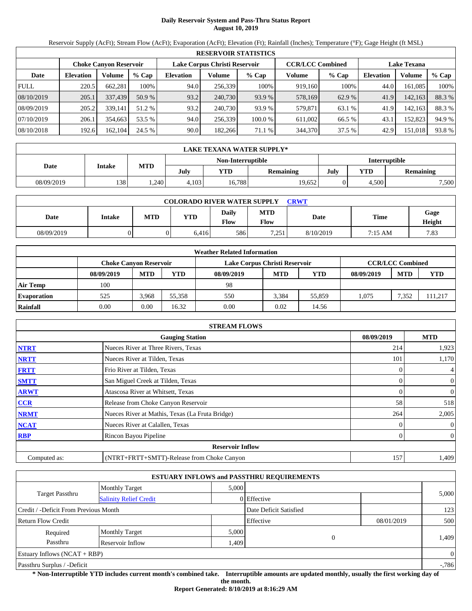# **Daily Reservoir System and Pass-Thru Status Report August 10, 2019**

Reservoir Supply (AcFt); Stream Flow (AcFt); Evaporation (AcFt); Elevation (Ft); Rainfall (Inches); Temperature (°F); Gage Height (ft MSL)

|             | <b>RESERVOIR STATISTICS</b> |                               |         |                               |         |         |                         |         |                    |         |        |  |  |
|-------------|-----------------------------|-------------------------------|---------|-------------------------------|---------|---------|-------------------------|---------|--------------------|---------|--------|--|--|
|             |                             | <b>Choke Canyon Reservoir</b> |         | Lake Corpus Christi Reservoir |         |         | <b>CCR/LCC Combined</b> |         | <b>Lake Texana</b> |         |        |  |  |
| Date        | <b>Elevation</b>            | Volume                        | $%$ Cap | <b>Elevation</b>              | Volume  | $%$ Cap | Volume                  | $%$ Cap | <b>Elevation</b>   | Volume  | % Cap  |  |  |
| <b>FULL</b> | 220.5                       | 662.281                       | 100%    | 94.0                          | 256,339 | 100%    | 919,160                 | 100%    | 44.0               | 161.085 | 100%   |  |  |
| 08/10/2019  | 205.1                       | 337,439                       | 50.9 %  | 93.2                          | 240,730 | 93.9 %  | 578.169                 | 62.9 %  | 41.9               | 142,163 | 88.3 % |  |  |
| 08/09/2019  | 205.2                       | 339.141                       | 51.2 %  | 93.2                          | 240,730 | 93.9 %  | 579,871                 | 63.1 %  | 41.9               | 142,163 | 88.3%  |  |  |
| 07/10/2019  | 206.1                       | 354.663                       | 53.5 %  | 94.0                          | 256.339 | 100.0%  | 611.002                 | 66.5 %  | 43.1               | 152.823 | 94.9 % |  |  |
| 08/10/2018  | 192.6                       | 162,104                       | 24.5 %  | 90.0                          | 182,266 | 71.1 %  | 344,370                 | 37.5 %  | 42.9               | 151,018 | 93.8%  |  |  |

|            | LAKE TEXANA WATER SUPPLY* |            |       |                   |           |                      |            |                  |  |  |  |
|------------|---------------------------|------------|-------|-------------------|-----------|----------------------|------------|------------------|--|--|--|
|            |                           |            |       | Non-Interruptible |           | <b>Interruptible</b> |            |                  |  |  |  |
| Date       | <b>Intake</b>             | <b>MTD</b> | July  | YTD               | Remaining | July                 | <b>YTD</b> | <b>Remaining</b> |  |  |  |
| 08/09/2019 | 138                       | .240       | 4.103 | 16.788            | 19.652    |                      | 4.500      | 7.500            |  |  |  |

| <b>COLORADO RIVER WATER SUPPLY</b><br>CRWT |        |     |       |                      |                    |           |             |                |  |  |  |
|--------------------------------------------|--------|-----|-------|----------------------|--------------------|-----------|-------------|----------------|--|--|--|
| Date                                       | Intake | MTD | YTD   | <b>Daily</b><br>Flow | <b>MTD</b><br>Flow | Date      | <b>Time</b> | Gage<br>Height |  |  |  |
| 08/09/2019                                 |        |     | 6.416 | 586                  | 7,251              | 8/10/2019 | 7:15 AM     | 7.83           |  |  |  |

|                    |            |                               |        | <b>Weather Related Information</b> |            |            |            |                         |            |
|--------------------|------------|-------------------------------|--------|------------------------------------|------------|------------|------------|-------------------------|------------|
|                    |            | <b>Choke Canvon Reservoir</b> |        | Lake Corpus Christi Reservoir      |            |            |            | <b>CCR/LCC Combined</b> |            |
|                    | 08/09/2019 | <b>MTD</b>                    | YTD    | 08/09/2019                         | <b>MTD</b> | <b>YTD</b> | 08/09/2019 | <b>MTD</b>              | <b>YTD</b> |
| <b>Air Temp</b>    | 100        |                               |        | 98                                 |            |            |            |                         |            |
| <b>Evaporation</b> | 525        | 3.968                         | 55.358 | 550                                | 3.384      | 55,859     | .075       | 7.352                   | 111,217    |
| Rainfall           | 0.00       | 0.00                          | 16.32  | 0.00                               | 0.02       | 14.56      |            |                         |            |

|              | <b>STREAM FLOWS</b>                             |            |                  |
|--------------|-------------------------------------------------|------------|------------------|
|              | <b>Gauging Station</b>                          | 08/09/2019 | <b>MTD</b>       |
| <b>NTRT</b>  | Nueces River at Three Rivers, Texas             | 214        | 1,923            |
| <b>NRTT</b>  | Nueces River at Tilden, Texas                   | 101        | 1,170            |
| <b>FRTT</b>  | Frio River at Tilden, Texas                     |            | 4                |
| <b>SMTT</b>  | San Miguel Creek at Tilden, Texas               |            | $\overline{0}$   |
| <b>ARWT</b>  | Atascosa River at Whitsett, Texas               | 0          | $\boldsymbol{0}$ |
| <b>CCR</b>   | Release from Choke Canyon Reservoir             | 58         | 518              |
| <b>NRMT</b>  | Nueces River at Mathis, Texas (La Fruta Bridge) | 264        | 2,005            |
| <b>NCAT</b>  | Nueces River at Calallen, Texas                 |            | $\mathbf{0}$     |
| <b>RBP</b>   | Rincon Bayou Pipeline                           |            | $\overline{0}$   |
|              | <b>Reservoir Inflow</b>                         |            |                  |
| Computed as: | (NTRT+FRTT+SMTT)-Release from Choke Canyon      | 157        | 1,409            |

|                                       |                               |       | <b>ESTUARY INFLOWS and PASSTHRU REQUIREMENTS</b> |            |              |
|---------------------------------------|-------------------------------|-------|--------------------------------------------------|------------|--------------|
|                                       | <b>Monthly Target</b>         | 5.000 |                                                  |            |              |
| <b>Target Passthru</b>                | <b>Salinity Relief Credit</b> |       | 0 Effective                                      |            | 5,000        |
| Credit / -Deficit From Previous Month |                               |       | Date Deficit Satisfied                           |            | 123          |
| <b>Return Flow Credit</b>             |                               |       | Effective                                        | 08/01/2019 | 500          |
| Required                              | <b>Monthly Target</b>         | 5,000 |                                                  |            |              |
| Passthru                              | Reservoir Inflow              | .409  | 0                                                |            | 1,409        |
| Estuary Inflows $(NCAT + RBP)$        |                               |       |                                                  |            | $\mathbf{0}$ |
| Passthru Surplus / -Deficit           |                               |       |                                                  |            | $-786$       |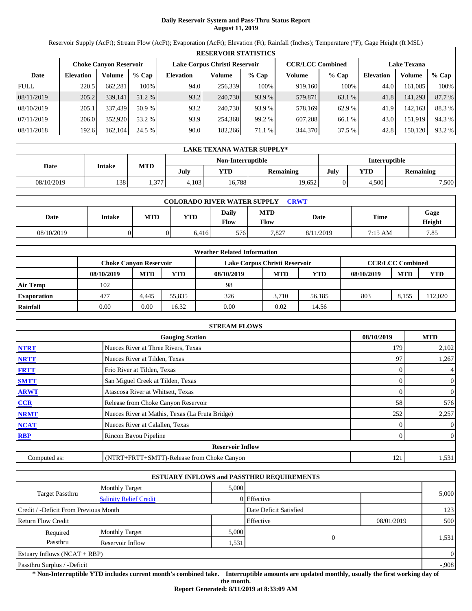# **Daily Reservoir System and Pass-Thru Status Report August 11, 2019**

Reservoir Supply (AcFt); Stream Flow (AcFt); Evaporation (AcFt); Elevation (Ft); Rainfall (Inches); Temperature (°F); Gage Height (ft MSL)

|             | <b>RESERVOIR STATISTICS</b> |                               |         |                               |         |         |                         |         |                    |         |        |  |
|-------------|-----------------------------|-------------------------------|---------|-------------------------------|---------|---------|-------------------------|---------|--------------------|---------|--------|--|
|             |                             | <b>Choke Canvon Reservoir</b> |         | Lake Corpus Christi Reservoir |         |         | <b>CCR/LCC Combined</b> |         | <b>Lake Texana</b> |         |        |  |
| Date        | <b>Elevation</b>            | Volume                        | $%$ Cap | <b>Elevation</b>              | Volume  | $%$ Cap | Volume                  | $%$ Cap | <b>Elevation</b>   | Volume  | % Cap  |  |
| <b>FULL</b> | 220.5                       | 662,281                       | 100%    | 94.0                          | 256,339 | 100%    | 919,160                 | 100%    | 44.0               | 161.085 | 100%   |  |
| 08/11/2019  | 205.2                       | 339,141                       | 51.2 %  | 93.2                          | 240,730 | 93.9 %  | 579,871                 | 63.1 %  | 41.8               | 141,293 | 87.7 % |  |
| 08/10/2019  | 205.1                       | 337,439                       | 50.9%   | 93.2                          | 240,730 | 93.9 %  | 578,169                 | 62.9 %  | 41.9               | 142,163 | 88.3 % |  |
| 07/11/2019  | 206.0                       | 352,920                       | 53.2 %  | 93.9                          | 254.368 | 99.2 %  | 607.288                 | 66.1 %  | 43.0               | 151,919 | 94.3 % |  |
| 08/11/2018  | 192.6                       | 162,104                       | 24.5 %  | 90.0                          | 182.266 | 71.1 %  | 344,370                 | 37.5 %  | 42.8               | 150,120 | 93.2 % |  |

|            | LAKE TEXANA WATER SUPPLY* |            |                   |        |           |      |                      |                  |  |  |  |
|------------|---------------------------|------------|-------------------|--------|-----------|------|----------------------|------------------|--|--|--|
|            | <b>Intake</b>             |            | Non-Interruptible |        |           |      | <b>Interruptible</b> |                  |  |  |  |
| Date       |                           | <b>MTD</b> | July              | YTD    | Remaining | July | <b>YTD</b>           | <b>Remaining</b> |  |  |  |
| 08/10/2019 | 138                       | 1,377      | 4.103             | 16,788 | 19.652    |      | 4.500                | 7,500            |  |  |  |

| <b>COLORADO RIVER WATER SUPPLY</b><br><b>CRWT</b> |        |            |       |                      |                    |           |             |                |  |  |
|---------------------------------------------------|--------|------------|-------|----------------------|--------------------|-----------|-------------|----------------|--|--|
| Date                                              | Intake | <b>MTD</b> | YTD   | <b>Daily</b><br>Flow | <b>MTD</b><br>Flow | Date      | <b>Time</b> | Gage<br>Height |  |  |
| 08/10/2019                                        |        |            | 6.416 | 576                  | 7.827              | 8/11/2019 | 7:15 AM     | 7.85           |  |  |

|                    |                               |            |        | <b>Weather Related Information</b> |            |            |            |                         |            |
|--------------------|-------------------------------|------------|--------|------------------------------------|------------|------------|------------|-------------------------|------------|
|                    | <b>Choke Canvon Reservoir</b> |            |        | Lake Corpus Christi Reservoir      |            |            |            | <b>CCR/LCC Combined</b> |            |
|                    | 08/10/2019                    | <b>MTD</b> | YTD    | 08/10/2019                         | <b>MTD</b> | <b>YTD</b> | 08/10/2019 | <b>MTD</b>              | <b>YTD</b> |
| <b>Air Temp</b>    | 102                           |            |        | 98                                 |            |            |            |                         |            |
| <b>Evaporation</b> | 477                           | 4,445      | 55.835 | 326                                | 3.710      | 56.185     | 803        | 8.155                   | 112.020    |
| Rainfall           | 0.00                          | 0.00       | 16.32  | 0.00                               | 0.02       | 14.56      |            |                         |            |

|              | <b>STREAM FLOWS</b>                             |            |                  |
|--------------|-------------------------------------------------|------------|------------------|
|              | <b>Gauging Station</b>                          | 08/10/2019 | <b>MTD</b>       |
| <b>NTRT</b>  | Nueces River at Three Rivers, Texas             | 179        | 2,102            |
| <b>NRTT</b>  | Nueces River at Tilden, Texas                   | 97         | 1,267            |
| <b>FRTT</b>  | Frio River at Tilden, Texas                     |            | 4                |
| <b>SMTT</b>  | San Miguel Creek at Tilden, Texas               |            | $\overline{0}$   |
| <b>ARWT</b>  | Atascosa River at Whitsett, Texas               |            | $\boldsymbol{0}$ |
| <b>CCR</b>   | Release from Choke Canyon Reservoir             | 58         | 576              |
| <b>NRMT</b>  | Nueces River at Mathis, Texas (La Fruta Bridge) | 252        | 2,257            |
| <b>NCAT</b>  | Nueces River at Calallen, Texas                 |            | $\overline{0}$   |
| <b>RBP</b>   | Rincon Bayou Pipeline                           |            | $\overline{0}$   |
|              | <b>Reservoir Inflow</b>                         |            |                  |
| Computed as: | (NTRT+FRTT+SMTT)-Release from Choke Canyon      | 121        | 1,531            |

|                                                         |                       |       | <b>ESTUARY INFLOWS and PASSTHRU REQUIREMENTS</b> |            |          |
|---------------------------------------------------------|-----------------------|-------|--------------------------------------------------|------------|----------|
|                                                         | <b>Monthly Target</b> | 5.000 |                                                  |            |          |
| <b>Target Passthru</b><br><b>Salinity Relief Credit</b> |                       |       | 0 Effective                                      |            | 5,000    |
| Credit / -Deficit From Previous Month                   |                       |       | Date Deficit Satisfied                           |            | 123      |
| <b>Return Flow Credit</b>                               |                       |       | Effective                                        | 08/01/2019 | 500      |
| Required                                                | <b>Monthly Target</b> | 5,000 |                                                  |            |          |
| Passthru                                                | Reservoir Inflow      | .531  | $\Omega$                                         |            | 1,531    |
| Estuary Inflows $(NCAT + RBP)$                          |                       |       |                                                  |            | $\theta$ |
| Passthru Surplus / -Deficit                             |                       |       |                                                  |            | $-.908$  |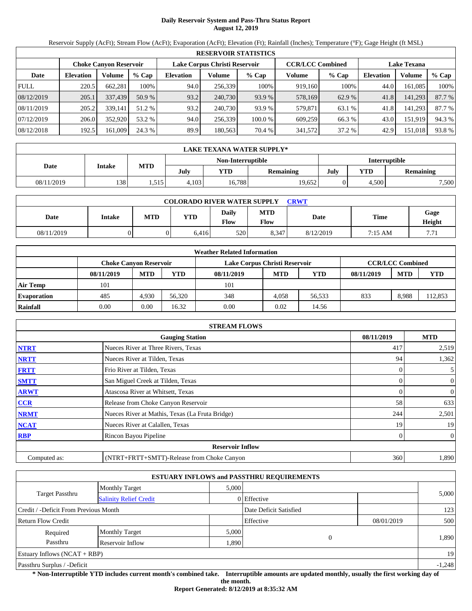# **Daily Reservoir System and Pass-Thru Status Report August 12, 2019**

Reservoir Supply (AcFt); Stream Flow (AcFt); Evaporation (AcFt); Elevation (Ft); Rainfall (Inches); Temperature (°F); Gage Height (ft MSL)

|             | <b>RESERVOIR STATISTICS</b> |                               |         |                               |         |         |                         |         |                    |         |        |  |
|-------------|-----------------------------|-------------------------------|---------|-------------------------------|---------|---------|-------------------------|---------|--------------------|---------|--------|--|
|             |                             | <b>Choke Canyon Reservoir</b> |         | Lake Corpus Christi Reservoir |         |         | <b>CCR/LCC Combined</b> |         | <b>Lake Texana</b> |         |        |  |
| Date        | <b>Elevation</b>            | Volume                        | $%$ Cap | <b>Elevation</b>              | Volume  | $%$ Cap | Volume                  | $%$ Cap | <b>Elevation</b>   | Volume  | % Cap  |  |
| <b>FULL</b> | 220.5                       | 662,281                       | 100%    | 94.0                          | 256,339 | 100%    | 919.160                 | 100%    | 44.0               | 161,085 | 100%   |  |
| 08/12/2019  | 205.1                       | 337,439                       | 50.9%   | 93.2                          | 240,730 | 93.9 %  | 578,169                 | 62.9 %  | 41.8               | 141,293 | 87.7 % |  |
| 08/11/2019  | 205.2                       | 339.141                       | 51.2 %  | 93.2                          | 240,730 | 93.9 %  | 579,871                 | 63.1 %  | 41.8               | 141,293 | 87.7 % |  |
| 07/12/2019  | 206.0                       | 352,920                       | 53.2 %  | 94.0                          | 256.339 | 100.0%  | 609,259                 | 66.3 %  | 43.0               | 151.919 | 94.3 % |  |
| 08/12/2018  | 192.5                       | 161,009                       | 24.3 %  | 89.9                          | 180,563 | 70.4 %  | 341,572                 | 37.2 %  | 42.9               | 151,018 | 93.8%  |  |

|            | LAKE TEXANA WATER SUPPLY* |            |                   |        |           |      |                      |                  |  |  |  |
|------------|---------------------------|------------|-------------------|--------|-----------|------|----------------------|------------------|--|--|--|
|            | <b>Intake</b>             |            | Non-Interruptible |        |           |      | <b>Interruptible</b> |                  |  |  |  |
| Date       |                           | <b>MTD</b> | July              | YTD    | Remaining | July | <b>YTD</b>           | <b>Remaining</b> |  |  |  |
| 08/11/2019 | 138                       | 1,515      | 4.103             | 16,788 | 19.652    |      | 4.500                | 7,500            |  |  |  |

| <b>COLORADO RIVER WATER SUPPLY</b><br><b>CRWT</b> |        |            |       |               |                    |           |             |                |  |  |
|---------------------------------------------------|--------|------------|-------|---------------|--------------------|-----------|-------------|----------------|--|--|
| Date                                              | Intake | <b>MTD</b> | YTD   | Daily<br>Flow | <b>MTD</b><br>Flow | Date      | <b>Time</b> | Gage<br>Height |  |  |
| 08/11/2019                                        |        |            | 6.416 | 520           | 8.347              | 8/12/2019 | 7:15 AM     | 7.71           |  |  |

|                    |                        |            |        | <b>Weather Related Information</b> |            |            |            |                         |            |
|--------------------|------------------------|------------|--------|------------------------------------|------------|------------|------------|-------------------------|------------|
|                    | Choke Canvon Reservoir |            |        | Lake Corpus Christi Reservoir      |            |            |            | <b>CCR/LCC Combined</b> |            |
|                    | 08/11/2019             | <b>MTD</b> | YTD    | 08/11/2019                         | <b>MTD</b> | <b>YTD</b> | 08/11/2019 | <b>MTD</b>              | <b>YTD</b> |
| <b>Air Temp</b>    | 101                    |            |        | 101                                |            |            |            |                         |            |
| <b>Evaporation</b> | 485                    | 4.930      | 56.320 | 348                                | 4.058      | 56.533     | 833        | 8,988                   | 12,853     |
| Rainfall           | 0.00                   | 0.00       | 16.32  | 0.00                               | 0.02       | 14.56      |            |                         |            |

|              | <b>STREAM FLOWS</b>                             |            |                  |
|--------------|-------------------------------------------------|------------|------------------|
|              | <b>Gauging Station</b>                          | 08/11/2019 | <b>MTD</b>       |
| <b>NTRT</b>  | Nueces River at Three Rivers, Texas             | 417        | 2,519            |
| <b>NRTT</b>  | Nueces River at Tilden, Texas                   | 94         | 1,362            |
| <b>FRTT</b>  | Frio River at Tilden, Texas                     |            | 5 <sup>1</sup>   |
| <b>SMTT</b>  | San Miguel Creek at Tilden, Texas               |            | $\overline{0}$   |
| <b>ARWT</b>  | Atascosa River at Whitsett, Texas               |            | $\boldsymbol{0}$ |
| <b>CCR</b>   | Release from Choke Canyon Reservoir             | 58         | 633              |
| <b>NRMT</b>  | Nueces River at Mathis, Texas (La Fruta Bridge) | 244        | 2,501            |
| <b>NCAT</b>  | Nueces River at Calallen, Texas                 | 19         | 19               |
| <b>RBP</b>   | Rincon Bayou Pipeline                           |            | $\overline{0}$   |
|              | <b>Reservoir Inflow</b>                         |            |                  |
| Computed as: | (NTRT+FRTT+SMTT)-Release from Choke Canyon      | 360        | 1,890            |

|                                       |                               |                        | <b>ESTUARY INFLOWS and PASSTHRU REQUIREMENTS</b> |            |          |
|---------------------------------------|-------------------------------|------------------------|--------------------------------------------------|------------|----------|
|                                       | <b>Monthly Target</b>         | 5,000                  |                                                  |            |          |
| Target Passthru                       | <b>Salinity Relief Credit</b> |                        | 0 Effective                                      |            | 5,000    |
| Credit / -Deficit From Previous Month |                               | Date Deficit Satisfied |                                                  | 123        |          |
| <b>Return Flow Credit</b>             |                               |                        | Effective                                        | 08/01/2019 | 500      |
| Required                              | <b>Monthly Target</b>         | 5,000                  |                                                  |            |          |
| Passthru<br>Reservoir Inflow<br>1,890 |                               |                        | $\theta$                                         |            | 1,890    |
| Estuary Inflows $(NCAT + RBP)$        |                               |                        |                                                  |            | 19       |
| Passthru Surplus / -Deficit           |                               |                        |                                                  |            | $-1,248$ |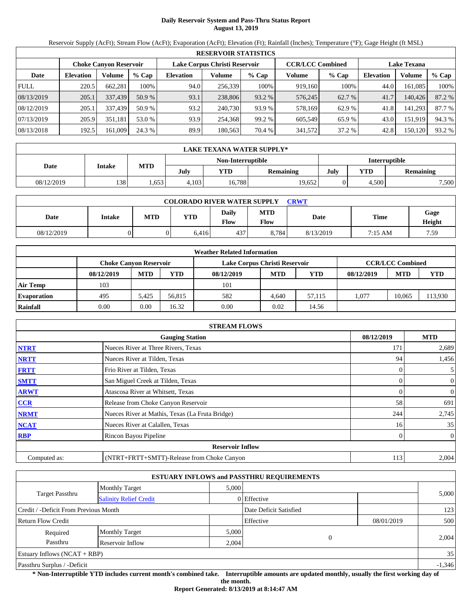# **Daily Reservoir System and Pass-Thru Status Report August 13, 2019**

Reservoir Supply (AcFt); Stream Flow (AcFt); Evaporation (AcFt); Elevation (Ft); Rainfall (Inches); Temperature (°F); Gage Height (ft MSL)

|             | <b>RESERVOIR STATISTICS</b> |         |         |                  |                               |         |                         |         |                    |         |        |  |
|-------------|-----------------------------|---------|---------|------------------|-------------------------------|---------|-------------------------|---------|--------------------|---------|--------|--|
|             | Choke Canvon Reservoir      |         |         |                  | Lake Corpus Christi Reservoir |         | <b>CCR/LCC Combined</b> |         | <b>Lake Texana</b> |         |        |  |
| Date        | <b>Elevation</b>            | Volume  | $%$ Cap | <b>Elevation</b> | Volume                        | $%$ Cap | Volume                  | $%$ Cap | <b>Elevation</b>   | Volume  | % Cap  |  |
| <b>FULL</b> | 220.5                       | 662,281 | 100%    | 94.0             | 256,339                       | 100%    | 919.160                 | 100%    | 44.0               | 161,085 | 100%   |  |
| 08/13/2019  | 205.1                       | 337,439 | 50.9%   | 93.1             | 238,806                       | 93.2 %  | 576,245                 | 62.7 %  | 41.7               | 140,426 | 87.2 % |  |
| 08/12/2019  | 205.1                       | 337,439 | 50.9%   | 93.2             | 240.730                       | 93.9 %  | 578,169                 | 62.9 %  | 41.8               | 141,293 | 87.7 % |  |
| 07/13/2019  | 205.9                       | 351,181 | 53.0 %  | 93.9             | 254,368                       | 99.2 %  | 605.549                 | 65.9 %  | 43.0               | 151,919 | 94.3 % |  |
| 08/13/2018  | 192.5                       | 161,009 | 24.3 %  | 89.9             | 180,563                       | 70.4 %  | 341,572                 | 37.2 %  | 42.8               | 150,120 | 93.2 % |  |

|            | LAKE TEXANA WATER SUPPLY* |            |       |                   |           |                      |            |                  |  |  |  |
|------------|---------------------------|------------|-------|-------------------|-----------|----------------------|------------|------------------|--|--|--|
|            | <b>Intake</b>             |            |       | Non-Interruptible |           | <b>Interruptible</b> |            |                  |  |  |  |
| Date       |                           | <b>MTD</b> | July  | YTD               | Remaining | July                 | <b>YTD</b> | <b>Remaining</b> |  |  |  |
| 08/12/2019 | 138                       | .653       | 4.103 | 16,788            | 19.652    |                      | 4.500      | 7,500            |  |  |  |

| <b>COLORADO RIVER WATER SUPPLY</b><br><b>CRWT</b> |        |            |       |                      |                    |           |             |                |  |  |
|---------------------------------------------------|--------|------------|-------|----------------------|--------------------|-----------|-------------|----------------|--|--|
| Date                                              | Intake | <b>MTD</b> | YTD   | <b>Daily</b><br>Flow | <b>MTD</b><br>Flow | Date      | <b>Time</b> | Gage<br>Height |  |  |
| 08/12/2019                                        |        |            | 6.416 | 437                  | 8.784              | 8/13/2019 | 7:15 AM     | 7.59           |  |  |

|                    |                        |            |        | <b>Weather Related Information</b> |            |            |            |                         |         |
|--------------------|------------------------|------------|--------|------------------------------------|------------|------------|------------|-------------------------|---------|
|                    | Choke Canvon Reservoir |            |        | Lake Corpus Christi Reservoir      |            |            |            | <b>CCR/LCC Combined</b> |         |
|                    | 08/12/2019             | <b>MTD</b> | YTD    | 08/12/2019                         | <b>MTD</b> | <b>YTD</b> | 08/12/2019 | <b>MTD</b>              | YTD     |
| Air Temp           | 103                    |            |        | 101                                |            |            |            |                         |         |
| <b>Evaporation</b> | 495                    | 5.425      | 56.815 | 582                                | 4.640      | 57.115     | 1.077      | 10.065                  | 113,930 |
| Rainfall           | 0.00                   | 0.00       | 16.32  | 0.00                               | 0.02       | 14.56      |            |                         |         |

|              | <b>STREAM FLOWS</b>                             |            |                  |
|--------------|-------------------------------------------------|------------|------------------|
|              | <b>Gauging Station</b>                          | 08/12/2019 | <b>MTD</b>       |
| <b>NTRT</b>  | Nueces River at Three Rivers, Texas             | 171        | 2,689            |
| <b>NRTT</b>  | Nueces River at Tilden, Texas                   | 94         | 1,456            |
| <b>FRTT</b>  | Frio River at Tilden, Texas                     |            | 5 <sub>l</sub>   |
| <b>SMTT</b>  | San Miguel Creek at Tilden, Texas               |            | $\overline{0}$   |
| <b>ARWT</b>  | Atascosa River at Whitsett, Texas               |            | 0                |
| CCR          | Release from Choke Canyon Reservoir             | 58         | 691              |
| <b>NRMT</b>  | Nueces River at Mathis, Texas (La Fruta Bridge) | 244        | 2,745            |
| <b>NCAT</b>  | Nueces River at Calallen, Texas                 | 16         | 35               |
| <b>RBP</b>   | Rincon Bayou Pipeline                           |            | $\boldsymbol{0}$ |
|              | <b>Reservoir Inflow</b>                         |            |                  |
| Computed as: | (NTRT+FRTT+SMTT)-Release from Choke Canyon      | 113        | 2,004            |

|                                       |                               |             | <b>ESTUARY INFLOWS and PASSTHRU REQUIREMENTS</b> |            |          |
|---------------------------------------|-------------------------------|-------------|--------------------------------------------------|------------|----------|
|                                       | <b>Monthly Target</b>         | 5,000       |                                                  |            |          |
| Target Passthru                       | <b>Salinity Relief Credit</b> | 0 Effective |                                                  | 5,000      |          |
| Credit / -Deficit From Previous Month |                               |             | Date Deficit Satisfied                           |            | 123      |
| <b>Return Flow Credit</b>             |                               |             | Effective                                        | 08/01/2019 | 500      |
| Required                              | <b>Monthly Target</b>         | 5,000       |                                                  |            |          |
| Passthru                              | Reservoir Inflow              | 2,004       |                                                  |            | 2,004    |
| Estuary Inflows $(NCAT + RBP)$        |                               |             |                                                  |            | 35       |
| Passthru Surplus / -Deficit           |                               |             |                                                  |            | $-1,346$ |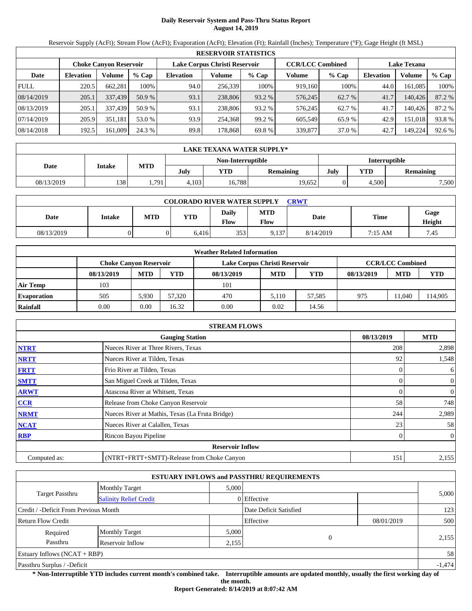# **Daily Reservoir System and Pass-Thru Status Report August 14, 2019**

Reservoir Supply (AcFt); Stream Flow (AcFt); Evaporation (AcFt); Elevation (Ft); Rainfall (Inches); Temperature (°F); Gage Height (ft MSL)

|             | <b>RESERVOIR STATISTICS</b> |         |         |                  |                               |         |                         |         |                    |         |        |  |
|-------------|-----------------------------|---------|---------|------------------|-------------------------------|---------|-------------------------|---------|--------------------|---------|--------|--|
|             | Choke Canvon Reservoir      |         |         |                  | Lake Corpus Christi Reservoir |         | <b>CCR/LCC Combined</b> |         | <b>Lake Texana</b> |         |        |  |
| Date        | <b>Elevation</b>            | Volume  | $%$ Cap | <b>Elevation</b> | Volume                        | $%$ Cap | Volume                  | $%$ Cap | Elevation          | Volume  | % Cap  |  |
| <b>FULL</b> | 220.5                       | 662,281 | 100%    | 94.0             | 256,339                       | 100%    | 919.160                 | 100%    | 44.0               | 161,085 | 100%   |  |
| 08/14/2019  | 205.1                       | 337,439 | 50.9%   | 93.1             | 238,806                       | 93.2 %  | 576,245                 | 62.7 %  | 41.7               | 140,426 | 87.2 % |  |
| 08/13/2019  | 205.1                       | 337,439 | 50.9%   | 93.1             | 238,806                       | 93.2 %  | 576,245                 | 62.7 %  | 41.7               | 140.426 | 87.2 % |  |
| 07/14/2019  | 205.9                       | 351,181 | 53.0 %  | 93.9             | 254,368                       | 99.2 %  | 605.549                 | 65.9 %  | 42.9               | 151,018 | 93.8%  |  |
| 08/14/2018  | 192.5                       | 161,009 | 24.3 %  | 89.8             | 178.868                       | 69.8%   | 339,877                 | 37.0 %  | 42.7               | 149,224 | 92.6 % |  |

|            | LAKE TEXANA WATER SUPPLY* |            |       |                   |           |                      |            |                  |  |  |  |
|------------|---------------------------|------------|-------|-------------------|-----------|----------------------|------------|------------------|--|--|--|
|            | <b>Intake</b>             |            |       | Non-Interruptible |           | <b>Interruptible</b> |            |                  |  |  |  |
| Date       |                           | <b>MTD</b> | July  | YTD               | Remaining | July                 | <b>YTD</b> | <b>Remaining</b> |  |  |  |
| 08/13/2019 | 138                       | 1,791      | 4.103 | 16.788            | 19.652    |                      | 4.500      | 7,500            |  |  |  |

| <b>COLORADO RIVER WATER SUPPLY</b><br><b>CRWT</b> |        |            |       |               |                    |           |         |                |  |  |
|---------------------------------------------------|--------|------------|-------|---------------|--------------------|-----------|---------|----------------|--|--|
| Date                                              | Intake | <b>MTD</b> | YTD   | Daily<br>Flow | <b>MTD</b><br>Flow | Date      | Time    | Gage<br>Height |  |  |
| 08/13/2019                                        |        |            | 6.416 | 353           | 9.137              | 8/14/2019 | 7:15 AM | 7.45           |  |  |

|                    |                               |            |        | <b>Weather Related Information</b> |            |            |            |                         |        |
|--------------------|-------------------------------|------------|--------|------------------------------------|------------|------------|------------|-------------------------|--------|
|                    | <b>Choke Canvon Reservoir</b> |            |        | Lake Corpus Christi Reservoir      |            |            |            | <b>CCR/LCC Combined</b> |        |
|                    | 08/13/2019                    | <b>MTD</b> | YTD    | 08/13/2019                         | <b>MTD</b> | <b>YTD</b> | 08/13/2019 | <b>MTD</b>              | YTD    |
| <b>Air Temp</b>    | 103                           |            |        | 101                                |            |            |            |                         |        |
| <b>Evaporation</b> | 505                           | 5.930      | 57.320 | 470                                | 5.110      | 57,585     | 975        | 1.040                   | 14,905 |
| Rainfall           | 0.00                          | 0.00       | 16.32  | 0.00                               | 0.02       | 14.56      |            |                         |        |

|              | <b>STREAM FLOWS</b>                             |            |                  |
|--------------|-------------------------------------------------|------------|------------------|
|              | <b>Gauging Station</b>                          | 08/13/2019 | <b>MTD</b>       |
| <b>NTRT</b>  | Nueces River at Three Rivers, Texas             | 208        | 2,898            |
| <b>NRTT</b>  | Nueces River at Tilden, Texas                   | 92         | 1,548            |
| <b>FRTT</b>  | Frio River at Tilden, Texas                     |            | 6                |
| <b>SMTT</b>  | San Miguel Creek at Tilden, Texas               |            | $\overline{0}$   |
| <b>ARWT</b>  | Atascosa River at Whitsett, Texas               |            | 0                |
| CCR          | Release from Choke Canyon Reservoir             | 58         | 748              |
| <b>NRMT</b>  | Nueces River at Mathis, Texas (La Fruta Bridge) | 244        | 2,989            |
| <b>NCAT</b>  | Nueces River at Calallen, Texas                 | 23         | 58               |
| <b>RBP</b>   | Rincon Bayou Pipeline                           |            | $\boldsymbol{0}$ |
|              | <b>Reservoir Inflow</b>                         |            |                  |
| Computed as: | (NTRT+FRTT+SMTT)-Release from Choke Canyon      | 151        | 2,155            |

|                                                  |                       |       | <b>ESTUARY INFLOWS and PASSTHRU REQUIREMENTS</b> |            |          |
|--------------------------------------------------|-----------------------|-------|--------------------------------------------------|------------|----------|
|                                                  | <b>Monthly Target</b> | 5,000 |                                                  |            |          |
| Target Passthru<br><b>Salinity Relief Credit</b> |                       |       | 0 Effective                                      |            | 5,000    |
| Credit / -Deficit From Previous Month            |                       |       | Date Deficit Satisfied                           |            | 123      |
| <b>Return Flow Credit</b>                        |                       |       | Effective                                        | 08/01/2019 | 500      |
| Required                                         | <b>Monthly Target</b> | 5,000 |                                                  |            |          |
| Passthru                                         | Reservoir Inflow      | 2,155 | $\overline{0}$                                   |            | 2,155    |
| Estuary Inflows $(NCAT + RBP)$                   |                       |       |                                                  |            | 58       |
| Passthru Surplus / -Deficit                      |                       |       |                                                  |            | $-1,474$ |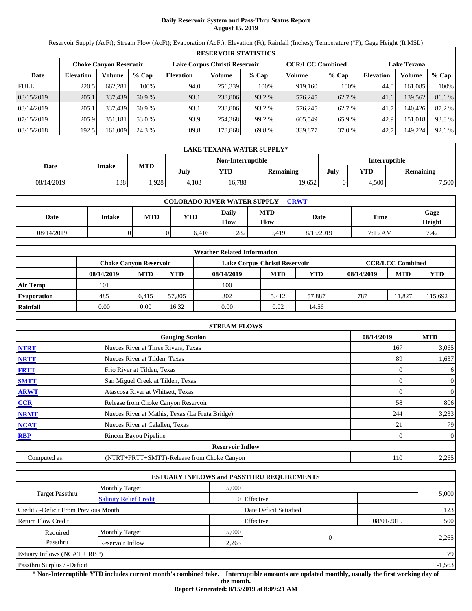# **Daily Reservoir System and Pass-Thru Status Report August 15, 2019**

Reservoir Supply (AcFt); Stream Flow (AcFt); Evaporation (AcFt); Elevation (Ft); Rainfall (Inches); Temperature (°F); Gage Height (ft MSL)

|             | <b>RESERVOIR STATISTICS</b>   |         |         |                  |                               |         |                         |         |                    |         |        |  |
|-------------|-------------------------------|---------|---------|------------------|-------------------------------|---------|-------------------------|---------|--------------------|---------|--------|--|
|             | <b>Choke Canyon Reservoir</b> |         |         |                  | Lake Corpus Christi Reservoir |         | <b>CCR/LCC Combined</b> |         | <b>Lake Texana</b> |         |        |  |
| Date        | <b>Elevation</b>              | Volume  | $%$ Cap | <b>Elevation</b> | Volume                        | $%$ Cap | Volume                  | $%$ Cap | <b>Elevation</b>   | Volume  | % Cap  |  |
| <b>FULL</b> | 220.5                         | 662,281 | 100%    | 94.0             | 256,339                       | 100%    | 919,160                 | 100%    | 44.0               | 161.085 | 100%   |  |
| 08/15/2019  | 205.1                         | 337,439 | 50.9%   | 93.1             | 238,806                       | 93.2 %  | 576,245                 | 62.7 %  | 41.6               | 139,562 | 86.6%  |  |
| 08/14/2019  | 205.1                         | 337.439 | 50.9 %  | 93.1             | 238,806                       | 93.2 %  | 576.245                 | 62.7 %  | 41.7               | 140.426 | 87.2 % |  |
| 07/15/2019  | 205.9                         | 351,181 | 53.0 %  | 93.9             | 254,368                       | 99.2 %  | 605.549                 | 65.9%   | 42.9               | 151,018 | 93.8%  |  |
| 08/15/2018  | 192.5                         | 161,009 | 24.3 %  | 89.8             | 178.868                       | 69.8 %  | 339,877                 | 37.0 %  | 42.7               | 149,224 | 92.6 % |  |

|            | LAKE TEXANA WATER SUPPLY* |            |       |                   |           |                      |            |                  |  |  |  |
|------------|---------------------------|------------|-------|-------------------|-----------|----------------------|------------|------------------|--|--|--|
|            |                           | <b>MTD</b> |       | Non-Interruptible |           | <b>Interruptible</b> |            |                  |  |  |  |
| Date       | <b>Intake</b>             |            | July  | YTD               | Remaining | July                 | <b>YTD</b> | <b>Remaining</b> |  |  |  |
| 08/14/2019 | 138                       | .928       | 4.103 | 16,788            | 19.652    |                      | 4.500      | 7,500            |  |  |  |

| <b>COLORADO RIVER WATER SUPPLY</b><br><b>CRWT</b> |        |            |       |                      |                    |           |             |                |  |  |
|---------------------------------------------------|--------|------------|-------|----------------------|--------------------|-----------|-------------|----------------|--|--|
| Date                                              | Intake | <b>MTD</b> | YTD   | <b>Daily</b><br>Flow | <b>MTD</b><br>Flow | Date      | <b>Time</b> | Gage<br>Height |  |  |
| 08/14/2019                                        |        |            | 6.416 | 282                  | 9.419              | 8/15/2019 | 7:15 AM     | 7.42           |  |  |

|                    |                        |            |        | <b>Weather Related Information</b> |            |            |            |                         |        |
|--------------------|------------------------|------------|--------|------------------------------------|------------|------------|------------|-------------------------|--------|
|                    | Choke Canvon Reservoir |            |        | Lake Corpus Christi Reservoir      |            |            |            | <b>CCR/LCC Combined</b> |        |
|                    | 08/14/2019             | <b>MTD</b> | YTD    | 08/14/2019                         | <b>MTD</b> | <b>YTD</b> | 08/14/2019 | <b>MTD</b>              | YTD    |
| Air Temp           | 101                    |            |        | 100                                |            |            |            |                         |        |
| <b>Evaporation</b> | 485                    | 6.415      | 57,805 | 302                                | 5.412      | 57.887     | 787        | 1.827                   | 15.692 |
| Rainfall           | 0.00                   | 0.00       | 16.32  | 0.00                               | 0.02       | 14.56      |            |                         |        |

|              | <b>STREAM FLOWS</b>                             |            |                  |
|--------------|-------------------------------------------------|------------|------------------|
|              | <b>Gauging Station</b>                          | 08/14/2019 | <b>MTD</b>       |
| <b>NTRT</b>  | Nueces River at Three Rivers, Texas             | 167        | 3,065            |
| <b>NRTT</b>  | Nueces River at Tilden, Texas                   | 89         | 1,637            |
| <b>FRTT</b>  | Frio River at Tilden, Texas                     | 0          | 6                |
| <b>SMTT</b>  | San Miguel Creek at Tilden, Texas               | 0          | $\boldsymbol{0}$ |
| <b>ARWT</b>  | Atascosa River at Whitsett, Texas               |            | 0                |
| <b>CCR</b>   | Release from Choke Canyon Reservoir             | 58         | 806              |
| <b>NRMT</b>  | Nueces River at Mathis, Texas (La Fruta Bridge) | 244        | 3,233            |
| <b>NCAT</b>  | Nueces River at Calallen, Texas                 |            | 79               |
| <b>RBP</b>   | Rincon Bayou Pipeline                           |            | $\overline{0}$   |
|              | <b>Reservoir Inflow</b>                         |            |                  |
| Computed as: | (NTRT+FRTT+SMTT)-Release from Choke Canyon      | 110        | 2,265            |

|                                                  |                       |       | <b>ESTUARY INFLOWS and PASSTHRU REQUIREMENTS</b> |            |          |
|--------------------------------------------------|-----------------------|-------|--------------------------------------------------|------------|----------|
|                                                  | <b>Monthly Target</b> | 5,000 |                                                  |            |          |
| Target Passthru<br><b>Salinity Relief Credit</b> |                       |       | 0 Effective                                      |            | 5,000    |
| Credit / -Deficit From Previous Month            |                       |       | Date Deficit Satisfied                           |            | 123      |
| <b>Return Flow Credit</b>                        |                       |       | Effective                                        | 08/01/2019 | 500      |
| Required                                         | <b>Monthly Target</b> | 5,000 |                                                  |            |          |
| Passthru                                         | Reservoir Inflow      | 2,265 | $\Omega$                                         |            | 2,265    |
| Estuary Inflows $(NCAT + RBP)$                   |                       |       |                                                  |            | 79       |
| Passthru Surplus / -Deficit                      |                       |       |                                                  |            | $-1,563$ |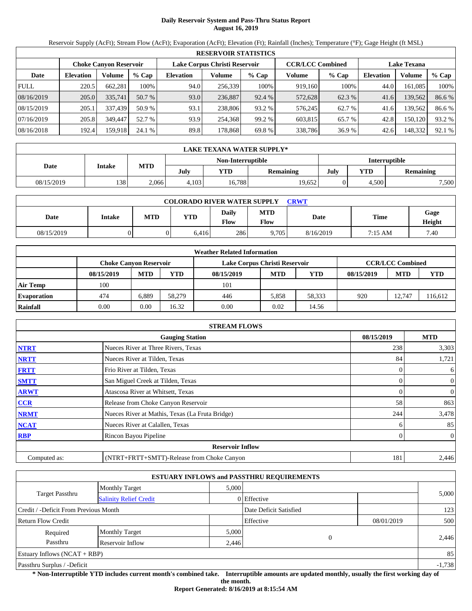# **Daily Reservoir System and Pass-Thru Status Report August 16, 2019**

Reservoir Supply (AcFt); Stream Flow (AcFt); Evaporation (AcFt); Elevation (Ft); Rainfall (Inches); Temperature (°F); Gage Height (ft MSL)

|             | <b>RESERVOIR STATISTICS</b> |                               |         |                  |                               |         |                         |         |                    |         |        |  |  |
|-------------|-----------------------------|-------------------------------|---------|------------------|-------------------------------|---------|-------------------------|---------|--------------------|---------|--------|--|--|
|             |                             | <b>Choke Canyon Reservoir</b> |         |                  | Lake Corpus Christi Reservoir |         | <b>CCR/LCC Combined</b> |         | <b>Lake Texana</b> |         |        |  |  |
| Date        | <b>Elevation</b>            | Volume                        | $%$ Cap | <b>Elevation</b> | Volume                        | $%$ Cap | Volume                  | $%$ Cap | <b>Elevation</b>   | Volume  | % Cap  |  |  |
| <b>FULL</b> | 220.5                       | 662.281                       | 100%    | 94.0             | 256,339                       | 100%    | 919,160                 | 100%    | 44.0               | 161.085 | 100%   |  |  |
| 08/16/2019  | 205.0                       | 335,741                       | 50.7 %  | 93.0             | 236,887                       | 92.4 %  | 572,628                 | 62.3 %  | 41.6               | 139,562 | 86.6%  |  |  |
| 08/15/2019  | 205.1                       | 337.439                       | 50.9 %  | 93.1             | 238,806                       | 93.2 %  | 576.245                 | 62.7 %  | 41.6               | 139.562 | 86.6 % |  |  |
| 07/16/2019  | 205.8                       | 349,447                       | 52.7 %  | 93.9             | 254,368                       | 99.2 %  | 603,815                 | 65.7 %  | 42.8               | 150.120 | 93.2 % |  |  |
| 08/16/2018  | 192.4                       | 159,918                       | 24.1 %  | 89.8             | 178,868                       | 69.8 %  | 338,786                 | 36.9 %  | 42.6               | 148,332 | 92.1 % |  |  |

|            | LAKE TEXANA WATER SUPPLY* |            |       |                   |           |                      |            |                  |  |  |  |
|------------|---------------------------|------------|-------|-------------------|-----------|----------------------|------------|------------------|--|--|--|
|            |                           | <b>MTD</b> |       | Non-Interruptible |           | <b>Interruptible</b> |            |                  |  |  |  |
| Date       | <b>Intake</b>             |            | July  | YTD               | Remaining | July                 | <b>YTD</b> | <b>Remaining</b> |  |  |  |
| 08/15/2019 | 138                       | 2.066      | 4.103 | 16.788            | 19.652    |                      | 4.500      | 7.500            |  |  |  |

| <b>COLORADO RIVER WATER SUPPLY</b><br><b>CRWT</b> |        |            |       |               |                    |           |         |                |  |  |
|---------------------------------------------------|--------|------------|-------|---------------|--------------------|-----------|---------|----------------|--|--|
| Date                                              | Intake | <b>MTD</b> | YTD   | Daily<br>Flow | <b>MTD</b><br>Flow | Date      | Time    | Gage<br>Height |  |  |
| 08/15/2019                                        |        |            | 6.416 | 286           | 9.705              | 8/16/2019 | 7:15 AM | 7.40           |  |  |

|                    |                        |            |        | <b>Weather Related Information</b> |            |            |            |                         |         |
|--------------------|------------------------|------------|--------|------------------------------------|------------|------------|------------|-------------------------|---------|
|                    | Choke Canvon Reservoir |            |        | Lake Corpus Christi Reservoir      |            |            |            | <b>CCR/LCC Combined</b> |         |
|                    | 08/15/2019             | <b>MTD</b> | YTD-   | 08/15/2019                         | <b>MTD</b> | <b>YTD</b> | 08/15/2019 | <b>MTD</b>              | YTD     |
| Air Temp           | 100                    |            |        | 101                                |            |            |            |                         |         |
| <b>Evaporation</b> | 474                    | 6.889      | 58,279 | 446                                | 5.858      | 58,333     | 920        | 12.747                  | 116.612 |
| Rainfall           | 0.00                   | 0.00       | 16.32  | 0.00                               | 0.02       | 14.56      |            |                         |         |

|              | <b>STREAM FLOWS</b>                             |            |                  |
|--------------|-------------------------------------------------|------------|------------------|
|              | <b>Gauging Station</b>                          | 08/15/2019 | <b>MTD</b>       |
| <b>NTRT</b>  | Nueces River at Three Rivers, Texas             | 238        | 3,303            |
| <b>NRTT</b>  | Nueces River at Tilden, Texas                   | 84         | 1,721            |
| <b>FRTT</b>  | Frio River at Tilden, Texas                     |            | 6                |
| <b>SMTT</b>  | San Miguel Creek at Tilden, Texas               |            | $\boldsymbol{0}$ |
| <b>ARWT</b>  | Atascosa River at Whitsett, Texas               |            | 0                |
| CCR          | Release from Choke Canyon Reservoir             | 58         | 863              |
| <b>NRMT</b>  | Nueces River at Mathis, Texas (La Fruta Bridge) | 244        | 3,478            |
| <b>NCAT</b>  | Nueces River at Calallen, Texas                 |            | 85               |
| <b>RBP</b>   | Rincon Bayou Pipeline                           |            | $\boldsymbol{0}$ |
|              | <b>Reservoir Inflow</b>                         |            |                  |
| Computed as: | (NTRT+FRTT+SMTT)-Release from Choke Canyon      | 181        | 2,446            |

|                                                  |                       |       | <b>ESTUARY INFLOWS and PASSTHRU REQUIREMENTS</b> |            |          |
|--------------------------------------------------|-----------------------|-------|--------------------------------------------------|------------|----------|
|                                                  | <b>Monthly Target</b> | 5,000 |                                                  |            |          |
| Target Passthru<br><b>Salinity Relief Credit</b> |                       |       | 0 Effective                                      |            | 5,000    |
| Credit / -Deficit From Previous Month            |                       |       | Date Deficit Satisfied                           |            | 123      |
| <b>Return Flow Credit</b>                        |                       |       | Effective                                        | 08/01/2019 | 500      |
| Required                                         | <b>Monthly Target</b> | 5,000 |                                                  |            |          |
| Passthru                                         | Reservoir Inflow      | 2,446 | $\Omega$                                         |            | 2,446    |
| Estuary Inflows $(NCAT + RBP)$                   |                       |       |                                                  |            | 85       |
| Passthru Surplus / -Deficit                      |                       |       |                                                  |            | $-1,738$ |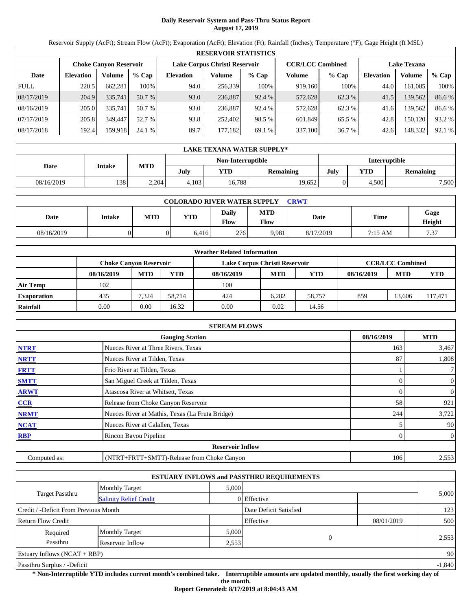# **Daily Reservoir System and Pass-Thru Status Report August 17, 2019**

Reservoir Supply (AcFt); Stream Flow (AcFt); Evaporation (AcFt); Elevation (Ft); Rainfall (Inches); Temperature (°F); Gage Height (ft MSL)

|             | <b>RESERVOIR STATISTICS</b> |                               |         |                               |         |         |                         |         |                    |         |        |  |
|-------------|-----------------------------|-------------------------------|---------|-------------------------------|---------|---------|-------------------------|---------|--------------------|---------|--------|--|
|             |                             | <b>Choke Canyon Reservoir</b> |         | Lake Corpus Christi Reservoir |         |         | <b>CCR/LCC Combined</b> |         | <b>Lake Texana</b> |         |        |  |
| Date        | <b>Elevation</b>            | Volume                        | $%$ Cap | <b>Elevation</b>              | Volume  | $%$ Cap | Volume                  | $%$ Cap | <b>Elevation</b>   | Volume  | % Cap  |  |
| <b>FULL</b> | 220.5                       | 662,281                       | 100%    | 94.0                          | 256,339 | 100%    | 919,160                 | 100%    | 44.0               | 161.085 | 100%   |  |
| 08/17/2019  | 204.9                       | 335,741                       | 50.7 %  | 93.0                          | 236.887 | 92.4 %  | 572,628                 | 62.3 %  | 41.5               | 139,562 | 86.6%  |  |
| 08/16/2019  | 205.0                       | 335,741                       | 50.7 %  | 93.0                          | 236.887 | 92.4 %  | 572,628                 | 62.3 %  | 41.6               | 139.562 | 86.6 % |  |
| 07/17/2019  | 205.8                       | 349,447                       | 52.7 %  | 93.8                          | 252,402 | 98.5 %  | 601,849                 | 65.5 %  | 42.8               | 150,120 | 93.2 % |  |
| 08/17/2018  | 192.4                       | 159.918                       | 24.1 %  | 89.7                          | 177,182 | 69.1 %  | 337,100                 | 36.7 %  | 42.6               | 148,332 | 92.1 % |  |

|            | LAKE TEXANA WATER SUPPLY* |            |                   |        |           |      |                      |                  |  |  |
|------------|---------------------------|------------|-------------------|--------|-----------|------|----------------------|------------------|--|--|
|            | Intake                    |            | Non-Interruptible |        |           |      | <b>Interruptible</b> |                  |  |  |
| Date       |                           | <b>MTD</b> | July              | YTD    | Remaining | July | <b>YTD</b>           | <b>Remaining</b> |  |  |
| 08/16/2019 | 138                       | 2,204      | 4.103             | 16,788 | 19,652    |      | 4.500                | 7,500            |  |  |

| <b>COLORADO RIVER WATER SUPPLY</b><br>CRWT |               |            |       |                      |                    |           |             |                |  |  |
|--------------------------------------------|---------------|------------|-------|----------------------|--------------------|-----------|-------------|----------------|--|--|
| <b>Date</b>                                | <b>Intake</b> | <b>MTD</b> | YTD   | Daily<br><b>Flow</b> | <b>MTD</b><br>Flow | Date      | <b>Time</b> | Gage<br>Height |  |  |
| 08/16/2019                                 |               |            | 6.416 | 276                  | 9.981              | 8/17/2019 | 7:15 AM     | 7.37           |  |  |

|                    |                               |            |        | <b>Weather Related Information</b> |            |            |            |                         |        |
|--------------------|-------------------------------|------------|--------|------------------------------------|------------|------------|------------|-------------------------|--------|
|                    | <b>Choke Canvon Reservoir</b> |            |        | Lake Corpus Christi Reservoir      |            |            |            | <b>CCR/LCC Combined</b> |        |
|                    | 08/16/2019                    | <b>MTD</b> | YTD    | 08/16/2019                         | <b>MTD</b> | <b>YTD</b> | 08/16/2019 | <b>MTD</b>              | YTD    |
| <b>Air Temp</b>    | 102                           |            |        | 100                                |            |            |            |                         |        |
| <b>Evaporation</b> | 435                           | 7,324      | 58.714 | 424                                | 6.282      | 58.757     | 859        | 13.606                  | 17,471 |
| Rainfall           | 0.00                          | 0.00       | 16.32  | 0.00                               | 0.02       | 14.56      |            |                         |        |

|              | <b>STREAM FLOWS</b>                             |            |                  |
|--------------|-------------------------------------------------|------------|------------------|
|              | <b>Gauging Station</b>                          | 08/16/2019 | <b>MTD</b>       |
| <b>NTRT</b>  | Nueces River at Three Rivers, Texas             | 163        | 3,467            |
| <b>NRTT</b>  | Nueces River at Tilden, Texas                   | 87         | 1,808            |
| <b>FRTT</b>  | Frio River at Tilden, Texas                     |            | 7 <sup>1</sup>   |
| <b>SMTT</b>  | San Miguel Creek at Tilden, Texas               |            | $\overline{0}$   |
| <b>ARWT</b>  | Atascosa River at Whitsett, Texas               |            | 0                |
| CCR          | Release from Choke Canyon Reservoir             | 58         | 921              |
| <b>NRMT</b>  | Nueces River at Mathis, Texas (La Fruta Bridge) | 244        | 3,722            |
| <b>NCAT</b>  | Nueces River at Calallen, Texas                 |            | 90               |
| <b>RBP</b>   | Rincon Bayou Pipeline                           |            | $\boldsymbol{0}$ |
|              | <b>Reservoir Inflow</b>                         |            |                  |
| Computed as: | (NTRT+FRTT+SMTT)-Release from Choke Canyon      | 106        | 2,553            |

|                                       |                               |       | <b>ESTUARY INFLOWS and PASSTHRU REQUIREMENTS</b> |            |          |
|---------------------------------------|-------------------------------|-------|--------------------------------------------------|------------|----------|
|                                       | <b>Monthly Target</b>         | 5,000 |                                                  |            |          |
| <b>Target Passthru</b>                | <b>Salinity Relief Credit</b> |       | 0 Effective                                      |            | 5,000    |
| Credit / -Deficit From Previous Month |                               |       | Date Deficit Satisfied                           |            | 123      |
| <b>Return Flow Credit</b>             |                               |       | Effective                                        | 08/01/2019 | 500      |
| Required                              | <b>Monthly Target</b>         | 5,000 |                                                  |            |          |
| Passthru                              | Reservoir Inflow              | 2,553 | $\Omega$                                         |            | 2,553    |
| Estuary Inflows $(NCAT + RBP)$        |                               |       |                                                  |            | 90       |
| Passthru Surplus / -Deficit           |                               |       |                                                  |            | $-1,840$ |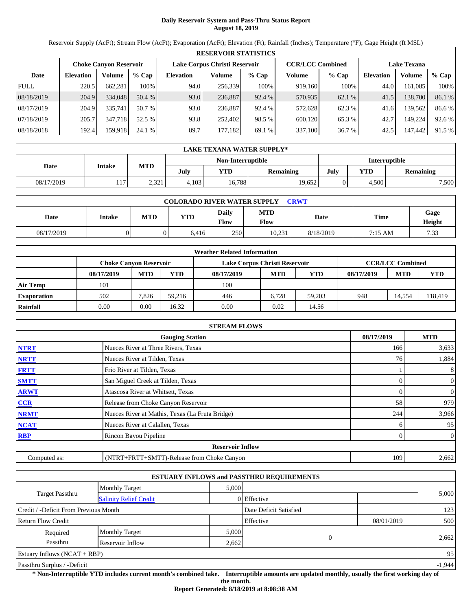# **Daily Reservoir System and Pass-Thru Status Report August 18, 2019**

Reservoir Supply (AcFt); Stream Flow (AcFt); Evaporation (AcFt); Elevation (Ft); Rainfall (Inches); Temperature (°F); Gage Height (ft MSL)

|             | <b>RESERVOIR STATISTICS</b> |          |         |                  |                               |         |                         |         |                    |         |        |  |
|-------------|-----------------------------|----------|---------|------------------|-------------------------------|---------|-------------------------|---------|--------------------|---------|--------|--|
|             | Choke Canvon Reservoir      |          |         |                  | Lake Corpus Christi Reservoir |         | <b>CCR/LCC Combined</b> |         | <b>Lake Texana</b> |         |        |  |
| Date        | <b>Elevation</b>            | Volume   | $%$ Cap | <b>Elevation</b> | Volume                        | $%$ Cap | Volume                  | $%$ Cap | <b>Elevation</b>   | Volume  | % Cap  |  |
| <b>FULL</b> | 220.5                       | 662,281  | 100%    | 94.0             | 256,339                       | 100%    | 919.160                 | 100%    | 44.0               | 161,085 | 100%   |  |
| 08/18/2019  | 204.9                       | 334,048  | 50.4 %  | 93.0             | 236,887                       | 92.4 %  | 570,935                 | 62.1 %  | 41.5               | 138,700 | 86.1 % |  |
| 08/17/2019  | 204.9                       | 335.741  | 50.7 %  | 93.0             | 236,887                       | 92.4 %  | 572,628                 | 62.3 %  | 41.6               | 139,562 | 86.6%  |  |
| 07/18/2019  | 205.7                       | 347,718  | 52.5 %  | 93.8             | 252,402                       | 98.5 %  | 600,120                 | 65.3 %  | 42.7               | 149.224 | 92.6 % |  |
| 08/18/2018  | 192.4                       | 159.9181 | 24.1%   | 89.7             | 177,182                       | 69.1 %  | 337,100                 | 36.7 %  | 42.5               | 147,442 | 91.5 % |  |

|            | LAKE TEXANA WATER SUPPLY* |            |       |                   |           |                      |            |                  |  |  |  |
|------------|---------------------------|------------|-------|-------------------|-----------|----------------------|------------|------------------|--|--|--|
|            | <b>Intake</b>             |            |       | Non-Interruptible |           | <b>Interruptible</b> |            |                  |  |  |  |
| Date       |                           | <b>MTD</b> | July  | YTD               | Remaining | July                 | <b>YTD</b> | <b>Remaining</b> |  |  |  |
| 08/17/2019 | 17<br>111                 | 2,321      | 4.103 | 16,788            | 19.652    |                      | 4.500      | 7,500            |  |  |  |

| <b>COLORADO RIVER WATER SUPPLY</b><br><b>CRWT</b> |        |     |            |                      |                           |           |             |                |  |  |
|---------------------------------------------------|--------|-----|------------|----------------------|---------------------------|-----------|-------------|----------------|--|--|
| Date                                              | Intake | MTD | <b>YTD</b> | <b>Daily</b><br>Flow | <b>MTD</b><br><b>Flow</b> | Date      | <b>Time</b> | Gage<br>Height |  |  |
| 08/17/2019                                        |        |     | 6.416      | 250                  | 10.231                    | 8/18/2019 | 7:15 AM     | 7.33           |  |  |

|                    |                               |            |        | <b>Weather Related Information</b> |            |            |            |                         |         |
|--------------------|-------------------------------|------------|--------|------------------------------------|------------|------------|------------|-------------------------|---------|
|                    | <b>Choke Canvon Reservoir</b> |            |        | Lake Corpus Christi Reservoir      |            |            |            | <b>CCR/LCC Combined</b> |         |
|                    | 08/17/2019                    | <b>MTD</b> | YTD    | 08/17/2019                         | <b>MTD</b> | <b>YTD</b> | 08/17/2019 | <b>MTD</b>              | YTD     |
| <b>Air Temp</b>    | 101                           |            |        | 100                                |            |            |            |                         |         |
| <b>Evaporation</b> | 502                           | 7.826      | 59.216 | 446                                | 6.728      | 59.203     | 948        | 14,554                  | 118,419 |
| Rainfall           | 0.00                          | 0.00       | 16.32  | 0.00                               | 0.02       | 14.56      |            |                         |         |

|              | <b>STREAM FLOWS</b>                             |            |                  |
|--------------|-------------------------------------------------|------------|------------------|
|              | <b>Gauging Station</b>                          | 08/17/2019 | <b>MTD</b>       |
| <b>NTRT</b>  | Nueces River at Three Rivers, Texas             | 166        | 3,633            |
| <b>NRTT</b>  | Nueces River at Tilden, Texas                   | 76         | 1,884            |
| <b>FRTT</b>  | Frio River at Tilden, Texas                     |            | 8                |
| <b>SMTT</b>  | San Miguel Creek at Tilden, Texas               |            | $\overline{0}$   |
| <b>ARWT</b>  | Atascosa River at Whitsett, Texas               |            | 0                |
| CCR          | Release from Choke Canyon Reservoir             | 58         | 979              |
| <b>NRMT</b>  | Nueces River at Mathis, Texas (La Fruta Bridge) | 244        | 3,966            |
| <b>NCAT</b>  | Nueces River at Calallen, Texas                 |            | 95               |
| <b>RBP</b>   | Rincon Bayou Pipeline                           |            | $\boldsymbol{0}$ |
|              | <b>Reservoir Inflow</b>                         |            |                  |
| Computed as: | (NTRT+FRTT+SMTT)-Release from Choke Canyon      | 109        | 2,662            |

|                                       |                               |       | <b>ESTUARY INFLOWS and PASSTHRU REQUIREMENTS</b> |            |       |  |
|---------------------------------------|-------------------------------|-------|--------------------------------------------------|------------|-------|--|
|                                       | <b>Monthly Target</b>         | 5,000 |                                                  |            |       |  |
| <b>Target Passthru</b>                | <b>Salinity Relief Credit</b> |       | 0 Effective                                      |            | 5,000 |  |
| Credit / -Deficit From Previous Month |                               |       | Date Deficit Satisfied                           |            | 123   |  |
| <b>Return Flow Credit</b>             |                               |       | Effective                                        | 08/01/2019 | 500   |  |
| Required                              | <b>Monthly Target</b>         | 5,000 |                                                  |            |       |  |
| Passthru                              | Reservoir Inflow              | 2,662 | $\Omega$                                         |            | 2,662 |  |
| Estuary Inflows $(NCAT + RBP)$        |                               |       |                                                  |            | 95    |  |
| Passthru Surplus / -Deficit           |                               |       |                                                  | $-1,944$   |       |  |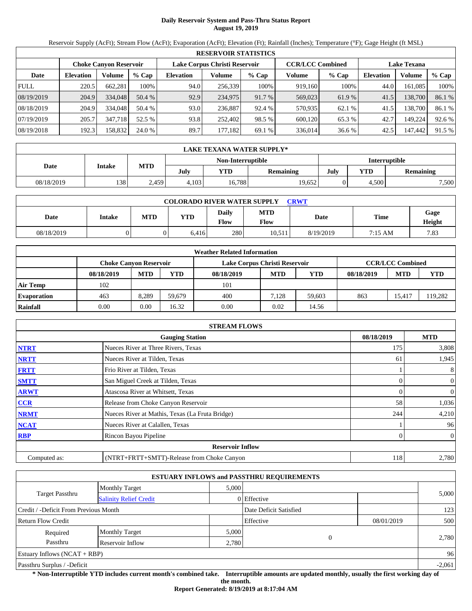# **Daily Reservoir System and Pass-Thru Status Report August 19, 2019**

Reservoir Supply (AcFt); Stream Flow (AcFt); Evaporation (AcFt); Elevation (Ft); Rainfall (Inches); Temperature (°F); Gage Height (ft MSL)

|             | <b>RESERVOIR STATISTICS</b> |                        |         |                               |         |         |                         |         |                    |         |        |  |
|-------------|-----------------------------|------------------------|---------|-------------------------------|---------|---------|-------------------------|---------|--------------------|---------|--------|--|
|             |                             | Choke Canvon Reservoir |         | Lake Corpus Christi Reservoir |         |         | <b>CCR/LCC Combined</b> |         | <b>Lake Texana</b> |         |        |  |
| Date        | <b>Elevation</b>            | Volume                 | $%$ Cap | <b>Elevation</b>              | Volume  | $%$ Cap | Volume                  | $%$ Cap | Elevation          | Volume  | % Cap  |  |
| <b>FULL</b> | 220.5                       | 662,281                | 100%    | 94.0                          | 256,339 | 100%    | 919.160                 | 100%    | 44.0               | 161.085 | 100%   |  |
| 08/19/2019  | 204.9                       | 334,048                | 50.4 %  | 92.9                          | 234,975 | 91.7 %  | 569,023                 | 61.9 %  | 41.5               | 138,700 | 86.1 % |  |
| 08/18/2019  | 204.9                       | 334,048                | 50.4 %  | 93.0                          | 236,887 | 92.4 %  | 570,935                 | 62.1 %  | 41.5               | 138,700 | 86.1 % |  |
| 07/19/2019  | 205.7                       | 347.718                | 52.5 %  | 93.8                          | 252.402 | 98.5 %  | 600,120                 | 65.3 %  | 42.7               | 149.224 | 92.6 % |  |
| 08/19/2018  | 192.3                       | 158.832                | 24.0 %  | 89.7                          | 177,182 | 69.1 %  | 336,014                 | 36.6 %  | 42.5               | 147.442 | 91.5 % |  |

|            | LAKE TEXANA WATER SUPPLY* |            |       |                   |           |                      |            |                  |  |  |  |
|------------|---------------------------|------------|-------|-------------------|-----------|----------------------|------------|------------------|--|--|--|
|            |                           | <b>MTD</b> |       | Non-Interruptible |           | <b>Interruptible</b> |            |                  |  |  |  |
| Date       | <b>Intake</b>             |            | July  | YTD               | Remaining | July                 | <b>YTD</b> | <b>Remaining</b> |  |  |  |
| 08/18/2019 | 138                       | 2.459      | 4.103 | 16,788            | 19.652    |                      | 4.500      | 7,500            |  |  |  |

| <b>COLORADO RIVER WATER SUPPLY</b><br>CRWT |        |            |            |                      |                           |           |             |                |  |  |
|--------------------------------------------|--------|------------|------------|----------------------|---------------------------|-----------|-------------|----------------|--|--|
| Date                                       | Intake | <b>MTD</b> | <b>YTD</b> | Daily<br><b>Flow</b> | <b>MTD</b><br><b>Flow</b> | Date      | <b>Time</b> | Gage<br>Height |  |  |
| 08/18/2019                                 |        |            | 6.416      | 280                  | 10.511                    | 8/19/2019 | 7:15 AM     | 7.83           |  |  |

|                    |                               |            |        | <b>Weather Related Information</b> |            |            |            |                         |         |
|--------------------|-------------------------------|------------|--------|------------------------------------|------------|------------|------------|-------------------------|---------|
|                    | <b>Choke Canvon Reservoir</b> |            |        | Lake Corpus Christi Reservoir      |            |            |            | <b>CCR/LCC Combined</b> |         |
|                    | 08/18/2019                    | <b>MTD</b> | YTD    | 08/18/2019                         | <b>MTD</b> | <b>YTD</b> | 08/18/2019 | <b>MTD</b>              | YTD     |
| <b>Air Temp</b>    | 102                           |            |        | 101                                |            |            |            |                         |         |
| <b>Evaporation</b> | 463                           | 8.289      | 59.679 | 400                                | 7.128      | 59.603     | 863        | 15.417                  | 119.282 |
| Rainfall           | 0.00                          | 0.00       | 16.32  | 0.00                               | 0.02       | 14.56      |            |                         |         |

|              | <b>STREAM FLOWS</b>                             |            |                  |
|--------------|-------------------------------------------------|------------|------------------|
|              | <b>Gauging Station</b>                          | 08/18/2019 | <b>MTD</b>       |
| <b>NTRT</b>  | Nueces River at Three Rivers, Texas             | 175        | 3,808            |
| <b>NRTT</b>  | Nueces River at Tilden, Texas                   | 61         | 1,945            |
| <b>FRTT</b>  | Frio River at Tilden, Texas                     |            | 8                |
| <b>SMTT</b>  | San Miguel Creek at Tilden, Texas               |            | $\overline{0}$   |
| <b>ARWT</b>  | Atascosa River at Whitsett, Texas               |            | 0                |
| CCR          | Release from Choke Canyon Reservoir             | 58         | 1,036            |
| <b>NRMT</b>  | Nueces River at Mathis, Texas (La Fruta Bridge) | 244        | 4,210            |
| <b>NCAT</b>  | Nueces River at Calallen, Texas                 |            | 96               |
| <b>RBP</b>   | Rincon Bayou Pipeline                           |            | $\boldsymbol{0}$ |
|              | <b>Reservoir Inflow</b>                         |            |                  |
| Computed as: | (NTRT+FRTT+SMTT)-Release from Choke Canyon      | 118        | 2,780            |

|                                                  |                       |       | <b>ESTUARY INFLOWS and PASSTHRU REQUIREMENTS</b> |            |       |
|--------------------------------------------------|-----------------------|-------|--------------------------------------------------|------------|-------|
|                                                  | <b>Monthly Target</b> | 5,000 |                                                  |            |       |
| Target Passthru<br><b>Salinity Relief Credit</b> |                       |       | $0$ Effective                                    |            | 5,000 |
| Credit / -Deficit From Previous Month            |                       |       | Date Deficit Satisfied                           |            | 123   |
| <b>Return Flow Credit</b>                        |                       |       | Effective                                        | 08/01/2019 | 500   |
| Required                                         | <b>Monthly Target</b> | 5,000 |                                                  |            |       |
| Passthru                                         | Reservoir Inflow      | 2,780 | $\theta$                                         |            | 2,780 |
| Estuary Inflows $(NCAT + RBP)$                   |                       |       |                                                  |            | 96    |
| Passthru Surplus / -Deficit                      |                       |       |                                                  |            |       |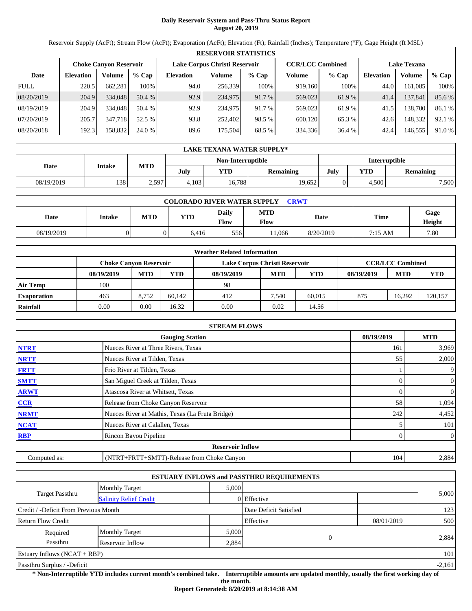# **Daily Reservoir System and Pass-Thru Status Report August 20, 2019**

Reservoir Supply (AcFt); Stream Flow (AcFt); Evaporation (AcFt); Elevation (Ft); Rainfall (Inches); Temperature (°F); Gage Height (ft MSL)

|             | <b>RESERVOIR STATISTICS</b> |                        |         |                               |         |         |                         |        |                    |         |        |  |
|-------------|-----------------------------|------------------------|---------|-------------------------------|---------|---------|-------------------------|--------|--------------------|---------|--------|--|
|             |                             | Choke Canvon Reservoir |         | Lake Corpus Christi Reservoir |         |         | <b>CCR/LCC Combined</b> |        | <b>Lake Texana</b> |         |        |  |
| Date        | <b>Elevation</b>            | Volume                 | $%$ Cap | <b>Elevation</b>              | Volume  | $%$ Cap | Volume                  | % Cap  | <b>Elevation</b>   | Volume  | % Cap  |  |
| <b>FULL</b> | 220.5                       | 662,281                | 100%    | 94.0                          | 256.339 | 100%    | 919,160                 | 100%   | 44.0               | 161,085 | 100%   |  |
| 08/20/2019  | 204.9                       | 334,048                | 50.4 %  | 92.9                          | 234,975 | 91.7 %  | 569,023                 | 61.9 % | 41.4               | 137,841 | 85.6 % |  |
| 08/19/2019  | 204.9                       | 334,048                | 50.4 %  | 92.9                          | 234,975 | 91.7 %  | 569,023                 | 61.9%  | 41.5               | 138,700 | 86.1 % |  |
| 07/20/2019  | 205.7                       | 347.718                | 52.5 %  | 93.8                          | 252,402 | 98.5 %  | 600,120                 | 65.3 % | 42.6               | 148.332 | 92.1 % |  |
| 08/20/2018  | 192.3                       | 158,832                | 24.0 %  | 89.6                          | 175.504 | 68.5 %  | 334,336                 | 36.4 % | 42.4               | 146,555 | 91.0 % |  |

|            | LAKE TEXANA WATER SUPPLY* |            |       |                   |           |                      |            |                  |  |  |  |
|------------|---------------------------|------------|-------|-------------------|-----------|----------------------|------------|------------------|--|--|--|
|            |                           |            |       | Non-Interruptible |           | <b>Interruptible</b> |            |                  |  |  |  |
| Date       | <b>Intake</b>             | <b>MTD</b> | July  | YTD               | Remaining | July                 | <b>YTD</b> | <b>Remaining</b> |  |  |  |
| 08/19/2019 | 138                       | 2,597      | 4.103 | 16,788            | 19.652    |                      | 4.500      | 7,500            |  |  |  |

| <b>COLORADO RIVER WATER SUPPLY</b><br><b>CRWT</b> |        |     |            |                      |                    |           |             |                |  |  |
|---------------------------------------------------|--------|-----|------------|----------------------|--------------------|-----------|-------------|----------------|--|--|
| Date                                              | Intake | MTD | <b>YTD</b> | <b>Daily</b><br>Flow | <b>MTD</b><br>Flow | Date      | <b>Time</b> | Gage<br>Height |  |  |
| 08/19/2019                                        |        |     | 6.416      | 556                  | 1.066              | 8/20/2019 | 7:15 AM     | 7.80           |  |  |

|                    |                               |            |        | <b>Weather Related Information</b> |            |            |            |                         |        |
|--------------------|-------------------------------|------------|--------|------------------------------------|------------|------------|------------|-------------------------|--------|
|                    | <b>Choke Canvon Reservoir</b> |            |        | Lake Corpus Christi Reservoir      |            |            |            | <b>CCR/LCC Combined</b> |        |
|                    | 08/19/2019                    | <b>MTD</b> | YTD    | 08/19/2019                         | <b>MTD</b> | <b>YTD</b> | 08/19/2019 | <b>MTD</b>              | YTD    |
| <b>Air Temp</b>    | 100                           |            |        | 98                                 |            |            |            |                         |        |
| <b>Evaporation</b> | 463                           | 8.752      | 60.142 | 412                                | 7.540      | 60.015     | 875        | 16.292                  | 20,157 |
| Rainfall           | 0.00                          | 0.00       | 16.32  | 0.00                               | 0.02       | 14.56      |            |                         |        |

|              | <b>STREAM FLOWS</b>                             |            |                  |
|--------------|-------------------------------------------------|------------|------------------|
|              | <b>Gauging Station</b>                          | 08/19/2019 | <b>MTD</b>       |
| <b>NTRT</b>  | Nueces River at Three Rivers, Texas             | 161        | 3,969            |
| <b>NRTT</b>  | Nueces River at Tilden, Texas                   | 55         | 2,000            |
| <b>FRTT</b>  | Frio River at Tilden, Texas                     |            | 9 <sub>1</sub>   |
| <b>SMTT</b>  | San Miguel Creek at Tilden, Texas               |            | $\boldsymbol{0}$ |
| <b>ARWT</b>  | Atascosa River at Whitsett, Texas               |            | 0                |
| CCR          | Release from Choke Canyon Reservoir             | 58         | 1,094            |
| <b>NRMT</b>  | Nueces River at Mathis, Texas (La Fruta Bridge) | 242        | 4,452            |
| <b>NCAT</b>  | Nueces River at Calallen, Texas                 |            | 101              |
| <b>RBP</b>   | Rincon Bayou Pipeline                           |            | $\boldsymbol{0}$ |
|              | <b>Reservoir Inflow</b>                         |            |                  |
| Computed as: | (NTRT+FRTT+SMTT)-Release from Choke Canyon      | 104        | 2,884            |

|                                                  |                       |       | <b>ESTUARY INFLOWS and PASSTHRU REQUIREMENTS</b> |            |       |
|--------------------------------------------------|-----------------------|-------|--------------------------------------------------|------------|-------|
|                                                  | <b>Monthly Target</b> | 5,000 |                                                  |            |       |
| Target Passthru<br><b>Salinity Relief Credit</b> |                       |       | 0 Effective                                      |            | 5,000 |
| Credit / -Deficit From Previous Month            |                       |       | Date Deficit Satisfied                           |            | 123   |
| <b>Return Flow Credit</b>                        |                       |       | Effective                                        | 08/01/2019 | 500   |
| Required                                         | <b>Monthly Target</b> | 5,000 |                                                  |            |       |
| Passthru                                         | Reservoir Inflow      | 2,884 |                                                  |            | 2,884 |
| Estuary Inflows $(NCAT + RBP)$                   |                       |       |                                                  |            | 101   |
| Passthru Surplus / -Deficit                      |                       |       |                                                  | $-2,161$   |       |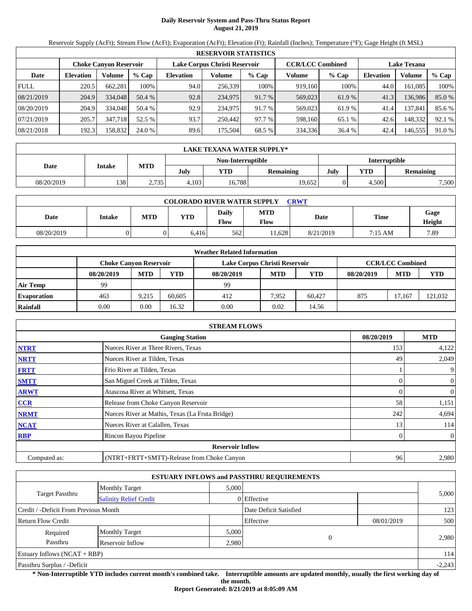# **Daily Reservoir System and Pass-Thru Status Report August 21, 2019**

Reservoir Supply (AcFt); Stream Flow (AcFt); Evaporation (AcFt); Elevation (Ft); Rainfall (Inches); Temperature (°F); Gage Height (ft MSL)

|             | <b>RESERVOIR STATISTICS</b> |                        |         |                               |         |         |                         |         |                    |         |        |  |  |
|-------------|-----------------------------|------------------------|---------|-------------------------------|---------|---------|-------------------------|---------|--------------------|---------|--------|--|--|
|             |                             | Choke Canvon Reservoir |         | Lake Corpus Christi Reservoir |         |         | <b>CCR/LCC Combined</b> |         | <b>Lake Texana</b> |         |        |  |  |
| Date        | <b>Elevation</b>            | Volume                 | $%$ Cap | <b>Elevation</b>              | Volume  | $%$ Cap | Volume                  | $%$ Cap | <b>Elevation</b>   | Volume  | % Cap  |  |  |
| <b>FULL</b> | 220.5                       | 662,281                | 100%    | 94.0                          | 256,339 | 100%    | 919.160                 | 100%    | 44.0               | 161,085 | 100%   |  |  |
| 08/21/2019  | 204.9                       | 334,048                | 50.4 %  | 92.8                          | 234,975 | 91.7 %  | 569,023                 | 61.9 %  | 41.3               | 136,986 | 85.0%  |  |  |
| 08/20/2019  | 204.9                       | 334,048                | 50.4 %  | 92.9                          | 234,975 | 91.7 %  | 569,023                 | 61.9%   | 41.4               | 137,841 | 85.6 % |  |  |
| 07/21/2019  | 205.7                       | 347,718                | 52.5 %  | 93.7                          | 250,442 | 97.7 %  | 598,160                 | 65.1 %  | 42.6               | 148,332 | 92.1 % |  |  |
| 08/21/2018  | 192.3                       | 158,832                | 24.0 %  | 89.6                          | 175,504 | 68.5 %  | 334,336                 | 36.4 %  | 42.4               | 146,555 | 91.0 % |  |  |

|            | LAKE TEXANA WATER SUPPLY* |            |       |                   |           |                      |       |                  |  |  |  |
|------------|---------------------------|------------|-------|-------------------|-----------|----------------------|-------|------------------|--|--|--|
|            |                           |            |       | Non-Interruptible |           | <b>Interruptible</b> |       |                  |  |  |  |
| Date       | <b>Intake</b>             | <b>MTD</b> | July  | YTD               | Remaining | July<br><b>YTD</b>   |       | <b>Remaining</b> |  |  |  |
| 08/20/2019 | 138                       | 2.735      | 4.103 | 16.788            | 19.652    |                      | 4.500 | 7,500            |  |  |  |

| <b>COLORADO RIVER WATER SUPPLY</b><br><b>CRWT</b> |               |            |       |                             |                    |           |             |                |  |  |  |
|---------------------------------------------------|---------------|------------|-------|-----------------------------|--------------------|-----------|-------------|----------------|--|--|--|
| Date                                              | <b>Intake</b> | <b>MTD</b> | YTD   | <b>Daily</b><br><b>Flow</b> | <b>MTD</b><br>Flow | Date      | <b>Time</b> | Gage<br>Height |  |  |  |
| 08/20/2019                                        |               |            | 6.416 | 562                         | 1.628              | 8/21/2019 | 7:15 AM     | 7.89           |  |  |  |

|                    | <b>Weather Related Information</b> |            |        |                               |            |            |            |                         |         |  |  |
|--------------------|------------------------------------|------------|--------|-------------------------------|------------|------------|------------|-------------------------|---------|--|--|
|                    | <b>Choke Canvon Reservoir</b>      |            |        | Lake Corpus Christi Reservoir |            |            |            | <b>CCR/LCC Combined</b> |         |  |  |
|                    | 08/20/2019                         | <b>MTD</b> | YTD    | 08/20/2019                    | <b>MTD</b> | <b>YTD</b> | 08/20/2019 | <b>MTD</b>              | YTD     |  |  |
| <b>Air Temp</b>    | 99                                 |            |        | 99                            |            |            |            |                         |         |  |  |
| <b>Evaporation</b> | 463                                | 9.215      | 60.605 | 412                           | 7.952      | 60.427     | 875        | 17.167                  | 121,032 |  |  |
| Rainfall           | 0.00                               | 0.00       | 16.32  | 0.00                          | 0.02       | 14.56      |            |                         |         |  |  |

|              | <b>STREAM FLOWS</b>                             |            |                  |
|--------------|-------------------------------------------------|------------|------------------|
|              | <b>Gauging Station</b>                          | 08/20/2019 | <b>MTD</b>       |
| <b>NTRT</b>  | Nueces River at Three Rivers, Texas             | 153        | 4,122            |
| <b>NRTT</b>  | Nueces River at Tilden, Texas                   | 49         | 2,049            |
| <b>FRTT</b>  | Frio River at Tilden, Texas                     |            | 9                |
| <b>SMTT</b>  | San Miguel Creek at Tilden, Texas               |            | $\boldsymbol{0}$ |
| <b>ARWT</b>  | Atascosa River at Whitsett, Texas               |            | 0                |
| CCR          | Release from Choke Canyon Reservoir             | 58         | 1,151            |
| <b>NRMT</b>  | Nueces River at Mathis, Texas (La Fruta Bridge) | 242        | 4,694            |
| <b>NCAT</b>  | Nueces River at Calallen, Texas                 | 13         | 114              |
| <b>RBP</b>   | Rincon Bayou Pipeline                           |            | $\boldsymbol{0}$ |
|              | <b>Reservoir Inflow</b>                         |            |                  |
| Computed as: | (NTRT+FRTT+SMTT)-Release from Choke Canyon      | 96         | 2,980            |

|                                                  |                       |       | <b>ESTUARY INFLOWS and PASSTHRU REQUIREMENTS</b> |            |       |  |
|--------------------------------------------------|-----------------------|-------|--------------------------------------------------|------------|-------|--|
|                                                  | <b>Monthly Target</b> | 5,000 |                                                  |            |       |  |
| Target Passthru<br><b>Salinity Relief Credit</b> |                       |       | 0 Effective                                      |            | 5,000 |  |
| Credit / -Deficit From Previous Month            |                       |       | Date Deficit Satisfied                           |            | 123   |  |
| <b>Return Flow Credit</b>                        |                       |       | Effective                                        | 08/01/2019 | 500   |  |
| Required                                         | <b>Monthly Target</b> | 5,000 |                                                  |            |       |  |
| Passthru                                         | Reservoir Inflow      | 2,980 |                                                  |            | 2,980 |  |
| Estuary Inflows $(NCAT + RBP)$                   |                       |       |                                                  |            | 114   |  |
| Passthru Surplus / -Deficit                      |                       |       |                                                  |            |       |  |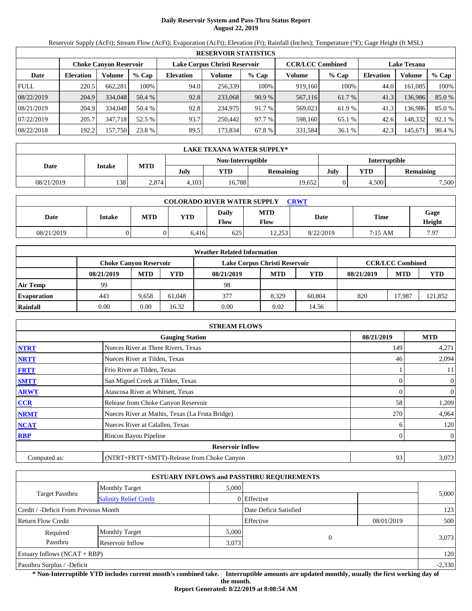# **Daily Reservoir System and Pass-Thru Status Report August 22, 2019**

Reservoir Supply (AcFt); Stream Flow (AcFt); Evaporation (AcFt); Elevation (Ft); Rainfall (Inches); Temperature (°F); Gage Height (ft MSL)

|             | <b>RESERVOIR STATISTICS</b> |                               |         |                  |                               |         |                         |         |                    |         |        |  |  |
|-------------|-----------------------------|-------------------------------|---------|------------------|-------------------------------|---------|-------------------------|---------|--------------------|---------|--------|--|--|
|             |                             | <b>Choke Canyon Reservoir</b> |         |                  | Lake Corpus Christi Reservoir |         | <b>CCR/LCC Combined</b> |         | <b>Lake Texana</b> |         |        |  |  |
| Date        | <b>Elevation</b>            | Volume                        | $%$ Cap | <b>Elevation</b> | Volume                        | $%$ Cap | Volume                  | $%$ Cap | <b>Elevation</b>   | Volume  | % Cap  |  |  |
| <b>FULL</b> | 220.5                       | 662.281                       | 100%    | 94.0             | 256,339                       | 100%    | 919,160                 | 100%    | 44.0               | 161.085 | 100%   |  |  |
| 08/22/2019  | 204.9                       | 334,048                       | 50.4 %  | 92.8             | 233,068                       | 90.9%   | 567,116                 | 61.7 %  | 41.3               | 136,986 | 85.0%  |  |  |
| 08/21/2019  | 204.9                       | 334,048                       | 50.4 %  | 92.8             | 234.975                       | 91.7 %  | 569,023                 | 61.9%   | 41.3               | 136.986 | 85.0%  |  |  |
| 07/22/2019  | 205.7                       | 347.718                       | 52.5 %  | 93.7             | 250.442                       | 97.7 %  | 598,160                 | 65.1 %  | 42.6               | 148,332 | 92.1 % |  |  |
| 08/22/2018  | 192.2                       | 157,750                       | 23.8 %  | 89.5             | 173,834                       | 67.8 %  | 331,584                 | 36.1 %  | 42.3               | 145,671 | 90.4 % |  |  |

|            | LAKE TEXANA WATER SUPPLY* |            |       |                          |        |            |                      |       |  |  |  |
|------------|---------------------------|------------|-------|--------------------------|--------|------------|----------------------|-------|--|--|--|
|            |                           |            |       | Non-Interruptible        |        |            | <b>Interruptible</b> |       |  |  |  |
| Date       | <b>Intake</b>             | <b>MTD</b> | July  | July<br>YTD<br>Remaining |        | <b>YTD</b> | <b>Remaining</b>     |       |  |  |  |
| 08/21/2019 | 138                       | 2.874      | 4.103 | 16,788                   | 19.652 |            | 4.500                | 7,500 |  |  |  |

| <b>COLORADO RIVER WATER SUPPLY</b><br>CRWT |        |            |            |                      |                           |           |         |                |  |  |  |
|--------------------------------------------|--------|------------|------------|----------------------|---------------------------|-----------|---------|----------------|--|--|--|
| Date                                       | Intake | <b>MTD</b> | <b>YTD</b> | Daily<br><b>Flow</b> | <b>MTD</b><br><b>Flow</b> | Date      | Time    | Gage<br>Height |  |  |  |
| 08/21/2019                                 |        |            | 6.416      | 625                  | 12.253                    | 8/22/2019 | 7:15 AM | 7.97           |  |  |  |

|                    | <b>Weather Related Information</b> |            |        |                               |            |            |            |                         |            |  |  |  |
|--------------------|------------------------------------|------------|--------|-------------------------------|------------|------------|------------|-------------------------|------------|--|--|--|
|                    | <b>Choke Canvon Reservoir</b>      |            |        | Lake Corpus Christi Reservoir |            |            |            | <b>CCR/LCC Combined</b> |            |  |  |  |
|                    | 08/21/2019                         | <b>MTD</b> | YTD    | 08/21/2019                    | <b>MTD</b> | <b>YTD</b> | 08/21/2019 | <b>MTD</b>              | <b>YTD</b> |  |  |  |
| <b>Air Temp</b>    | 99                                 |            |        | 98                            |            |            |            |                         |            |  |  |  |
| <b>Evaporation</b> | 443                                | 9.658      | 61.048 | 377                           | 8.329      | 60.804     | 820        | 17.987                  | 121,852    |  |  |  |
| Rainfall           | 0.00                               | 0.00       | 16.32  | 0.00                          | 0.02       | 14.56      |            |                         |            |  |  |  |

|              | <b>STREAM FLOWS</b>                             |            |                |
|--------------|-------------------------------------------------|------------|----------------|
|              | <b>Gauging Station</b>                          | 08/21/2019 | <b>MTD</b>     |
| <b>NTRT</b>  | Nueces River at Three Rivers, Texas             | 149        | 4,271          |
| <b>NRTT</b>  | Nueces River at Tilden, Texas                   | 46         | 2,094          |
| <b>FRTT</b>  | Frio River at Tilden, Texas                     |            | 11             |
| <b>SMTT</b>  | San Miguel Creek at Tilden, Texas               | 0          | 0              |
| <b>ARWT</b>  | Atascosa River at Whitsett, Texas               |            | 0              |
| <b>CCR</b>   | Release from Choke Canyon Reservoir             | 58         | 1,209          |
| <b>NRMT</b>  | Nueces River at Mathis, Texas (La Fruta Bridge) | 270        | 4,964          |
| <b>NCAT</b>  | Nueces River at Calallen, Texas                 |            | 120            |
| <b>RBP</b>   | Rincon Bayou Pipeline                           |            | $\overline{0}$ |
|              | <b>Reservoir Inflow</b>                         |            |                |
| Computed as: | (NTRT+FRTT+SMTT)-Release from Choke Canyon      | 93         | 3,073          |

|                                                  |                       |       | <b>ESTUARY INFLOWS and PASSTHRU REQUIREMENTS</b> |            |       |  |
|--------------------------------------------------|-----------------------|-------|--------------------------------------------------|------------|-------|--|
|                                                  | <b>Monthly Target</b> | 5.000 |                                                  |            |       |  |
| Target Passthru<br><b>Salinity Relief Credit</b> |                       |       | 0 Effective                                      |            | 5,000 |  |
| Credit / -Deficit From Previous Month            |                       |       | Date Deficit Satisfied                           |            | 123   |  |
| <b>Return Flow Credit</b>                        |                       |       | Effective                                        | 08/01/2019 | 500   |  |
| Required                                         | <b>Monthly Target</b> | 5,000 |                                                  |            |       |  |
| Passthru                                         | Reservoir Inflow      | 3,073 |                                                  |            | 3,073 |  |
| Estuary Inflows $(NCAT + RBP)$                   |                       |       |                                                  |            | 120   |  |
| Passthru Surplus / -Deficit                      |                       |       |                                                  |            |       |  |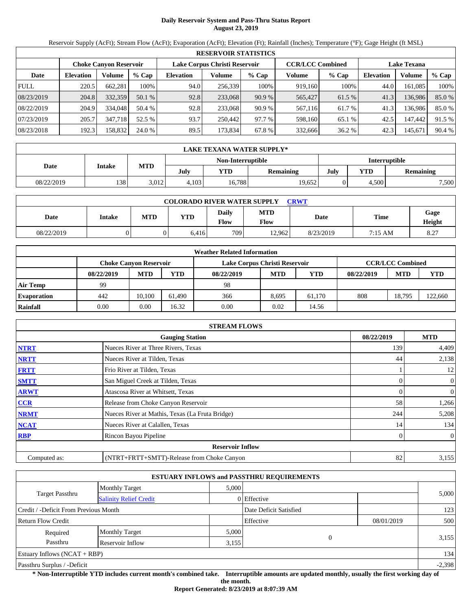# **Daily Reservoir System and Pass-Thru Status Report August 23, 2019**

Reservoir Supply (AcFt); Stream Flow (AcFt); Evaporation (AcFt); Elevation (Ft); Rainfall (Inches); Temperature (°F); Gage Height (ft MSL)

|             | <b>RESERVOIR STATISTICS</b>   |         |         |                               |         |         |                         |         |                    |         |        |  |
|-------------|-------------------------------|---------|---------|-------------------------------|---------|---------|-------------------------|---------|--------------------|---------|--------|--|
|             | <b>Choke Canyon Reservoir</b> |         |         | Lake Corpus Christi Reservoir |         |         | <b>CCR/LCC Combined</b> |         | <b>Lake Texana</b> |         |        |  |
| Date        | <b>Elevation</b>              | Volume  | $%$ Cap | <b>Elevation</b>              | Volume  | $%$ Cap | Volume                  | $%$ Cap | <b>Elevation</b>   | Volume  | % Cap  |  |
| <b>FULL</b> | 220.5                         | 662,281 | 100%    | 94.0                          | 256,339 | 100%    | 919,160                 | 100%    | 44.0               | 161.085 | 100%   |  |
| 08/23/2019  | 204.8                         | 332,359 | 50.1 %  | 92.8                          | 233,068 | 90.9%   | 565,427                 | 61.5 %  | 41.3               | 136,986 | 85.0%  |  |
| 08/22/2019  | 204.9                         | 334,048 | 50.4 %  | 92.8                          | 233,068 | 90.9%   | 567,116                 | 61.7 %  | 41.3               | 136.986 | 85.0%  |  |
| 07/23/2019  | 205.7                         | 347,718 | 52.5 %  | 93.7                          | 250.442 | 97.7 %  | 598,160                 | 65.1 %  | 42.5               | 147,442 | 91.5 % |  |
| 08/23/2018  | 192.3                         | 158,832 | 24.0 %  | 89.5                          | 173,834 | 67.8 %  | 332,666                 | 36.2 %  | 42.3               | 145,671 | 90.4 % |  |

|            | LAKE TEXANA WATER SUPPLY* |            |       |                   |           |                      |            |                  |  |  |  |
|------------|---------------------------|------------|-------|-------------------|-----------|----------------------|------------|------------------|--|--|--|
|            | Intake                    | <b>MTD</b> |       | Non-Interruptible |           | <b>Interruptible</b> |            |                  |  |  |  |
| Date       |                           |            | July  | YTD               | Remaining | July                 | <b>YTD</b> | <b>Remaining</b> |  |  |  |
| 08/22/2019 | 138                       | 3,012      | 4.103 | 16,788            | 19,652    |                      | 4.500      | 7,500            |  |  |  |

| <b>COLORADO RIVER WATER SUPPLY</b><br><b>CRWT</b> |        |     |            |                      |                    |           |         |                |  |  |  |
|---------------------------------------------------|--------|-----|------------|----------------------|--------------------|-----------|---------|----------------|--|--|--|
| Date                                              | Intake | MTD | <b>YTD</b> | <b>Daily</b><br>Flow | <b>MTD</b><br>Flow | Date      | Time    | Gage<br>Height |  |  |  |
| 08/22/2019                                        |        |     | 6.416      | 7091                 | 12.962             | 8/23/2019 | 7:15 AM | 8.27           |  |  |  |

|                    |            |                               |        | <b>Weather Related Information</b> |            |            |            |                         |        |
|--------------------|------------|-------------------------------|--------|------------------------------------|------------|------------|------------|-------------------------|--------|
|                    |            | <b>Choke Canvon Reservoir</b> |        | Lake Corpus Christi Reservoir      |            |            |            | <b>CCR/LCC Combined</b> |        |
|                    | 08/22/2019 | <b>MTD</b>                    | YTD    | 08/22/2019                         | <b>MTD</b> | <b>YTD</b> | 08/22/2019 | <b>MTD</b>              | YTD    |
| <b>Air Temp</b>    | 99         |                               |        | 98                                 |            |            |            |                         |        |
| <b>Evaporation</b> | 442        | 10.100                        | 61.490 | 366                                | 8.695      | 61.170     | 808        | 18.795                  | 22,660 |
| Rainfall           | 0.00       | 0.00                          | 16.32  | 0.00                               | 0.02       | 14.56      |            |                         |        |

|              | <b>STREAM FLOWS</b>                             |            |                  |
|--------------|-------------------------------------------------|------------|------------------|
|              | <b>Gauging Station</b>                          | 08/22/2019 | <b>MTD</b>       |
| <b>NTRT</b>  | Nueces River at Three Rivers, Texas             | 139        | 4,409            |
| <b>NRTT</b>  | Nueces River at Tilden, Texas                   | 44         | 2,138            |
| <b>FRTT</b>  | Frio River at Tilden, Texas                     |            | 12               |
| <b>SMTT</b>  | San Miguel Creek at Tilden, Texas               |            | $\boldsymbol{0}$ |
| <b>ARWT</b>  | Atascosa River at Whitsett, Texas               |            | 0                |
| CCR          | Release from Choke Canyon Reservoir             | 58         | 1,266            |
| <b>NRMT</b>  | Nueces River at Mathis, Texas (La Fruta Bridge) | 244        | 5,208            |
| <b>NCAT</b>  | Nueces River at Calallen, Texas                 | 14         | 134              |
| <b>RBP</b>   | Rincon Bayou Pipeline                           |            | $\boldsymbol{0}$ |
|              | <b>Reservoir Inflow</b>                         |            |                  |
| Computed as: | (NTRT+FRTT+SMTT)-Release from Choke Canyon      | 82         | 3,155            |

|                                                  |                       |       | <b>ESTUARY INFLOWS and PASSTHRU REQUIREMENTS</b> |            |          |
|--------------------------------------------------|-----------------------|-------|--------------------------------------------------|------------|----------|
|                                                  | <b>Monthly Target</b> | 5,000 |                                                  |            |          |
| Target Passthru<br><b>Salinity Relief Credit</b> |                       |       | 0 Effective                                      |            | 5,000    |
| Credit / -Deficit From Previous Month            |                       |       | Date Deficit Satisfied                           |            | 123      |
| <b>Return Flow Credit</b>                        |                       |       | Effective                                        | 08/01/2019 | 500      |
| Required                                         | <b>Monthly Target</b> | 5,000 |                                                  |            |          |
| Passthru                                         | Reservoir Inflow      | 3,155 |                                                  |            | 3,155    |
| Estuary Inflows $(NCAT + RBP)$                   |                       |       |                                                  |            | 134      |
| Passthru Surplus / -Deficit                      |                       |       |                                                  |            | $-2,398$ |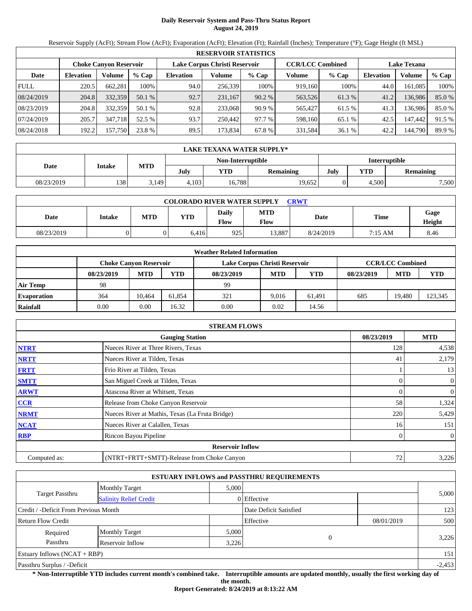# **Daily Reservoir System and Pass-Thru Status Report August 24, 2019**

Reservoir Supply (AcFt); Stream Flow (AcFt); Evaporation (AcFt); Elevation (Ft); Rainfall (Inches); Temperature (°F); Gage Height (ft MSL)

|             | <b>RESERVOIR STATISTICS</b>   |         |         |                               |         |         |                         |         |                    |         |        |  |
|-------------|-------------------------------|---------|---------|-------------------------------|---------|---------|-------------------------|---------|--------------------|---------|--------|--|
|             | <b>Choke Canyon Reservoir</b> |         |         | Lake Corpus Christi Reservoir |         |         | <b>CCR/LCC Combined</b> |         | <b>Lake Texana</b> |         |        |  |
| Date        | <b>Elevation</b>              | Volume  | $%$ Cap | <b>Elevation</b>              | Volume  | $%$ Cap | Volume                  | $%$ Cap | <b>Elevation</b>   | Volume  | % Cap  |  |
| <b>FULL</b> | 220.5                         | 662,281 | 100%    | 94.0                          | 256,339 | 100%    | 919,160                 | 100%    | 44.0               | 161.085 | 100%   |  |
| 08/24/2019  | 204.8                         | 332,359 | 50.1 %  | 92.7                          | 231.167 | 90.2%   | 563,526                 | 61.3%   | 41.2               | 136.986 | 85.0%  |  |
| 08/23/2019  | 204.8                         | 332,359 | 50.1 %  | 92.8                          | 233,068 | 90.9%   | 565,427                 | 61.5 %  | 41.3               | 136.986 | 85.0%  |  |
| 07/24/2019  | 205.7                         | 347,718 | 52.5 %  | 93.7                          | 250.442 | 97.7 %  | 598,160                 | 65.1 %  | 42.5               | 147,442 | 91.5 % |  |
| 08/24/2018  | 192.2                         | 157,750 | 23.8 %  | 89.5                          | 173,834 | 67.8 %  | 331,584                 | 36.1 %  | 42.2               | 144,790 | 89.9 % |  |

|            | LAKE TEXANA WATER SUPPLY* |            |       |                   |           |                      |            |                  |  |  |  |
|------------|---------------------------|------------|-------|-------------------|-----------|----------------------|------------|------------------|--|--|--|
|            | <b>Intake</b>             |            |       | Non-Interruptible |           | <b>Interruptible</b> |            |                  |  |  |  |
| Date       |                           | <b>MTD</b> | July  | YTD               | Remaining | July                 | <b>YTD</b> | <b>Remaining</b> |  |  |  |
| 08/23/2019 | 138                       | 3.149      | 4.103 | 16.788            | 19.652    |                      | 4.500      | 7,500            |  |  |  |

| <b>COLORADO RIVER WATER SUPPLY</b><br><b>CRWT</b> |        |     |            |                      |                    |           |         |                |  |  |  |
|---------------------------------------------------|--------|-----|------------|----------------------|--------------------|-----------|---------|----------------|--|--|--|
| Date                                              | Intake | MTD | <b>YTD</b> | <b>Daily</b><br>Flow | <b>MTD</b><br>Flow | Date      | Time    | Gage<br>Height |  |  |  |
| 08/23/2019                                        |        |     | 6.416      | 925                  | 13.887             | 8/24/2019 | 7:15 AM | 8.46           |  |  |  |

|                    |            |                               |        | <b>Weather Related Information</b> |            |            |            |                         |        |
|--------------------|------------|-------------------------------|--------|------------------------------------|------------|------------|------------|-------------------------|--------|
|                    |            | <b>Choke Canyon Reservoir</b> |        | Lake Corpus Christi Reservoir      |            |            |            | <b>CCR/LCC Combined</b> |        |
|                    | 08/23/2019 | <b>MTD</b>                    | YTD    | 08/23/2019                         | <b>MTD</b> | <b>YTD</b> | 08/23/2019 | <b>MTD</b>              | YTD    |
| <b>Air Temp</b>    | 98         |                               |        | 99                                 |            |            |            |                         |        |
| <b>Evaporation</b> | 364        | 10.464                        | 61.854 | 321                                | 9.016      | 61.491     | 685        | 19.480                  | 23,345 |
| Rainfall           | 0.00       | 0.00                          | 16.32  | 0.00                               | 0.02       | 14.56      |            |                         |        |

|              | <b>STREAM FLOWS</b>                             |            |                  |
|--------------|-------------------------------------------------|------------|------------------|
|              | <b>Gauging Station</b>                          | 08/23/2019 | <b>MTD</b>       |
| <b>NTRT</b>  | Nueces River at Three Rivers, Texas             | 128        | 4,538            |
| <b>NRTT</b>  | Nueces River at Tilden, Texas                   | -41        | 2,179            |
| <b>FRTT</b>  | Frio River at Tilden, Texas                     |            | 13               |
| <b>SMTT</b>  | San Miguel Creek at Tilden, Texas               |            | $\boldsymbol{0}$ |
| <b>ARWT</b>  | Atascosa River at Whitsett, Texas               |            | 0                |
| CCR          | Release from Choke Canyon Reservoir             | 58         | 1,324            |
| <b>NRMT</b>  | Nueces River at Mathis, Texas (La Fruta Bridge) | 220        | 5,429            |
| <b>NCAT</b>  | Nueces River at Calallen, Texas                 | 16         | 151              |
| <b>RBP</b>   | Rincon Bayou Pipeline                           |            | $\boldsymbol{0}$ |
|              | <b>Reservoir Inflow</b>                         |            |                  |
| Computed as: | (NTRT+FRTT+SMTT)-Release from Choke Canyon      | 72         | 3,226            |

|                                                  |                       |       | <b>ESTUARY INFLOWS and PASSTHRU REQUIREMENTS</b> |            |          |
|--------------------------------------------------|-----------------------|-------|--------------------------------------------------|------------|----------|
|                                                  | <b>Monthly Target</b> | 5,000 |                                                  |            |          |
| Target Passthru<br><b>Salinity Relief Credit</b> |                       |       | 0 Effective                                      |            | 5,000    |
| Credit / -Deficit From Previous Month            |                       |       | Date Deficit Satisfied                           |            | 123      |
| <b>Return Flow Credit</b>                        |                       |       | Effective                                        | 08/01/2019 | 500      |
| Required                                         | <b>Monthly Target</b> | 5,000 |                                                  |            |          |
| Passthru                                         | Reservoir Inflow      | 3,226 |                                                  |            | 3,226    |
| Estuary Inflows $(NCAT + RBP)$                   |                       |       |                                                  |            | 151      |
| Passthru Surplus / -Deficit                      |                       |       |                                                  |            | $-2,453$ |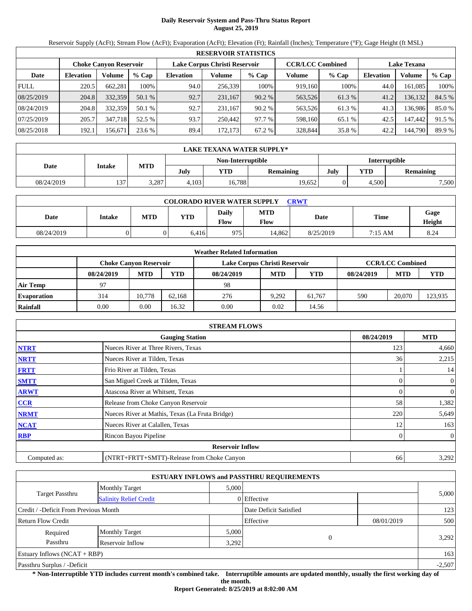# **Daily Reservoir System and Pass-Thru Status Report August 25, 2019**

Reservoir Supply (AcFt); Stream Flow (AcFt); Evaporation (AcFt); Elevation (Ft); Rainfall (Inches); Temperature (°F); Gage Height (ft MSL)

|             | <b>RESERVOIR STATISTICS</b>   |         |         |                  |                               |         |                         |         |                    |         |        |  |
|-------------|-------------------------------|---------|---------|------------------|-------------------------------|---------|-------------------------|---------|--------------------|---------|--------|--|
|             | <b>Choke Canyon Reservoir</b> |         |         |                  | Lake Corpus Christi Reservoir |         | <b>CCR/LCC Combined</b> |         | <b>Lake Texana</b> |         |        |  |
| Date        | <b>Elevation</b>              | Volume  | $%$ Cap | <b>Elevation</b> | Volume                        | $%$ Cap | Volume                  | $%$ Cap | <b>Elevation</b>   | Volume  | % Cap  |  |
| <b>FULL</b> | 220.5                         | 662,281 | 100%    | 94.0             | 256,339                       | 100%    | 919,160                 | 100%    | 44.0               | 161.085 | 100%   |  |
| 08/25/2019  | 204.8                         | 332,359 | 50.1 %  | 92.7             | 231.167                       | 90.2%   | 563,526                 | 61.3%   | 41.2               | 136,132 | 84.5 % |  |
| 08/24/2019  | 204.8                         | 332,359 | 50.1 %  | 92.7             | 231.167                       | 90.2%   | 563,526                 | 61.3%   | 41.3               | 136.986 | 85.0%  |  |
| 07/25/2019  | 205.7                         | 347,718 | 52.5 %  | 93.7             | 250,442                       | 97.7 %  | 598,160                 | 65.1 %  | 42.5               | 147,442 | 91.5 % |  |
| 08/25/2018  | 192.1                         | 156,671 | 23.6 %  | 89.4             | 172,173                       | 67.2 %  | 328,844                 | 35.8%   | 42.2               | 144,790 | 89.9 % |  |

|            | LAKE TEXANA WATER SUPPLY* |            |                   |        |           |      |                      |                  |  |  |  |
|------------|---------------------------|------------|-------------------|--------|-----------|------|----------------------|------------------|--|--|--|
|            | <b>Intake</b>             |            | Non-Interruptible |        |           |      | <b>Interruptible</b> |                  |  |  |  |
| Date       |                           | <b>MTD</b> | July              | YTD    | Remaining | July | <b>YTD</b>           | <b>Remaining</b> |  |  |  |
| 08/24/2019 | 137                       | 3,287      | 4.103             | 16,788 | 19.652    |      | 4.500                | 7,500            |  |  |  |

| <b>COLORADO RIVER WATER SUPPLY</b><br><b>CRWT</b> |        |     |            |                      |                           |           |             |                |  |  |
|---------------------------------------------------|--------|-----|------------|----------------------|---------------------------|-----------|-------------|----------------|--|--|
| Date                                              | Intake | MTD | <b>YTD</b> | <b>Daily</b><br>Flow | <b>MTD</b><br><b>Flow</b> | Date      | <b>Time</b> | Gage<br>Height |  |  |
| 08/24/2019                                        |        |     | 6.416      | 975                  | 14.862                    | 8/25/2019 | 7:15 AM     | 8.24           |  |  |

|                    |            |                        |        | <b>Weather Related Information</b> |            |            |            |                         |         |
|--------------------|------------|------------------------|--------|------------------------------------|------------|------------|------------|-------------------------|---------|
|                    |            | Choke Canvon Reservoir |        | Lake Corpus Christi Reservoir      |            |            |            | <b>CCR/LCC Combined</b> |         |
|                    | 08/24/2019 | <b>MTD</b>             | YTD    | 08/24/2019                         | <b>MTD</b> | <b>YTD</b> | 08/24/2019 | <b>MTD</b>              | YTD     |
| Air Temp           | 97         |                        |        | 98                                 |            |            |            |                         |         |
| <b>Evaporation</b> | 314        | 10.778                 | 62.168 | 276                                | 9.292      | 61.767     | 590        | 20,070                  | 123,935 |
| Rainfall           | 0.00       | 0.00                   | 16.32  | 0.00                               | 0.02       | 14.56      |            |                         |         |

|              | <b>STREAM FLOWS</b>                             |            |                  |
|--------------|-------------------------------------------------|------------|------------------|
|              | <b>Gauging Station</b>                          | 08/24/2019 | <b>MTD</b>       |
| <b>NTRT</b>  | Nueces River at Three Rivers, Texas             | 123        | 4,660            |
| <b>NRTT</b>  | Nueces River at Tilden, Texas                   | 36         | 2,215            |
| <b>FRTT</b>  | Frio River at Tilden, Texas                     |            | 14               |
| <b>SMTT</b>  | San Miguel Creek at Tilden, Texas               |            | $\boldsymbol{0}$ |
| <b>ARWT</b>  | Atascosa River at Whitsett, Texas               |            | 0                |
| CCR          | Release from Choke Canyon Reservoir             | 58         | 1,382            |
| <b>NRMT</b>  | Nueces River at Mathis, Texas (La Fruta Bridge) | 220        | 5,649            |
| <b>NCAT</b>  | Nueces River at Calallen, Texas                 | 12         | 163              |
| <b>RBP</b>   | Rincon Bayou Pipeline                           |            | $\boldsymbol{0}$ |
|              | <b>Reservoir Inflow</b>                         |            |                  |
| Computed as: | (NTRT+FRTT+SMTT)-Release from Choke Canyon      | 66         | 3,292            |

|                                       |                               |       | <b>ESTUARY INFLOWS and PASSTHRU REQUIREMENTS</b> |            |       |  |  |
|---------------------------------------|-------------------------------|-------|--------------------------------------------------|------------|-------|--|--|
|                                       | <b>Monthly Target</b>         | 5,000 |                                                  |            | 5,000 |  |  |
| Target Passthru                       | <b>Salinity Relief Credit</b> |       | 0 Effective                                      |            |       |  |  |
| Credit / -Deficit From Previous Month |                               |       | Date Deficit Satisfied                           |            | 123   |  |  |
| <b>Return Flow Credit</b>             |                               |       | Effective                                        | 08/01/2019 | 500   |  |  |
| Required                              | <b>Monthly Target</b>         | 5,000 |                                                  |            |       |  |  |
| Passthru                              | Reservoir Inflow              | 3,292 |                                                  |            | 3,292 |  |  |
| Estuary Inflows $(NCAT + RBP)$        |                               |       |                                                  |            | 163   |  |  |
| Passthru Surplus / -Deficit           |                               |       |                                                  | $-2,507$   |       |  |  |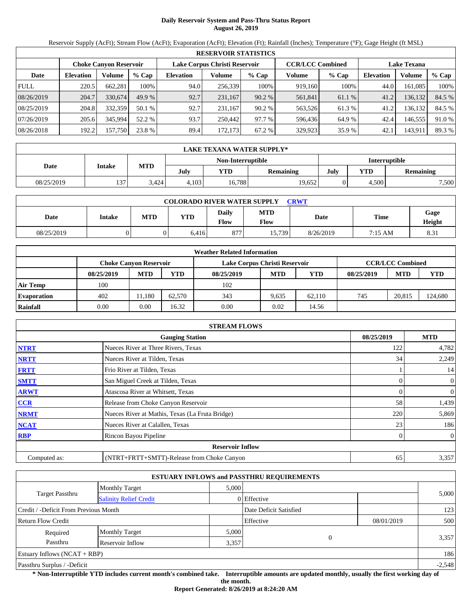# **Daily Reservoir System and Pass-Thru Status Report August 26, 2019**

Reservoir Supply (AcFt); Stream Flow (AcFt); Evaporation (AcFt); Elevation (Ft); Rainfall (Inches); Temperature (°F); Gage Height (ft MSL)

|             | <b>RESERVOIR STATISTICS</b> |         |         |                  |                               |         |         |                         |                    |         |        |  |
|-------------|-----------------------------|---------|---------|------------------|-------------------------------|---------|---------|-------------------------|--------------------|---------|--------|--|
|             | Choke Canvon Reservoir      |         |         |                  | Lake Corpus Christi Reservoir |         |         | <b>CCR/LCC Combined</b> | <b>Lake Texana</b> |         |        |  |
| Date        | <b>Elevation</b>            | Volume  | $%$ Cap | <b>Elevation</b> | Volume                        | $%$ Cap | Volume  | $%$ Cap                 | <b>Elevation</b>   | Volume  | % Cap  |  |
| <b>FULL</b> | 220.5                       | 662,281 | 100%    | 94.0             | 256,339                       | 100%    | 919.160 | 100%                    | 44.0               | 161,085 | 100%   |  |
| 08/26/2019  | 204.7                       | 330,674 | 49.9 %  | 92.7             | 231,167                       | 90.2 %  | 561,841 | 61.1 %                  | 41.2               | 136,132 | 84.5 % |  |
| 08/25/2019  | 204.8                       | 332,359 | 50.1%   | 92.7             | 231.167                       | 90.2 %  | 563,526 | 61.3%                   | 41.2               | 136,132 | 84.5 % |  |
| 07/26/2019  | 205.6                       | 345,994 | 52.2 %  | 93.7             | 250,442                       | 97.7 %  | 596,436 | 64.9 %                  | 42.4               | 146,555 | 91.0 % |  |
| 08/26/2018  | 192.2                       | 157,750 | 23.8 %  | 89.4             | 172.173                       | 67.2 %  | 329,923 | 35.9 %                  | 42.1               | 143,911 | 89.3 % |  |

|            | LAKE TEXANA WATER SUPPLY* |            |       |                   |           |                      |            |                  |  |  |  |
|------------|---------------------------|------------|-------|-------------------|-----------|----------------------|------------|------------------|--|--|--|
|            | <b>Intake</b>             |            |       | Non-Interruptible |           | <b>Interruptible</b> |            |                  |  |  |  |
| Date       |                           | <b>MTD</b> | July  | YTD               | Remaining | July                 | <b>YTD</b> | <b>Remaining</b> |  |  |  |
| 08/25/2019 | 137                       | 3.424      | 4.103 | 16.788            | 19.652    |                      | 4.500      | 7,500            |  |  |  |

| <b>COLORADO RIVER WATER SUPPLY</b><br><b>CRWT</b> |        |     |            |                      |                    |           |         |                |  |  |  |
|---------------------------------------------------|--------|-----|------------|----------------------|--------------------|-----------|---------|----------------|--|--|--|
| Date                                              | Intake | MTD | <b>YTD</b> | <b>Daily</b><br>Flow | <b>MTD</b><br>Flow | Date      | Time    | Gage<br>Height |  |  |  |
| 08/25/2019                                        |        |     | 6.416      | 877                  | 15,739             | 8/26/2019 | 7:15 AM | 8.31           |  |  |  |

|                    |            |                        |        | <b>Weather Related Information</b> |            |            |            |                         |         |
|--------------------|------------|------------------------|--------|------------------------------------|------------|------------|------------|-------------------------|---------|
|                    |            | Choke Canvon Reservoir |        | Lake Corpus Christi Reservoir      |            |            |            | <b>CCR/LCC Combined</b> |         |
|                    | 08/25/2019 | <b>MTD</b>             | YTD    | 08/25/2019                         | <b>MTD</b> | <b>YTD</b> | 08/25/2019 | <b>MTD</b>              | YTD     |
| Air Temp           | 100        |                        |        | 102                                |            |            |            |                         |         |
| <b>Evaporation</b> | 402        | 1.180                  | 62.570 | 343                                | 9.635      | 62.110     | 745        | 20.815                  | 124,680 |
| Rainfall           | 0.00       | 0.00                   | 16.32  | 0.00                               | 0.02       | 14.56      |            |                         |         |

|              | <b>STREAM FLOWS</b>                             |            |                  |
|--------------|-------------------------------------------------|------------|------------------|
|              | <b>Gauging Station</b>                          | 08/25/2019 | <b>MTD</b>       |
| <b>NTRT</b>  | Nueces River at Three Rivers, Texas             | 122        | 4,782            |
| <b>NRTT</b>  | Nueces River at Tilden, Texas                   | 34         | 2,249            |
| <b>FRTT</b>  | Frio River at Tilden, Texas                     |            | 14               |
| <b>SMTT</b>  | San Miguel Creek at Tilden, Texas               |            | $\boldsymbol{0}$ |
| <b>ARWT</b>  | Atascosa River at Whitsett, Texas               |            | 0                |
| CCR          | Release from Choke Canyon Reservoir             | 58         | 1,439            |
| <b>NRMT</b>  | Nueces River at Mathis, Texas (La Fruta Bridge) | 220        | 5,869            |
| <b>NCAT</b>  | Nueces River at Calallen, Texas                 | 23         | 186              |
| <b>RBP</b>   | Rincon Bayou Pipeline                           |            | $\boldsymbol{0}$ |
|              | <b>Reservoir Inflow</b>                         |            |                  |
| Computed as: | (NTRT+FRTT+SMTT)-Release from Choke Canyon      | 65         | 3,357            |

|                                                  |                       |       | <b>ESTUARY INFLOWS and PASSTHRU REQUIREMENTS</b> |            |          |  |
|--------------------------------------------------|-----------------------|-------|--------------------------------------------------|------------|----------|--|
|                                                  | <b>Monthly Target</b> | 5,000 |                                                  |            |          |  |
| Target Passthru<br><b>Salinity Relief Credit</b> |                       |       | 0 Effective                                      |            | 5,000    |  |
| Credit / -Deficit From Previous Month            |                       |       | Date Deficit Satisfied                           |            | 123      |  |
| <b>Return Flow Credit</b>                        |                       |       | Effective                                        | 08/01/2019 | 500      |  |
| Required                                         | <b>Monthly Target</b> | 5,000 |                                                  |            |          |  |
| Passthru<br>Reservoir Inflow                     |                       |       | $\Omega$<br>3,357                                |            | 3,357    |  |
| Estuary Inflows $(NCAT + RBP)$                   |                       |       |                                                  |            | 186      |  |
| Passthru Surplus / -Deficit                      |                       |       |                                                  |            | $-2,548$ |  |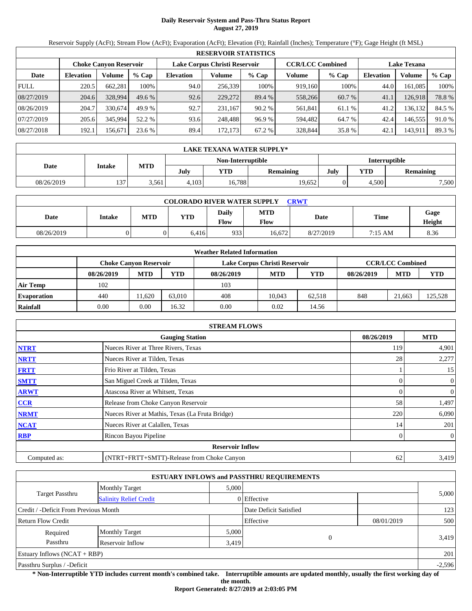# **Daily Reservoir System and Pass-Thru Status Report August 27, 2019**

Reservoir Supply (AcFt); Stream Flow (AcFt); Evaporation (AcFt); Elevation (Ft); Rainfall (Inches); Temperature (°F); Gage Height (ft MSL)

|             | <b>RESERVOIR STATISTICS</b> |         |         |                  |                               |         |                         |         |                    |         |        |  |
|-------------|-----------------------------|---------|---------|------------------|-------------------------------|---------|-------------------------|---------|--------------------|---------|--------|--|
|             | Choke Canvon Reservoir      |         |         |                  | Lake Corpus Christi Reservoir |         | <b>CCR/LCC Combined</b> |         | <b>Lake Texana</b> |         |        |  |
| Date        | <b>Elevation</b>            | Volume  | $%$ Cap | <b>Elevation</b> | Volume                        | $%$ Cap | Volume                  | $%$ Cap | Elevation          | Volume  | % Cap  |  |
| <b>FULL</b> | 220.5                       | 662,281 | 100%    | 94.0             | 256,339                       | 100%    | 919.160                 | 100%    | 44.0               | 161,085 | 100%   |  |
| 08/27/2019  | 204.6                       | 328,994 | 49.6%   | 92.6             | 229,272                       | 89.4 %  | 558,266                 | 60.7 %  | 41.1               | 126,918 | 78.8%  |  |
| 08/26/2019  | 204.7                       | 330,674 | 49.9 %  | 92.7             | 231.167                       | 90.2 %  | 561,841                 | 61.1 %  | 41.2               | 136,132 | 84.5 % |  |
| 07/27/2019  | 205.6                       | 345,994 | 52.2 %  | 93.6             | 248,488                       | 96.9%   | 594,482                 | 64.7 %  | 42.4               | 146,555 | 91.0 % |  |
| 08/27/2018  | 192.1                       | 156.671 | 23.6 %  | 89.4             | 172.173                       | 67.2 %  | 328,844                 | 35.8%   | 42.1               | 143,911 | 89.3 % |  |

|            | LAKE TEXANA WATER SUPPLY* |            |       |                   |           |                      |            |                  |  |  |  |
|------------|---------------------------|------------|-------|-------------------|-----------|----------------------|------------|------------------|--|--|--|
|            | <b>Intake</b>             |            |       | Non-Interruptible |           | <b>Interruptible</b> |            |                  |  |  |  |
| Date       |                           | <b>MTD</b> | July  | YTD               | Remaining | July                 | <b>YTD</b> | <b>Remaining</b> |  |  |  |
| 08/26/2019 | 137                       | 3.561      | 4.103 | 16.788            | 19.652    |                      | 4.500      | 7,500            |  |  |  |

| <b>COLORADO RIVER WATER SUPPLY</b><br><b>CRWT</b> |               |            |       |                      |                           |           |             |                |  |  |
|---------------------------------------------------|---------------|------------|-------|----------------------|---------------------------|-----------|-------------|----------------|--|--|
| Date                                              | <b>Intake</b> | <b>MTD</b> | YTD   | Daily<br><b>Flow</b> | <b>MTD</b><br><b>Flow</b> | Date      | <b>Time</b> | Gage<br>Height |  |  |
| 08/26/2019                                        |               |            | 6.416 | 933                  | 16.672                    | 8/27/2019 | 7:15 AM     | 8.36           |  |  |

|                    |            |                        |        | <b>Weather Related Information</b> |                               |        |            |                         |         |
|--------------------|------------|------------------------|--------|------------------------------------|-------------------------------|--------|------------|-------------------------|---------|
|                    |            | Choke Canvon Reservoir |        |                                    | Lake Corpus Christi Reservoir |        |            | <b>CCR/LCC Combined</b> |         |
|                    | 08/26/2019 | <b>MTD</b>             | YTD    | 08/26/2019                         | <b>MTD</b>                    | YTD    | 08/26/2019 | <b>MTD</b>              | YTD     |
| Air Temp           | 102        |                        |        | 103                                |                               |        |            |                         |         |
| <b>Evaporation</b> | 440        | 1.620                  | 63,010 | 408                                | 10.043                        | 62.518 | 848        | 21.663                  | 125,528 |
| Rainfall           | 0.00       | 0.00                   | 16.32  | 0.00                               | 0.02                          | 14.56  |            |                         |         |

|              | <b>STREAM FLOWS</b>                             |            |                  |
|--------------|-------------------------------------------------|------------|------------------|
|              | <b>Gauging Station</b>                          | 08/26/2019 | <b>MTD</b>       |
| <b>NTRT</b>  | Nueces River at Three Rivers, Texas             | 119        | 4,901            |
| <b>NRTT</b>  | Nueces River at Tilden, Texas                   | 28         | 2,277            |
| <b>FRTT</b>  | Frio River at Tilden, Texas                     |            | 15               |
| <b>SMTT</b>  | San Miguel Creek at Tilden, Texas               |            | $\boldsymbol{0}$ |
| <b>ARWT</b>  | Atascosa River at Whitsett, Texas               |            | 0                |
| CCR          | Release from Choke Canyon Reservoir             | 58         | 1,497            |
| <b>NRMT</b>  | Nueces River at Mathis, Texas (La Fruta Bridge) | 220        | 6,090            |
| <b>NCAT</b>  | Nueces River at Calallen, Texas                 | 14         | 201              |
| <b>RBP</b>   | Rincon Bayou Pipeline                           |            | $\boldsymbol{0}$ |
|              | <b>Reservoir Inflow</b>                         |            |                  |
| Computed as: | (NTRT+FRTT+SMTT)-Release from Choke Canyon      | 62         | 3,419            |

|                                                  |                       |       | <b>ESTUARY INFLOWS and PASSTHRU REQUIREMENTS</b> |            |          |
|--------------------------------------------------|-----------------------|-------|--------------------------------------------------|------------|----------|
|                                                  | <b>Monthly Target</b> | 5,000 |                                                  |            |          |
| Target Passthru<br><b>Salinity Relief Credit</b> |                       |       | 0 Effective                                      |            | 5,000    |
| Credit / -Deficit From Previous Month            |                       |       | Date Deficit Satisfied                           |            | 123      |
| <b>Return Flow Credit</b>                        |                       |       | Effective                                        | 08/01/2019 | 500      |
| Required                                         | <b>Monthly Target</b> | 5,000 |                                                  |            |          |
| Passthru                                         | Reservoir Inflow      | 3,419 |                                                  |            | 3,419    |
| Estuary Inflows $(NCAT + RBP)$                   |                       |       |                                                  |            | 201      |
| Passthru Surplus / -Deficit                      |                       |       |                                                  |            | $-2,596$ |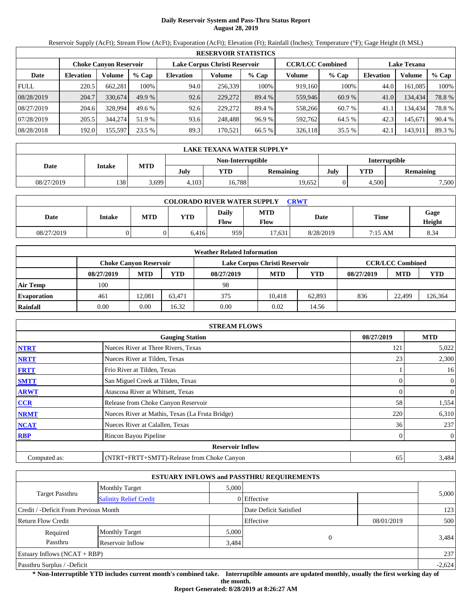# **Daily Reservoir System and Pass-Thru Status Report August 28, 2019**

Reservoir Supply (AcFt); Stream Flow (AcFt); Evaporation (AcFt); Elevation (Ft); Rainfall (Inches); Temperature (°F); Gage Height (ft MSL)

|             | <b>RESERVOIR STATISTICS</b> |         |         |                               |         |         |                         |         |                    |          |        |  |
|-------------|-----------------------------|---------|---------|-------------------------------|---------|---------|-------------------------|---------|--------------------|----------|--------|--|
|             | Choke Canvon Reservoir      |         |         | Lake Corpus Christi Reservoir |         |         | <b>CCR/LCC Combined</b> |         | <b>Lake Texana</b> |          |        |  |
| Date        | <b>Elevation</b>            | Volume  | $%$ Cap | <b>Elevation</b>              | Volume  | $%$ Cap | Volume                  | $%$ Cap | <b>Elevation</b>   | Volume   | % Cap  |  |
| <b>FULL</b> | 220.5                       | 662,281 | 100%    | 94.0                          | 256,339 | 100%    | 919.160                 | 100%    | 44.0               | 161,085  | 100%   |  |
| 08/28/2019  | 204.7                       | 330,674 | 49.9 %  | 92.6                          | 229,272 | 89.4 %  | 559,946                 | 60.9 %  | 41.0               | 134.434  | 78.8%  |  |
| 08/27/2019  | 204.6                       | 328.994 | 49.6%   | 92.6                          | 229,272 | 89.4 %  | 558,266                 | 60.7 %  | 41.1               | 134.4341 | 78.8%  |  |
| 07/28/2019  | 205.5                       | 344,274 | 51.9 %  | 93.6                          | 248,488 | 96.9%   | 592,762                 | 64.5 %  | 42.3               | 145,671  | 90.4 % |  |
| 08/28/2018  | 192.0                       | 155,597 | 23.5 %  | 89.3                          | 170.521 | 66.5 %  | 326,118                 | 35.5 %  | 42.1               | 143,911  | 89.3 % |  |

|            | LAKE TEXANA WATER SUPPLY* |            |       |                   |           |                      |            |                  |  |  |  |
|------------|---------------------------|------------|-------|-------------------|-----------|----------------------|------------|------------------|--|--|--|
|            | Intake                    | <b>MTD</b> |       | Non-Interruptible |           | <b>Interruptible</b> |            |                  |  |  |  |
| Date       |                           |            | July  | YTD               | Remaining | July                 | <b>YTD</b> | <b>Remaining</b> |  |  |  |
| 08/27/2019 | 138                       | - 699. د   | 4.103 | 16,788            | 19,652    |                      | 4.500      | 7,500            |  |  |  |

| <b>COLORADO RIVER WATER SUPPLY</b><br><b>CRWT</b> |        |     |            |                      |                    |           |         |                |  |  |  |
|---------------------------------------------------|--------|-----|------------|----------------------|--------------------|-----------|---------|----------------|--|--|--|
| Date                                              | Intake | MTD | <b>YTD</b> | <b>Daily</b><br>Flow | <b>MTD</b><br>Flow | Date      | Time    | Gage<br>Height |  |  |  |
| 08/27/2019                                        |        |     | 6.416      | 959                  | 17.631             | 8/28/2019 | 7:15 AM | 8.34           |  |  |  |

|                    |            |                        |        | <b>Weather Related Information</b> |                               |        |            |                         |         |
|--------------------|------------|------------------------|--------|------------------------------------|-------------------------------|--------|------------|-------------------------|---------|
|                    |            | Choke Canvon Reservoir |        |                                    | Lake Corpus Christi Reservoir |        |            | <b>CCR/LCC Combined</b> |         |
|                    | 08/27/2019 | <b>MTD</b>             | YTD    | 08/27/2019                         | <b>MTD</b>                    | YTD    | 08/27/2019 | <b>MTD</b>              | YTD     |
| Air Temp           | 100        |                        |        | 98                                 |                               |        |            |                         |         |
| <b>Evaporation</b> | 461        | 12.081                 | 63.471 | 375                                | 10.418                        | 62,893 | 836        | 22.499                  | 126,364 |
| Rainfall           | 0.00       | 0.00                   | 16.32  | 0.00                               | 0.02                          | 14.56  |            |                         |         |

|              | <b>STREAM FLOWS</b>                             |            |                  |
|--------------|-------------------------------------------------|------------|------------------|
|              | <b>Gauging Station</b>                          | 08/27/2019 | <b>MTD</b>       |
| <b>NTRT</b>  | Nueces River at Three Rivers, Texas             | 121        | 5,022            |
| <b>NRTT</b>  | Nueces River at Tilden, Texas                   | 23         | 2,300            |
| <b>FRTT</b>  | Frio River at Tilden, Texas                     |            | 16               |
| <b>SMTT</b>  | San Miguel Creek at Tilden, Texas               |            | $\boldsymbol{0}$ |
| <b>ARWT</b>  | Atascosa River at Whitsett, Texas               |            | 0                |
| CCR          | Release from Choke Canyon Reservoir             | 58         | 1,554            |
| <b>NRMT</b>  | Nueces River at Mathis, Texas (La Fruta Bridge) | 220        | 6,310            |
| <b>NCAT</b>  | Nueces River at Calallen, Texas                 | 36         | 237              |
| <b>RBP</b>   | Rincon Bayou Pipeline                           |            | $\boldsymbol{0}$ |
|              | <b>Reservoir Inflow</b>                         |            |                  |
| Computed as: | (NTRT+FRTT+SMTT)-Release from Choke Canyon      | 65         | 3,484            |

|                                                  |                       |       | <b>ESTUARY INFLOWS and PASSTHRU REQUIREMENTS</b> |            |          |
|--------------------------------------------------|-----------------------|-------|--------------------------------------------------|------------|----------|
|                                                  | <b>Monthly Target</b> | 5,000 |                                                  |            |          |
| Target Passthru<br><b>Salinity Relief Credit</b> |                       |       | 0 Effective                                      |            | 5,000    |
| Credit / -Deficit From Previous Month            |                       |       | Date Deficit Satisfied                           |            | 123      |
| <b>Return Flow Credit</b>                        |                       |       | Effective                                        | 08/01/2019 | 500      |
| Required                                         | <b>Monthly Target</b> | 5,000 |                                                  |            |          |
| Passthru                                         | Reservoir Inflow      | 3,484 |                                                  |            | 3,484    |
| Estuary Inflows $(NCAT + RBP)$                   |                       |       |                                                  |            | 237      |
| Passthru Surplus / -Deficit                      |                       |       |                                                  |            | $-2,624$ |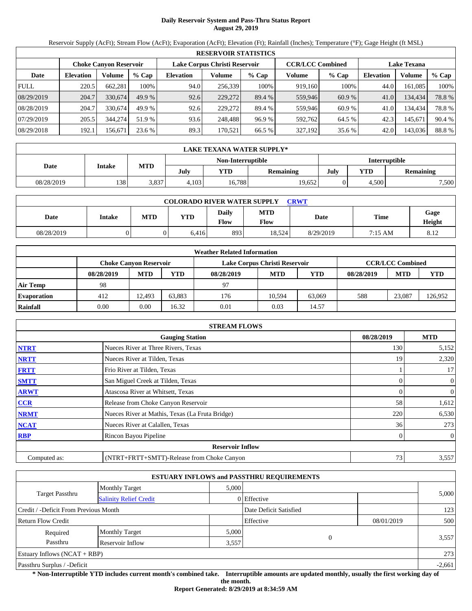# **Daily Reservoir System and Pass-Thru Status Report August 29, 2019**

Reservoir Supply (AcFt); Stream Flow (AcFt); Evaporation (AcFt); Elevation (Ft); Rainfall (Inches); Temperature (°F); Gage Height (ft MSL)

|             | <b>RESERVOIR STATISTICS</b> |                        |         |                               |         |         |                         |         |                    |         |        |  |  |
|-------------|-----------------------------|------------------------|---------|-------------------------------|---------|---------|-------------------------|---------|--------------------|---------|--------|--|--|
|             |                             | Choke Canvon Reservoir |         | Lake Corpus Christi Reservoir |         |         | <b>CCR/LCC Combined</b> |         | <b>Lake Texana</b> |         |        |  |  |
| Date        | <b>Elevation</b>            | Volume                 | $%$ Cap | <b>Elevation</b>              | Volume  | $%$ Cap | Volume                  | $%$ Cap | <b>Elevation</b>   | Volume  | % Cap  |  |  |
| <b>FULL</b> | 220.5                       | 662,281                | 100%    | 94.0                          | 256,339 | 100%    | 919.160                 | 100%    | 44.0               | 161,085 | 100%   |  |  |
| 08/29/2019  | 204.7                       | 330,674                | 49.9 %  | 92.6                          | 229,272 | 89.4 %  | 559,946                 | 60.9 %  | 41.0               | 134.434 | 78.8%  |  |  |
| 08/28/2019  | 204.7                       | 330.674                | 49.9 %  | 92.6                          | 229,272 | 89.4 %  | 559,946                 | 60.9%   | 41.0               | 134.434 | 78.8%  |  |  |
| 07/29/2019  | 205.5                       | 344,274                | 51.9 %  | 93.6                          | 248,488 | 96.9%   | 592.762                 | 64.5 %  | 42.3               | 145,671 | 90.4 % |  |  |
| 08/29/2018  | 192.1                       | 156.671                | 23.6 %  | 89.3                          | 170.521 | 66.5 %  | 327,192                 | 35.6 %  | 42.0               | 143,036 | 88.8%  |  |  |

|            | LAKE TEXANA WATER SUPPLY* |            |       |                   |           |                      |            |                  |  |  |  |
|------------|---------------------------|------------|-------|-------------------|-----------|----------------------|------------|------------------|--|--|--|
|            | <b>Intake</b>             |            |       | Non-Interruptible |           | <b>Interruptible</b> |            |                  |  |  |  |
| Date       |                           | <b>MTD</b> | July  | YTD               | Remaining | July                 | <b>YTD</b> | <b>Remaining</b> |  |  |  |
| 08/28/2019 | 138                       | 3.837      | 4.103 | 16.788            | 19.652    |                      | 4.500      | 7,500            |  |  |  |

| <b>COLORADO RIVER WATER SUPPLY</b><br><b>CRWT</b> |               |            |       |                      |                    |           |             |                |  |  |
|---------------------------------------------------|---------------|------------|-------|----------------------|--------------------|-----------|-------------|----------------|--|--|
| Date                                              | <b>Intake</b> | <b>MTD</b> | YTD   | Daily<br><b>Flow</b> | <b>MTD</b><br>Flow | Date      | <b>Time</b> | Gage<br>Height |  |  |
| 08/28/2019                                        |               |            | 6.416 | 893                  | 18,524             | 8/29/2019 | 7:15 AM     | 8.12           |  |  |

|                    |            |                        |        | <b>Weather Related Information</b> |                               |        |            |                         |         |
|--------------------|------------|------------------------|--------|------------------------------------|-------------------------------|--------|------------|-------------------------|---------|
|                    |            | Choke Canvon Reservoir |        |                                    | Lake Corpus Christi Reservoir |        |            | <b>CCR/LCC Combined</b> |         |
|                    | 08/28/2019 | <b>MTD</b>             | YTD    | 08/28/2019                         | <b>MTD</b>                    | YTD    | 08/28/2019 | <b>MTD</b>              | YTD     |
| Air Temp           | 98         |                        |        | 97                                 |                               |        |            |                         |         |
| <b>Evaporation</b> | 412        | 12.493                 | 63.883 | 176                                | 10.594                        | 63,069 | 588        | 23,087                  | 126,952 |
| Rainfall           | 0.00       | 0.00                   | 16.32  | 0.01                               | 0.03                          | 14.57  |            |                         |         |

|              | <b>STREAM FLOWS</b>                             |            |                |
|--------------|-------------------------------------------------|------------|----------------|
|              | <b>Gauging Station</b>                          | 08/28/2019 | <b>MTD</b>     |
| <b>NTRT</b>  | Nueces River at Three Rivers, Texas             | 130        | 5,152          |
| <b>NRTT</b>  | Nueces River at Tilden, Texas                   | 19         | 2,320          |
| <b>FRTT</b>  | Frio River at Tilden, Texas                     |            | 17             |
| <b>SMTT</b>  | San Miguel Creek at Tilden, Texas               |            | 0              |
| <b>ARWT</b>  | Atascosa River at Whitsett, Texas               |            | $\overline{0}$ |
| CCR          | Release from Choke Canyon Reservoir             | 58         | 1,612          |
| <b>NRMT</b>  | Nueces River at Mathis, Texas (La Fruta Bridge) | 220        | 6,530          |
| <b>NCAT</b>  | Nueces River at Calallen, Texas                 | 36         | 273            |
| <b>RBP</b>   | Rincon Bayou Pipeline                           |            | $\mathbf{0}$   |
|              | <b>Reservoir Inflow</b>                         |            |                |
| Computed as: | (NTRT+FRTT+SMTT)-Release from Choke Canyon      | 73         | 3,557          |

|                                                  |                       |       | <b>ESTUARY INFLOWS and PASSTHRU REQUIREMENTS</b> |            |       |
|--------------------------------------------------|-----------------------|-------|--------------------------------------------------|------------|-------|
|                                                  | <b>Monthly Target</b> | 5,000 |                                                  |            |       |
| Target Passthru<br><b>Salinity Relief Credit</b> |                       |       | 0 Effective                                      |            | 5,000 |
| Credit / -Deficit From Previous Month            |                       |       | Date Deficit Satisfied                           |            | 123   |
| <b>Return Flow Credit</b>                        |                       |       | Effective                                        | 08/01/2019 | 500   |
| Required                                         | <b>Monthly Target</b> | 5,000 |                                                  |            |       |
| Passthru                                         | Reservoir Inflow      | 3,557 |                                                  |            | 3,557 |
| Estuary Inflows $(NCAT + RBP)$                   |                       |       |                                                  |            | 273   |
| Passthru Surplus / -Deficit                      |                       |       |                                                  | $-2,661$   |       |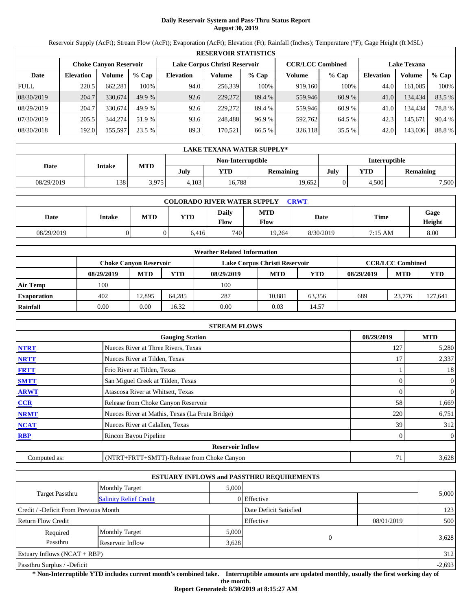# **Daily Reservoir System and Pass-Thru Status Report August 30, 2019**

Reservoir Supply (AcFt); Stream Flow (AcFt); Evaporation (AcFt); Elevation (Ft); Rainfall (Inches); Temperature (°F); Gage Height (ft MSL)

|             | <b>RESERVOIR STATISTICS</b> |                        |         |                               |         |         |                         |         |                    |         |        |  |  |
|-------------|-----------------------------|------------------------|---------|-------------------------------|---------|---------|-------------------------|---------|--------------------|---------|--------|--|--|
|             |                             | Choke Canvon Reservoir |         | Lake Corpus Christi Reservoir |         |         | <b>CCR/LCC Combined</b> |         | <b>Lake Texana</b> |         |        |  |  |
| Date        | <b>Elevation</b>            | Volume                 | $%$ Cap | <b>Elevation</b>              | Volume  | $%$ Cap | Volume                  | $%$ Cap | Elevation          | Volume  | % Cap  |  |  |
| <b>FULL</b> | 220.5                       | 662,281                | 100%    | 94.0                          | 256,339 | 100%    | 919.160                 | 100%    | 44.0               | 161,085 | 100%   |  |  |
| 08/30/2019  | 204.7                       | 330.674                | 49.9 %  | 92.6                          | 229,272 | 89.4 %  | 559,946                 | 60.9 %  | 41.0               | 134.434 | 83.5 % |  |  |
| 08/29/2019  | 204.7                       | 330,674                | 49.9 %  | 92.6                          | 229,272 | 89.4 %  | 559,946                 | 60.9%   | 41.0               | 134,434 | 78.8%  |  |  |
| 07/30/2019  | 205.5                       | 344,274                | 51.9 %  | 93.6                          | 248,488 | 96.9%   | 592,762                 | 64.5 %  | 42.3               | 145,671 | 90.4 % |  |  |
| 08/30/2018  | 192.0                       | 155,597                | 23.5 %  | 89.3                          | 170,521 | 66.5 %  | 326,118                 | 35.5 %  | 42.0               | 143,036 | 88.8%  |  |  |

|            | LAKE TEXANA WATER SUPPLY* |            |       |                   |           |                      |            |                  |  |  |  |
|------------|---------------------------|------------|-------|-------------------|-----------|----------------------|------------|------------------|--|--|--|
|            | <b>Intake</b>             |            |       | Non-Interruptible |           | <b>Interruptible</b> |            |                  |  |  |  |
| Date       |                           | <b>MTD</b> | July  | YTD               | Remaining | July                 | <b>YTD</b> | <b>Remaining</b> |  |  |  |
| 08/29/2019 | 138                       | 3.975      | 4.103 | 16.788            | 19.652    |                      | 4.500      | 7,500            |  |  |  |

| <b>COLORADO RIVER WATER SUPPLY</b><br><b>CRWT</b> |        |     |            |                      |                           |           |             |                |  |  |
|---------------------------------------------------|--------|-----|------------|----------------------|---------------------------|-----------|-------------|----------------|--|--|
| Date                                              | Intake | MTD | <b>YTD</b> | <b>Daily</b><br>Flow | <b>MTD</b><br><b>Flow</b> | Date      | <b>Time</b> | Gage<br>Height |  |  |
| 08/29/2019                                        |        |     | 6.416      | 740                  | 19.264                    | 8/30/2019 | 7:15 AM     | 8.00           |  |  |

|                    |            |                        |        | <b>Weather Related Information</b> |                               |        |            |                         |         |
|--------------------|------------|------------------------|--------|------------------------------------|-------------------------------|--------|------------|-------------------------|---------|
|                    |            | Choke Canvon Reservoir |        |                                    | Lake Corpus Christi Reservoir |        |            | <b>CCR/LCC Combined</b> |         |
|                    | 08/29/2019 | <b>MTD</b>             | YTD    | 08/29/2019                         | <b>MTD</b>                    | YTD    | 08/29/2019 | <b>MTD</b>              | YTD     |
| Air Temp           | 100        |                        |        | 100                                |                               |        |            |                         |         |
| <b>Evaporation</b> | 402        | 12.895                 | 64.285 | 287                                | 10.881                        | 63.356 | 689        | 23,776                  | 127.641 |
| Rainfall           | 0.00       | 0.00                   | 16.32  | 0.00                               | 0.03                          | 14.57  |            |                         |         |

|              | <b>STREAM FLOWS</b>                             |            |                  |  |  |  |  |  |  |  |
|--------------|-------------------------------------------------|------------|------------------|--|--|--|--|--|--|--|
|              | <b>Gauging Station</b>                          | 08/29/2019 | <b>MTD</b>       |  |  |  |  |  |  |  |
| <b>NTRT</b>  | Nueces River at Three Rivers, Texas             | 127        | 5,280            |  |  |  |  |  |  |  |
| <b>NRTT</b>  | Nueces River at Tilden, Texas                   | 17         | 2,337            |  |  |  |  |  |  |  |
| <b>FRTT</b>  | Frio River at Tilden, Texas                     |            | 18               |  |  |  |  |  |  |  |
| <b>SMTT</b>  | San Miguel Creek at Tilden, Texas               |            | $\mathbf{0}$     |  |  |  |  |  |  |  |
| <b>ARWT</b>  | Atascosa River at Whitsett, Texas               |            | $\boldsymbol{0}$ |  |  |  |  |  |  |  |
| CCR          | Release from Choke Canyon Reservoir             | 58         | 1,669            |  |  |  |  |  |  |  |
| <b>NRMT</b>  | Nueces River at Mathis, Texas (La Fruta Bridge) | 220        | 6,751            |  |  |  |  |  |  |  |
| <b>NCAT</b>  | Nueces River at Calallen, Texas                 | 39         | 312              |  |  |  |  |  |  |  |
| <b>RBP</b>   | Rincon Bayou Pipeline                           |            | $\overline{0}$   |  |  |  |  |  |  |  |
|              | <b>Reservoir Inflow</b>                         |            |                  |  |  |  |  |  |  |  |
| Computed as: | (NTRT+FRTT+SMTT)-Release from Choke Canyon      |            | 3,628            |  |  |  |  |  |  |  |

|                                                  |                       |       | <b>ESTUARY INFLOWS and PASSTHRU REQUIREMENTS</b> |            |       |
|--------------------------------------------------|-----------------------|-------|--------------------------------------------------|------------|-------|
|                                                  | <b>Monthly Target</b> | 5,000 |                                                  |            |       |
| Target Passthru<br><b>Salinity Relief Credit</b> |                       |       | $0$ Effective                                    |            | 5,000 |
| Credit / -Deficit From Previous Month            |                       |       | Date Deficit Satisfied                           |            | 123   |
| <b>Return Flow Credit</b>                        |                       |       | Effective                                        | 08/01/2019 | 500   |
| Required                                         | <b>Monthly Target</b> | 5,000 |                                                  |            |       |
| Passthru                                         | Reservoir Inflow      | 3,628 | $\theta$                                         |            | 3,628 |
| Estuary Inflows $(NCAT + RBP)$                   |                       |       |                                                  |            | 312   |
| Passthru Surplus / -Deficit                      |                       |       |                                                  |            |       |